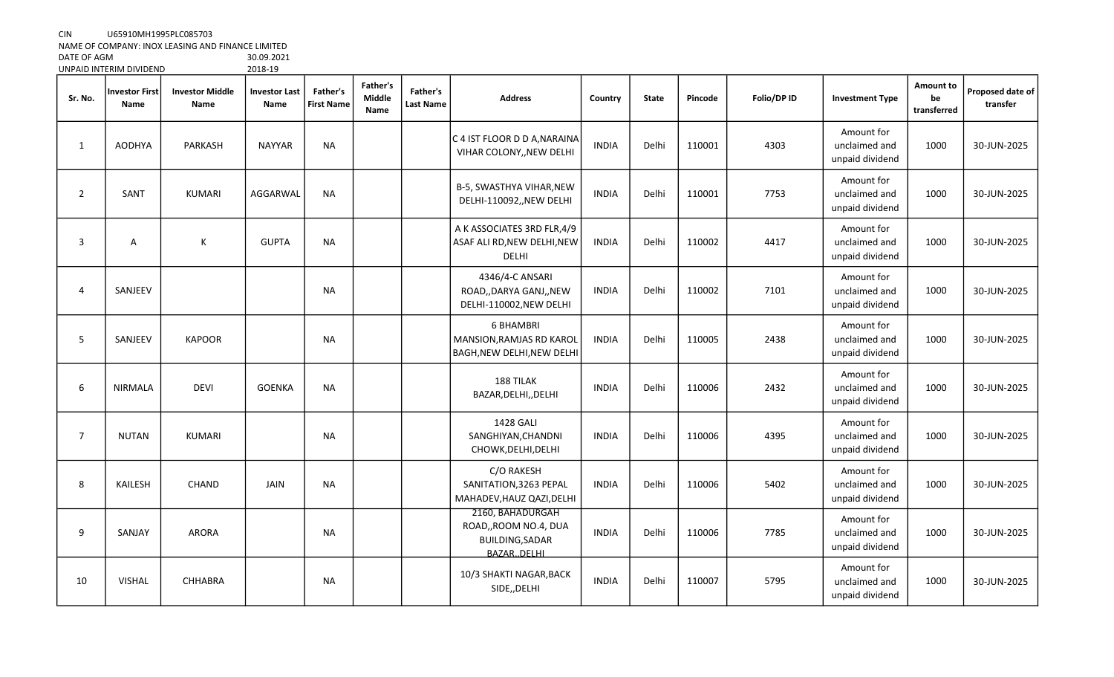## CIN U65910MH1995PLC085703

NAME OF COMPANY: INOX LEASING AND FINANCE LIMITED

DATE OF AGM 30.09.2021 UNPAID INTERIM DIVIDEND

| Sr. No.        | <b>Investor First</b><br>Name | <b>Investor Middle</b><br>Name | <b>Investor Last</b><br>Name | Father's<br><b>First Name</b> | Father's<br>Middle<br>Name | Father's<br>Last Name | <b>Address</b>                                                                       | Country      | <b>State</b> | Pincode | Folio/DP ID | <b>Investment Type</b>                         | Amount to<br>be<br>transferred | Proposed date of<br>transfer |
|----------------|-------------------------------|--------------------------------|------------------------------|-------------------------------|----------------------------|-----------------------|--------------------------------------------------------------------------------------|--------------|--------------|---------|-------------|------------------------------------------------|--------------------------------|------------------------------|
| $\mathbf{1}$   | <b>AODHYA</b>                 | PARKASH                        | <b>NAYYAR</b>                | <b>NA</b>                     |                            |                       | C 4 IST FLOOR D D A, NARAINA<br>VIHAR COLONY, NEW DELHI                              | <b>INDIA</b> | Delhi        | 110001  | 4303        | Amount for<br>unclaimed and<br>unpaid dividend | 1000                           | 30-JUN-2025                  |
| $\overline{2}$ | SANT                          | KUMARI                         | AGGARWAL                     | <b>NA</b>                     |                            |                       | B-5, SWASTHYA VIHAR, NEW<br>DELHI-110092,, NEW DELHI                                 | <b>INDIA</b> | Delhi        | 110001  | 7753        | Amount for<br>unclaimed and<br>unpaid dividend | 1000                           | 30-JUN-2025                  |
| 3              | Α                             | К                              | <b>GUPTA</b>                 | <b>NA</b>                     |                            |                       | A K ASSOCIATES 3RD FLR,4/9<br>ASAF ALI RD, NEW DELHI, NEW<br>DELHI                   | <b>INDIA</b> | <b>Delhi</b> | 110002  | 4417        | Amount for<br>unclaimed and<br>unpaid dividend | 1000                           | 30-JUN-2025                  |
| 4              | SANJEEV                       |                                |                              | <b>NA</b>                     |                            |                       | 4346/4-C ANSARI<br>ROAD,, DARYA GANJ,, NEW<br>DELHI-110002, NEW DELHI                | <b>INDIA</b> | Delhi        | 110002  | 7101        | Amount for<br>unclaimed and<br>unpaid dividend | 1000                           | 30-JUN-2025                  |
| 5              | SANJEEV                       | <b>KAPOOR</b>                  |                              | <b>NA</b>                     |                            |                       | <b>6 BHAMBRI</b><br>MANSION, RAMJAS RD KAROL<br>BAGH, NEW DELHI, NEW DELHI           | <b>INDIA</b> | Delhi        | 110005  | 2438        | Amount for<br>unclaimed and<br>unpaid dividend | 1000                           | 30-JUN-2025                  |
| 6              | <b>NIRMALA</b>                | <b>DEVI</b>                    | <b>GOENKA</b>                | <b>NA</b>                     |                            |                       | 188 TILAK<br>BAZAR, DELHI, , DELHI                                                   | <b>INDIA</b> | Delhi        | 110006  | 2432        | Amount for<br>unclaimed and<br>unpaid dividend | 1000                           | 30-JUN-2025                  |
| $\overline{7}$ | <b>NUTAN</b>                  | KUMARI                         |                              | <b>NA</b>                     |                            |                       | 1428 GALI<br>SANGHIYAN, CHANDNI<br>CHOWK, DELHI, DELHI                               | <b>INDIA</b> | Delhi        | 110006  | 4395        | Amount for<br>unclaimed and<br>unpaid dividend | 1000                           | 30-JUN-2025                  |
| 8              | KAILESH                       | CHAND                          | JAIN                         | <b>NA</b>                     |                            |                       | C/O RAKESH<br>SANITATION, 3263 PEPAL<br>MAHADEV, HAUZ QAZI, DELHI                    | <b>INDIA</b> | Delhi        | 110006  | 5402        | Amount for<br>unclaimed and<br>unpaid dividend | 1000                           | 30-JUN-2025                  |
| 9              | SANJAY                        | <b>ARORA</b>                   |                              | <b>NA</b>                     |                            |                       | 2160, BAHADURGAH<br>ROAD,, ROOM NO.4, DUA<br><b>BUILDING, SADAR</b><br>BAZAR., DELHI | <b>INDIA</b> | Delhi        | 110006  | 7785        | Amount for<br>unclaimed and<br>unpaid dividend | 1000                           | 30-JUN-2025                  |
| 10             | <b>VISHAL</b>                 | CHHABRA                        |                              | <b>NA</b>                     |                            |                       | 10/3 SHAKTI NAGAR, BACK<br>SIDE,, DELHI                                              | <b>INDIA</b> | Delhi        | 110007  | 5795        | Amount for<br>unclaimed and<br>unpaid dividend | 1000                           | 30-JUN-2025                  |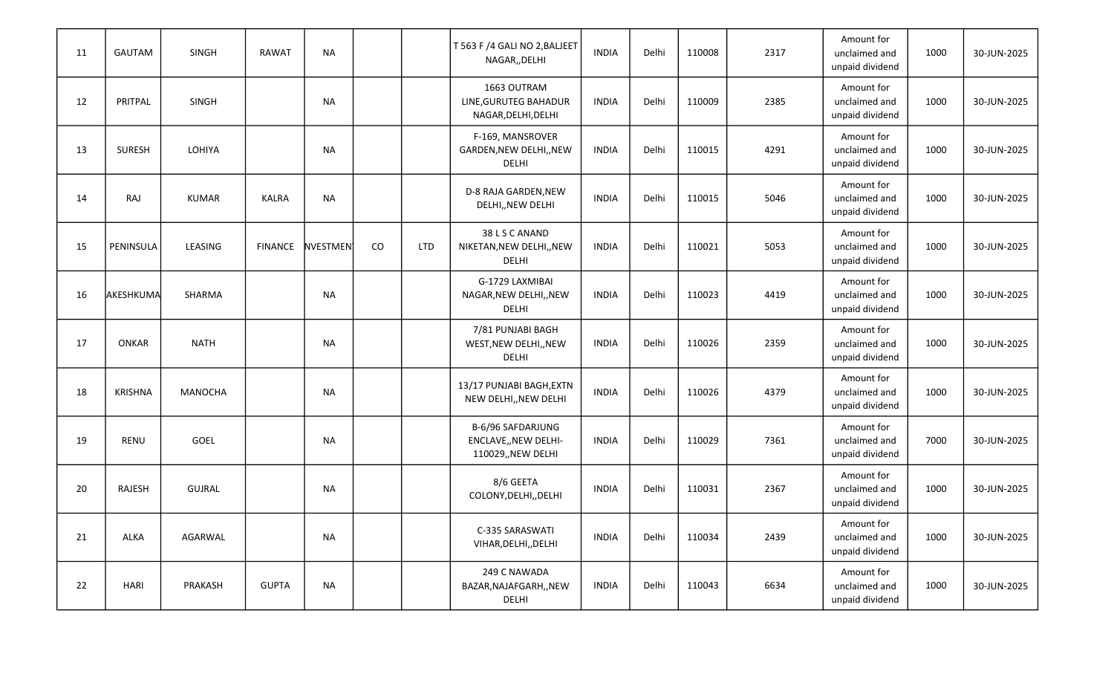| 11 | GAUTAM         | <b>SINGH</b>   | <b>RAWAT</b>   | <b>NA</b>       |    |            | T 563 F /4 GALI NO 2, BALJEET<br>NAGAR,, DELHI                  | <b>INDIA</b> | Delhi | 110008 | 2317 | Amount for<br>unclaimed and<br>unpaid dividend | 1000 | 30-JUN-2025 |
|----|----------------|----------------|----------------|-----------------|----|------------|-----------------------------------------------------------------|--------------|-------|--------|------|------------------------------------------------|------|-------------|
| 12 | PRITPAL        | <b>SINGH</b>   |                | <b>NA</b>       |    |            | 1663 OUTRAM<br>LINE, GURUTEG BAHADUR<br>NAGAR, DELHI, DELHI     | <b>INDIA</b> | Delhi | 110009 | 2385 | Amount for<br>unclaimed and<br>unpaid dividend | 1000 | 30-JUN-2025 |
| 13 | <b>SURESH</b>  | LOHIYA         |                | <b>NA</b>       |    |            | F-169, MANSROVER<br>GARDEN, NEW DELHI, , NEW<br>DELHI           | <b>INDIA</b> | Delhi | 110015 | 4291 | Amount for<br>unclaimed and<br>unpaid dividend | 1000 | 30-JUN-2025 |
| 14 | RAJ            | <b>KUMAR</b>   | <b>KALRA</b>   | <b>NA</b>       |    |            | D-8 RAJA GARDEN, NEW<br>DELHI,, NEW DELHI                       | <b>INDIA</b> | Delhi | 110015 | 5046 | Amount for<br>unclaimed and<br>unpaid dividend | 1000 | 30-JUN-2025 |
| 15 | PENINSULA      | LEASING        | <b>FINANCE</b> | <b>NVESTMEN</b> | CO | <b>LTD</b> | 38 L S C ANAND<br>NIKETAN, NEW DELHI, , NEW<br>DELHI            | <b>INDIA</b> | Delhi | 110021 | 5053 | Amount for<br>unclaimed and<br>unpaid dividend | 1000 | 30-JUN-2025 |
| 16 | AKESHKUMA      | SHARMA         |                | <b>NA</b>       |    |            | G-1729 LAXMIBAI<br>NAGAR, NEW DELHI,, NEW<br>DELHI              | <b>INDIA</b> | Delhi | 110023 | 4419 | Amount for<br>unclaimed and<br>unpaid dividend | 1000 | 30-JUN-2025 |
| 17 | <b>ONKAR</b>   | <b>NATH</b>    |                | <b>NA</b>       |    |            | 7/81 PUNJABI BAGH<br>WEST, NEW DELHI, , NEW<br>DELHI            | <b>INDIA</b> | Delhi | 110026 | 2359 | Amount for<br>unclaimed and<br>unpaid dividend | 1000 | 30-JUN-2025 |
| 18 | <b>KRISHNA</b> | <b>MANOCHA</b> |                | <b>NA</b>       |    |            | 13/17 PUNJABI BAGH, EXTN<br>NEW DELHI,, NEW DELHI               | <b>INDIA</b> | Delhi | 110026 | 4379 | Amount for<br>unclaimed and<br>unpaid dividend | 1000 | 30-JUN-2025 |
| 19 | RENU           | GOEL           |                | <b>NA</b>       |    |            | B-6/96 SAFDARJUNG<br>ENCLAVE,, NEW DELHI-<br>110029,, NEW DELHI | <b>INDIA</b> | Delhi | 110029 | 7361 | Amount for<br>unclaimed and<br>unpaid dividend | 7000 | 30-JUN-2025 |
| 20 | RAJESH         | <b>GUJRAL</b>  |                | <b>NA</b>       |    |            | 8/6 GEETA<br>COLONY, DELHI, , DELHI                             | <b>INDIA</b> | Delhi | 110031 | 2367 | Amount for<br>unclaimed and<br>unpaid dividend | 1000 | 30-JUN-2025 |
| 21 | ALKA           | AGARWAL        |                | <b>NA</b>       |    |            | C-335 SARASWATI<br>VIHAR, DELHI, , DELHI                        | <b>INDIA</b> | Delhi | 110034 | 2439 | Amount for<br>unclaimed and<br>unpaid dividend | 1000 | 30-JUN-2025 |
| 22 | HARI           | PRAKASH        | <b>GUPTA</b>   | <b>NA</b>       |    |            | 249 C NAWADA<br>BAZAR, NAJAFGARH,, NEW<br>DELHI                 | <b>INDIA</b> | Delhi | 110043 | 6634 | Amount for<br>unclaimed and<br>unpaid dividend | 1000 | 30-JUN-2025 |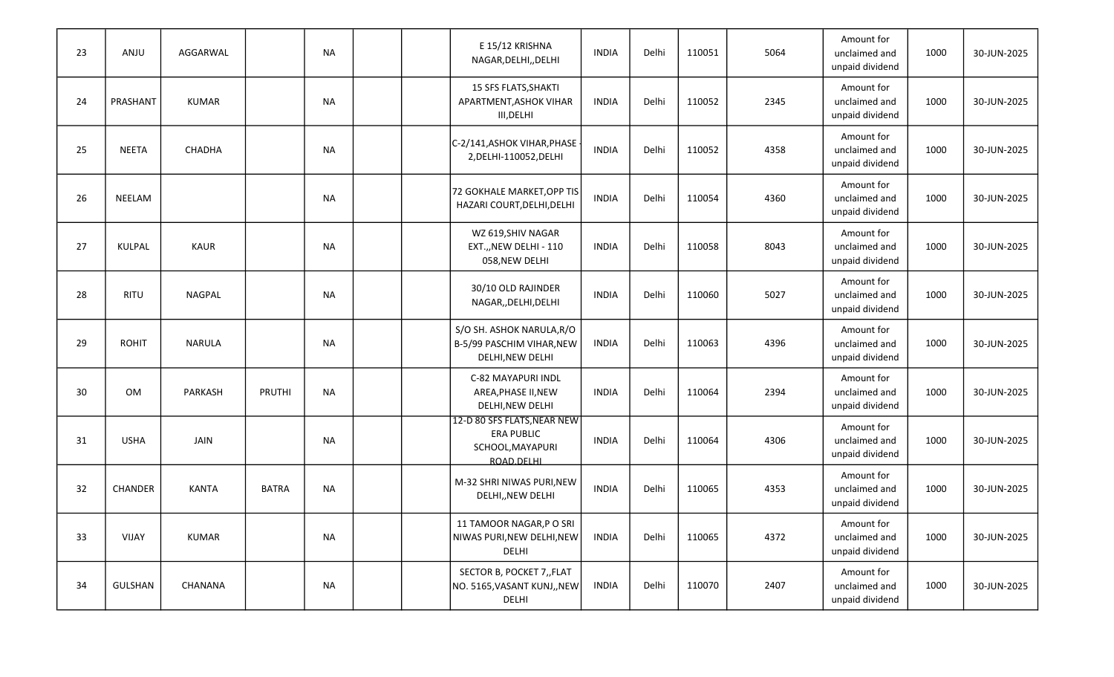| 23 | ANJU           | AGGARWAL      |              | <b>NA</b> |  | E 15/12 KRISHNA<br>NAGAR, DELHI, , DELHI                                           | <b>INDIA</b> | Delhi | 110051 | 5064 | Amount for<br>unclaimed and<br>unpaid dividend | 1000 | 30-JUN-2025 |
|----|----------------|---------------|--------------|-----------|--|------------------------------------------------------------------------------------|--------------|-------|--------|------|------------------------------------------------|------|-------------|
| 24 | PRASHANT       | <b>KUMAR</b>  |              | <b>NA</b> |  | 15 SFS FLATS, SHAKTI<br>APARTMENT, ASHOK VIHAR<br>III, DELHI                       | <b>INDIA</b> | Delhi | 110052 | 2345 | Amount for<br>unclaimed and<br>unpaid dividend | 1000 | 30-JUN-2025 |
| 25 | <b>NEETA</b>   | CHADHA        |              | <b>NA</b> |  | C-2/141, ASHOK VIHAR, PHASE<br>2, DELHI-110052, DELHI                              | <b>INDIA</b> | Delhi | 110052 | 4358 | Amount for<br>unclaimed and<br>unpaid dividend | 1000 | 30-JUN-2025 |
| 26 | NEELAM         |               |              | <b>NA</b> |  | 72 GOKHALE MARKET, OPP TIS<br>HAZARI COURT, DELHI, DELHI                           | <b>INDIA</b> | Delhi | 110054 | 4360 | Amount for<br>unclaimed and<br>unpaid dividend | 1000 | 30-JUN-2025 |
| 27 | KULPAL         | <b>KAUR</b>   |              | <b>NA</b> |  | WZ 619, SHIV NAGAR<br>EXT.,, NEW DELHI - 110<br>058, NEW DELHI                     | <b>INDIA</b> | Delhi | 110058 | 8043 | Amount for<br>unclaimed and<br>unpaid dividend | 1000 | 30-JUN-2025 |
| 28 | <b>RITU</b>    | NAGPAL        |              | <b>NA</b> |  | 30/10 OLD RAJINDER<br>NAGAR,, DELHI, DELHI                                         | <b>INDIA</b> | Delhi | 110060 | 5027 | Amount for<br>unclaimed and<br>unpaid dividend | 1000 | 30-JUN-2025 |
| 29 | <b>ROHIT</b>   | <b>NARULA</b> |              | <b>NA</b> |  | S/O SH. ASHOK NARULA, R/O<br>B-5/99 PASCHIM VIHAR, NEW<br>DELHI, NEW DELHI         | <b>INDIA</b> | Delhi | 110063 | 4396 | Amount for<br>unclaimed and<br>unpaid dividend | 1000 | 30-JUN-2025 |
| 30 | <b>OM</b>      | PARKASH       | PRUTHI       | <b>NA</b> |  | C-82 MAYAPURI INDL<br>AREA, PHASE II, NEW<br>DELHI, NEW DELHI                      | <b>INDIA</b> | Delhi | 110064 | 2394 | Amount for<br>unclaimed and<br>unpaid dividend | 1000 | 30-JUN-2025 |
| 31 | <b>USHA</b>    | JAIN          |              | <b>NA</b> |  | 12-D 80 SFS FLATS, NEAR NEW<br><b>ERA PUBLIC</b><br>SCHOOL, MAYAPURI<br>ROAD.DELHI | <b>INDIA</b> | Delhi | 110064 | 4306 | Amount for<br>unclaimed and<br>unpaid dividend | 1000 | 30-JUN-2025 |
| 32 | <b>CHANDER</b> | <b>KANTA</b>  | <b>BATRA</b> | <b>NA</b> |  | M-32 SHRI NIWAS PURI, NEW<br>DELHI,, NEW DELHI                                     | <b>INDIA</b> | Delhi | 110065 | 4353 | Amount for<br>unclaimed and<br>unpaid dividend | 1000 | 30-JUN-2025 |
| 33 | VIJAY          | <b>KUMAR</b>  |              | NA        |  | 11 TAMOOR NAGAR, P O SRI<br>NIWAS PURI, NEW DELHI, NEW<br>DELHI                    | INDIA        | Delhi | 110065 | 4372 | Amount for<br>unclaimed and<br>unpaid dividend | 1000 | 30-JUN-2025 |
| 34 | <b>GULSHAN</b> | CHANANA       |              | NA        |  | SECTOR B, POCKET 7, FLAT<br>NO. 5165, VASANT KUNJ,, NEW<br>DELHI                   | INDIA        | Delhi | 110070 | 2407 | Amount for<br>unclaimed and<br>unpaid dividend | 1000 | 30-JUN-2025 |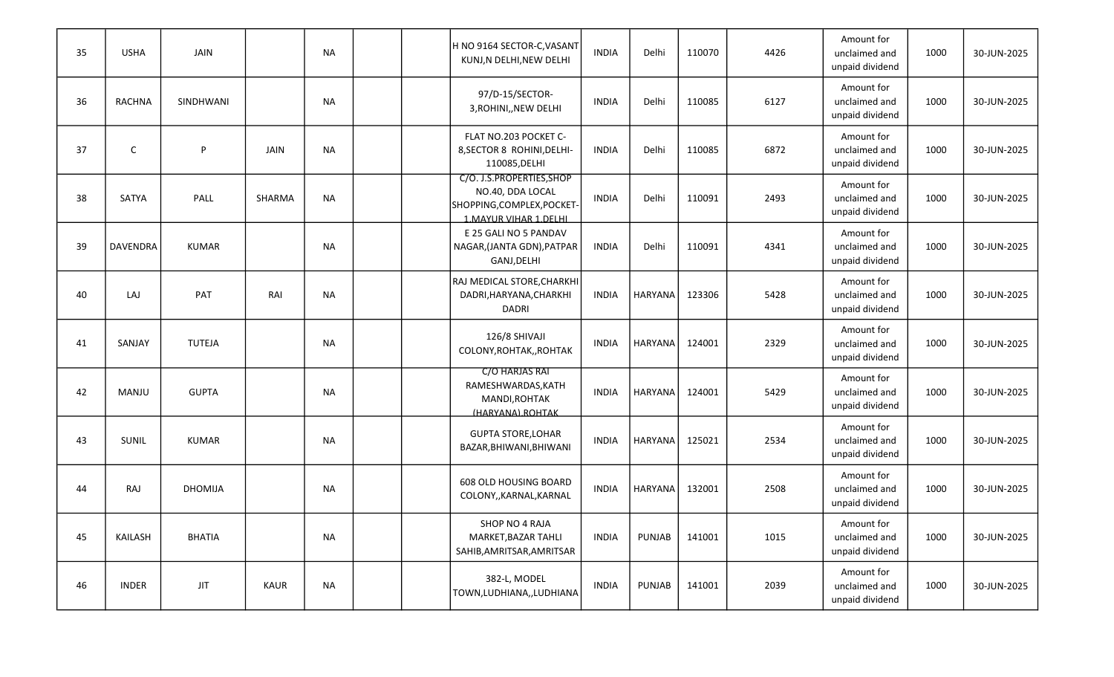| 35 | <b>USHA</b>     | <b>JAIN</b>    |             | <b>NA</b> |  | H NO 9164 SECTOR-C,VASANT <br>KUNJ, N DELHI, NEW DELHI                                                 | <b>INDIA</b> | Delhi          | 110070 | 4426 | Amount for<br>unclaimed and<br>unpaid dividend | 1000 | 30-JUN-2025 |
|----|-----------------|----------------|-------------|-----------|--|--------------------------------------------------------------------------------------------------------|--------------|----------------|--------|------|------------------------------------------------|------|-------------|
| 36 | RACHNA          | SINDHWANI      |             | <b>NA</b> |  | 97/D-15/SECTOR-<br>3, ROHINI, NEW DELHI                                                                | <b>INDIA</b> | Delhi          | 110085 | 6127 | Amount for<br>unclaimed and<br>unpaid dividend | 1000 | 30-JUN-2025 |
| 37 | C               | P              | JAIN        | <b>NA</b> |  | FLAT NO.203 POCKET C-<br>8, SECTOR 8 ROHINI, DELHI-<br>110085, DELHI                                   | <b>INDIA</b> | Delhi          | 110085 | 6872 | Amount for<br>unclaimed and<br>unpaid dividend | 1000 | 30-JUN-2025 |
| 38 | SATYA           | PALL           | SHARMA      | <b>NA</b> |  | C/O. J.S.PROPERTIES, SHOP<br>NO.40, DDA LOCAL<br>SHOPPING, COMPLEX, POCKET-<br>1. MAYUR VIHAR 1. DELHI | <b>INDIA</b> | Delhi          | 110091 | 2493 | Amount for<br>unclaimed and<br>unpaid dividend | 1000 | 30-JUN-2025 |
| 39 | <b>DAVENDRA</b> | <b>KUMAR</b>   |             | <b>NA</b> |  | E 25 GALI NO 5 PANDAV<br>NAGAR, (JANTA GDN), PATPAR<br>GANJ, DELHI                                     | <b>INDIA</b> | Delhi          | 110091 | 4341 | Amount for<br>unclaimed and<br>unpaid dividend | 1000 | 30-JUN-2025 |
| 40 | LAJ             | PAT            | RAI         | <b>NA</b> |  | RAJ MEDICAL STORE, CHARKHI<br>DADRI, HARYANA, CHARKHI<br><b>DADRI</b>                                  | <b>INDIA</b> | HARYANA        | 123306 | 5428 | Amount for<br>unclaimed and<br>unpaid dividend | 1000 | 30-JUN-2025 |
| 41 | SANJAY          | <b>TUTEJA</b>  |             | <b>NA</b> |  | 126/8 SHIVAJI<br>COLONY, ROHTAK, , ROHTAK                                                              | <b>INDIA</b> | HARYANA        | 124001 | 2329 | Amount for<br>unclaimed and<br>unpaid dividend | 1000 | 30-JUN-2025 |
| 42 | MANJU           | <b>GUPTA</b>   |             | <b>NA</b> |  | C/O HARJAS RAI<br>RAMESHWARDAS, KATH<br>MANDI, ROHTAK<br>(HARYANA) ROHTAK                              | <b>INDIA</b> | <b>HARYANA</b> | 124001 | 5429 | Amount for<br>unclaimed and<br>unpaid dividend | 1000 | 30-JUN-2025 |
| 43 | SUNIL           | KUMAR          |             | <b>NA</b> |  | <b>GUPTA STORE, LOHAR</b><br>BAZAR, BHIWANI, BHIWANI                                                   | <b>INDIA</b> | HARYANA        | 125021 | 2534 | Amount for<br>unclaimed and<br>unpaid dividend | 1000 | 30-JUN-2025 |
| 44 | RAJ             | <b>DHOMIJA</b> |             | <b>NA</b> |  | 608 OLD HOUSING BOARD<br>COLONY,, KARNAL, KARNAL                                                       | <b>INDIA</b> | <b>HARYANA</b> | 132001 | 2508 | Amount for<br>unclaimed and<br>unpaid dividend | 1000 | 30-JUN-2025 |
| 45 | KAILASH         | <b>BHATIA</b>  |             | <b>NA</b> |  | SHOP NO 4 RAJA<br>MARKET, BAZAR TAHLI<br>SAHIB, AMRITSAR, AMRITSAR                                     | <b>INDIA</b> | PUNJAB         | 141001 | 1015 | Amount for<br>unclaimed and<br>unpaid dividend | 1000 | 30-JUN-2025 |
| 46 | <b>INDER</b>    | $_{\rm JIT}$   | <b>KAUR</b> | <b>NA</b> |  | 382-L, MODEL<br>TOWN, LUDHIANA, , LUDHIANA                                                             | <b>INDIA</b> | PUNJAB         | 141001 | 2039 | Amount for<br>unclaimed and<br>unpaid dividend | 1000 | 30-JUN-2025 |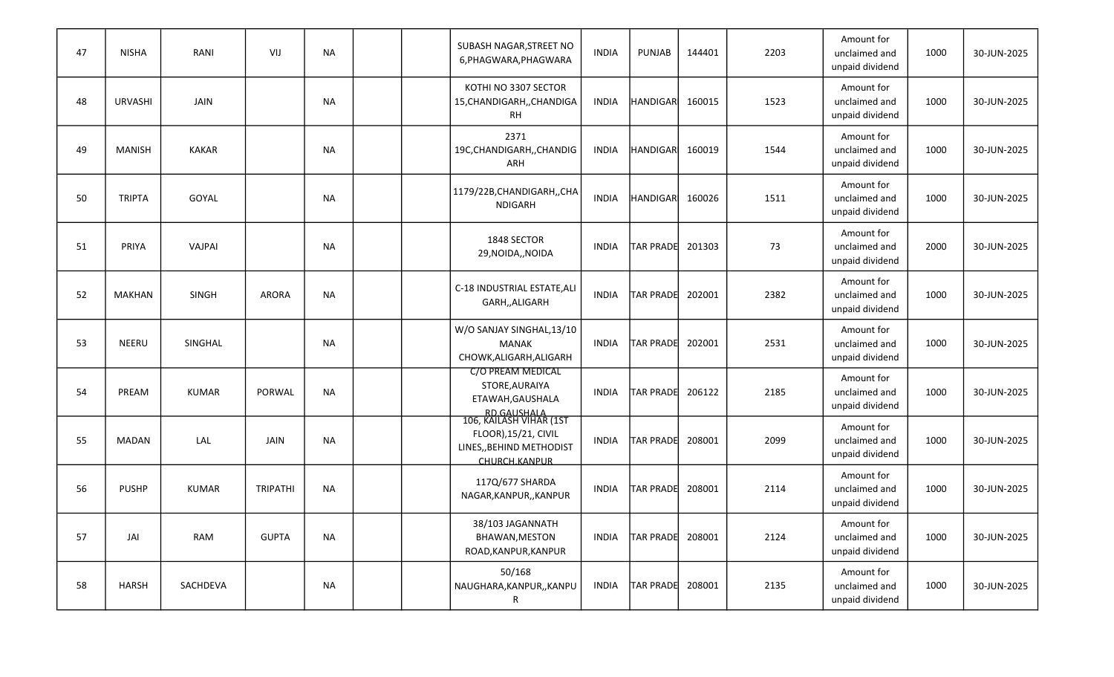| 47 | <b>NISHA</b>   | RANI         | VIJ             | <b>NA</b> |  | SUBASH NAGAR, STREET NO<br>6, PHAGWARA, PHAGWARA                                                            | <b>INDIA</b> | <b>PUNJAB</b>    | 144401 | 2203 | Amount for<br>unclaimed and<br>unpaid dividend | 1000 | 30-JUN-2025 |
|----|----------------|--------------|-----------------|-----------|--|-------------------------------------------------------------------------------------------------------------|--------------|------------------|--------|------|------------------------------------------------|------|-------------|
| 48 | <b>URVASHI</b> | JAIN         |                 | <b>NA</b> |  | KOTHI NO 3307 SECTOR<br>15, CHANDIGARH, , CHANDIGA<br><b>RH</b>                                             | <b>INDIA</b> | HANDIGAR         | 160015 | 1523 | Amount for<br>unclaimed and<br>unpaid dividend | 1000 | 30-JUN-2025 |
| 49 | <b>MANISH</b>  | <b>KAKAR</b> |                 | <b>NA</b> |  | 2371<br>19C, CHANDIGARH, , CHANDIG<br>ARH                                                                   | <b>INDIA</b> | <b>HANDIGARI</b> | 160019 | 1544 | Amount for<br>unclaimed and<br>unpaid dividend | 1000 | 30-JUN-2025 |
| 50 | <b>TRIPTA</b>  | GOYAL        |                 | <b>NA</b> |  | 1179/22B, CHANDIGARH, , CHA<br><b>NDIGARH</b>                                                               | <b>INDIA</b> | HANDIGAR         | 160026 | 1511 | Amount for<br>unclaimed and<br>unpaid dividend | 1000 | 30-JUN-2025 |
| 51 | PRIYA          | VAJPAI       |                 | <b>NA</b> |  | 1848 SECTOR<br>29, NOIDA,, NOIDA                                                                            | <b>INDIA</b> | <b>TAR PRADE</b> | 201303 | 73   | Amount for<br>unclaimed and<br>unpaid dividend | 2000 | 30-JUN-2025 |
| 52 | <b>MAKHAN</b>  | SINGH        | <b>ARORA</b>    | <b>NA</b> |  | C-18 INDUSTRIAL ESTATE, ALI<br>GARH,, ALIGARH                                                               | <b>INDIA</b> | <b>TAR PRADE</b> | 202001 | 2382 | Amount for<br>unclaimed and<br>unpaid dividend | 1000 | 30-JUN-2025 |
| 53 | <b>NEERU</b>   | SINGHAL      |                 | <b>NA</b> |  | W/O SANJAY SINGHAL,13/10<br><b>MANAK</b><br>CHOWK, ALIGARH, ALIGARH                                         | <b>INDIA</b> | <b>TAR PRADE</b> | 202001 | 2531 | Amount for<br>unclaimed and<br>unpaid dividend | 1000 | 30-JUN-2025 |
| 54 | PREAM          | <b>KUMAR</b> | PORWAL          | <b>NA</b> |  | <b>C/O PREAM MEDICAL</b><br>STORE, AURAIYA<br>ETAWAH, GAUSHALA                                              | <b>INDIA</b> | <b>TAR PRADE</b> | 206122 | 2185 | Amount for<br>unclaimed and<br>unpaid dividend | 1000 | 30-JUN-2025 |
| 55 | <b>MADAN</b>   | LAL          | JAIN            | <b>NA</b> |  | RD.GAUSHALA<br>106, KAILASH VIHAR (1ST<br>FLOOR), 15/21, CIVIL<br>LINES,, BEHIND METHODIST<br>CHURCH.KANPUR | <b>INDIA</b> | TAR PRADE        | 208001 | 2099 | Amount for<br>unclaimed and<br>unpaid dividend | 1000 | 30-JUN-2025 |
| 56 | <b>PUSHP</b>   | <b>KUMAR</b> | <b>TRIPATHI</b> | <b>NA</b> |  | 117Q/677 SHARDA<br>NAGAR, KANPUR, , KANPUR                                                                  | <b>INDIA</b> | <b>TAR PRADE</b> | 208001 | 2114 | Amount for<br>unclaimed and<br>unpaid dividend | 1000 | 30-JUN-2025 |
| 57 | JAI            | RAM          | <b>GUPTA</b>    | <b>NA</b> |  | 38/103 JAGANNATH<br>BHAWAN, MESTON<br>ROAD, KANPUR, KANPUR                                                  | <b>INDIA</b> | <b>TAR PRADE</b> | 208001 | 2124 | Amount for<br>unclaimed and<br>unpaid dividend | 1000 | 30-JUN-2025 |
| 58 | <b>HARSH</b>   | SACHDEVA     |                 | NA        |  | 50/168<br>NAUGHARA, KANPUR,, KANPU<br>R                                                                     | <b>INDIA</b> | TAR PRADE 208001 |        | 2135 | Amount for<br>unclaimed and<br>unpaid dividend | 1000 | 30-JUN-2025 |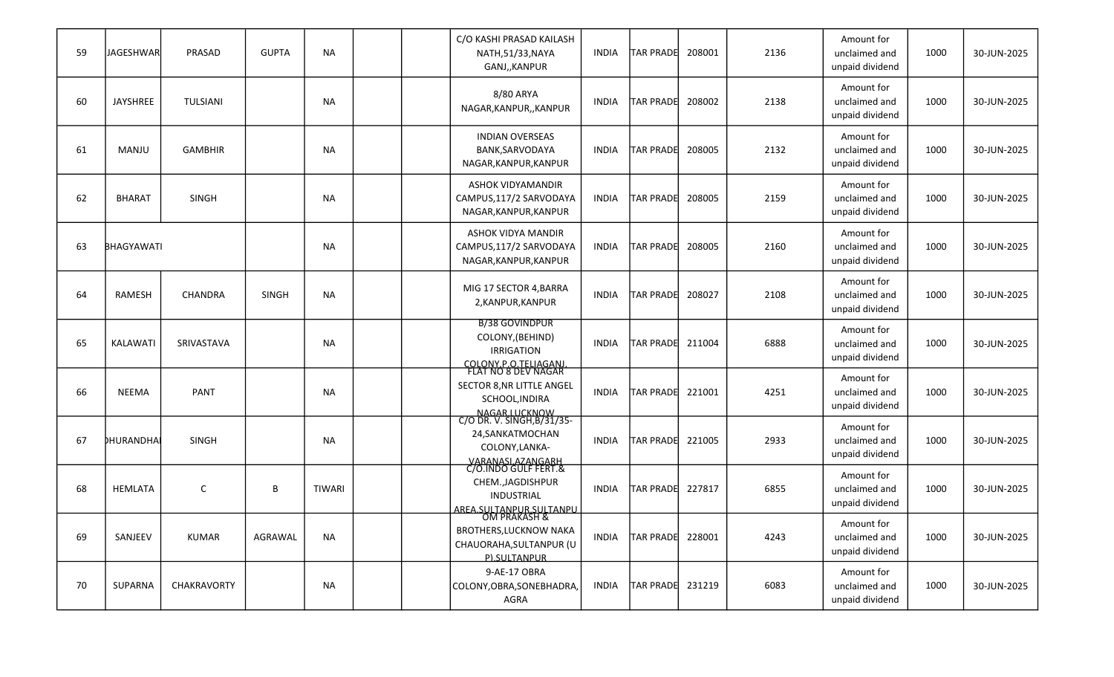| 59 | <b>JAGESHWAR</b>  | PRASAD         | <b>GUPTA</b> | <b>NA</b>     |  | C/O KASHI PRASAD KAILASH<br>NATH, 51/33, NAYA<br>GANJ,, KANPUR                                                      | <b>INDIA</b> | <b>TAR PRADE</b>        | 208001 | 2136 | Amount for<br>unclaimed and<br>unpaid dividend | 1000 | 30-JUN-2025 |
|----|-------------------|----------------|--------------|---------------|--|---------------------------------------------------------------------------------------------------------------------|--------------|-------------------------|--------|------|------------------------------------------------|------|-------------|
| 60 | <b>JAYSHREE</b>   | TULSIANI       |              | <b>NA</b>     |  | 8/80 ARYA<br>NAGAR, KANPUR, , KANPUR                                                                                | <b>INDIA</b> | TAR PRADE 208002        |        | 2138 | Amount for<br>unclaimed and<br>unpaid dividend | 1000 | 30-JUN-2025 |
| 61 | MANJU             | <b>GAMBHIR</b> |              | <b>NA</b>     |  | <b>INDIAN OVERSEAS</b><br>BANK, SARVODAYA<br>NAGAR, KANPUR, KANPUR                                                  | <b>INDIA</b> | <b>TAR PRADE</b>        | 208005 | 2132 | Amount for<br>unclaimed and<br>unpaid dividend | 1000 | 30-JUN-2025 |
| 62 | <b>BHARAT</b>     | <b>SINGH</b>   |              | <b>NA</b>     |  | ASHOK VIDYAMANDIR<br>CAMPUS, 117/2 SARVODAYA<br>NAGAR, KANPUR, KANPUR                                               | <b>INDIA</b> | <b>TAR PRADE</b>        | 208005 | 2159 | Amount for<br>unclaimed and<br>unpaid dividend | 1000 | 30-JUN-2025 |
| 63 | <b>BHAGYAWATI</b> |                |              | <b>NA</b>     |  | ASHOK VIDYA MANDIR<br>CAMPUS,117/2 SARVODAYA<br>NAGAR, KANPUR, KANPUR                                               | <b>INDIA</b> | <b>TAR PRADE</b>        | 208005 | 2160 | Amount for<br>unclaimed and<br>unpaid dividend | 1000 | 30-JUN-2025 |
| 64 | RAMESH            | <b>CHANDRA</b> | <b>SINGH</b> | <b>NA</b>     |  | MIG 17 SECTOR 4, BARRA<br>2, KANPUR, KANPUR                                                                         | <b>INDIA</b> | <b>TAR PRADE</b>        | 208027 | 2108 | Amount for<br>unclaimed and<br>unpaid dividend | 1000 | 30-JUN-2025 |
| 65 | KALAWATI          | SRIVASTAVA     |              | <b>NA</b>     |  | <b>B/38 GOVINDPUR</b><br>COLONY, (BEHIND)<br><b>IRRIGATION</b>                                                      | <b>INDIA</b> | TAR PRADE 211004        |        | 6888 | Amount for<br>unclaimed and<br>unpaid dividend | 1000 | 30-JUN-2025 |
| 66 | NEEMA             | <b>PANT</b>    |              | <b>NA</b>     |  | COLONY P.O.TELIAGANI<br>FLAT NO 8 DEV NAGAR<br>SECTOR 8, NR LITTLE ANGEL<br>SCHOOL, INDIRA                          | <b>INDIA</b> | <b>TAR PRADE</b>        | 221001 | 4251 | Amount for<br>unclaimed and<br>unpaid dividend | 1000 | 30-JUN-2025 |
| 67 | <b>DHURANDHA</b>  | <b>SINGH</b>   |              | <b>NA</b>     |  | NAGAR LUCKNOW<br>C/O DR. V. SINGH, B/31/35-<br>24, SANKATMOCHAN<br>COLONY, LANKA-                                   | <b>INDIA</b> | <b>TAR PRADE</b>        | 221005 | 2933 | Amount for<br>unclaimed and<br>unpaid dividend | 1000 | 30-JUN-2025 |
| 68 | <b>HEMLATA</b>    | C              | B            | <b>TIWARI</b> |  | VARANASLAZANGARH<br>C/O.INDO GULF FERT.&<br>CHEM., JAGDISHPUR<br><b>INDUSTRIAL</b>                                  | <b>INDIA</b> | <b>TAR PRADE 227817</b> |        | 6855 | Amount for<br>unclaimed and<br>unpaid dividend | 1000 | 30-JUN-2025 |
| 69 | SANJEEV           | KUMAR          | AGRAWAL      | <b>NA</b>     |  | AREA.SULTANPUR.SULTANPU<br>OM PRAKASH &<br><b>BROTHERS, LUCKNOW NAKA</b><br>CHAUORAHA, SULTANPUR (U<br>P).SULTANPUR | <b>INDIA</b> | TAR PRADE 228001        |        | 4243 | Amount for<br>unclaimed and<br>unpaid dividend | 1000 | 30-JUN-2025 |
| 70 | SUPARNA           | CHAKRAVORTY    |              | NA            |  | 9-AE-17 OBRA<br>COLONY, OBRA, SONEBHADRA,<br>AGRA                                                                   | <b>INDIA</b> | TAR PRADE 231219        |        | 6083 | Amount for<br>unclaimed and<br>unpaid dividend | 1000 | 30-JUN-2025 |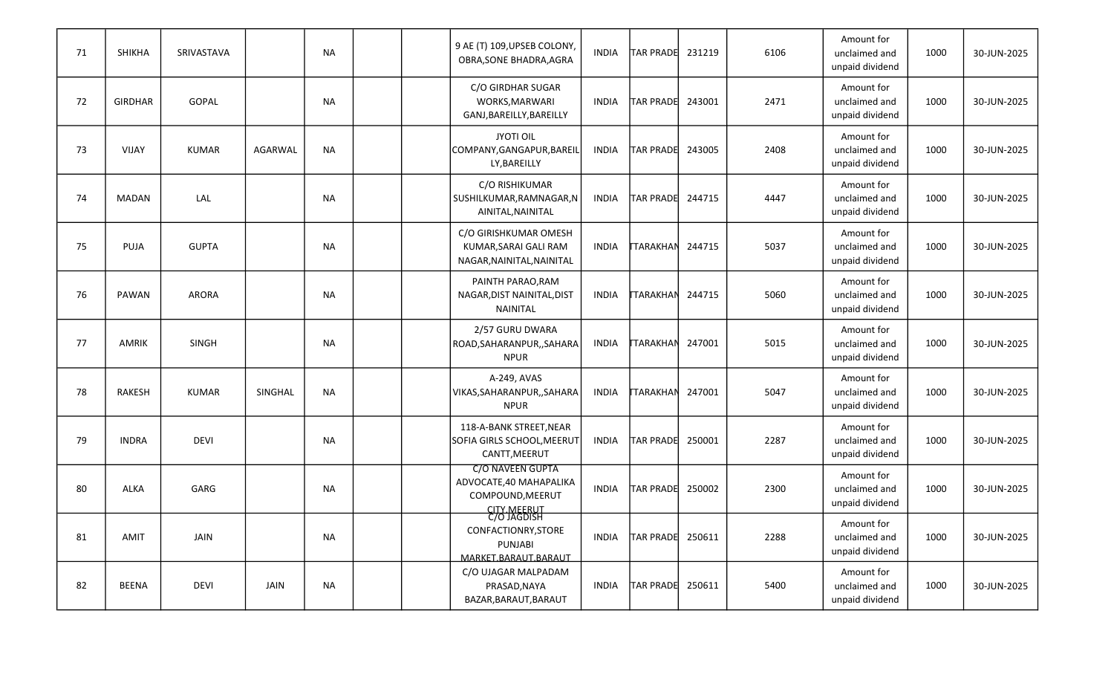| 71 | SHIKHA         | SRIVASTAVA   |             | <b>NA</b> |  | 9 AE (T) 109, UPSEB COLONY,<br>OBRA, SONE BHADRA, AGRA                               | <b>INDIA</b> | <b>TAR PRADE</b> | 231219 | 6106 | Amount for<br>unclaimed and<br>unpaid dividend | 1000 | 30-JUN-2025 |
|----|----------------|--------------|-------------|-----------|--|--------------------------------------------------------------------------------------|--------------|------------------|--------|------|------------------------------------------------|------|-------------|
| 72 | <b>GIRDHAR</b> | GOPAL        |             | <b>NA</b> |  | C/O GIRDHAR SUGAR<br>WORKS, MARWARI<br>GANJ, BAREILLY, BAREILLY                      | INDIA        | TAR PRADE        | 243001 | 2471 | Amount for<br>unclaimed and<br>unpaid dividend | 1000 | 30-JUN-2025 |
| 73 | VIJAY          | <b>KUMAR</b> | AGARWAL     | <b>NA</b> |  | <b>JYOTI OIL</b><br>COMPANY, GANGAPUR, BAREIL<br>LY, BAREILLY                        | <b>INDIA</b> | TAR PRADE        | 243005 | 2408 | Amount for<br>unclaimed and<br>unpaid dividend | 1000 | 30-JUN-2025 |
| 74 | <b>MADAN</b>   | LAL          |             | <b>NA</b> |  | C/O RISHIKUMAR<br>SUSHILKUMAR, RAMNAGAR, N<br>AINITAL, NAINITAL                      | <b>INDIA</b> | TAR PRADE        | 244715 | 4447 | Amount for<br>unclaimed and<br>unpaid dividend | 1000 | 30-JUN-2025 |
| 75 | PUJA           | <b>GUPTA</b> |             | <b>NA</b> |  | C/O GIRISHKUMAR OMESH<br>KUMAR, SARAI GALI RAM<br>NAGAR, NAINITAL, NAINITAL          | INDIA        | <b>TARAKHAN</b>  | 244715 | 5037 | Amount for<br>unclaimed and<br>unpaid dividend | 1000 | 30-JUN-2025 |
| 76 | PAWAN          | ARORA        |             | <b>NA</b> |  | PAINTH PARAO, RAM<br>NAGAR, DIST NAINITAL, DIST<br>NAINITAL                          | <b>INDIA</b> | <b>TARAKHAN</b>  | 244715 | 5060 | Amount for<br>unclaimed and<br>unpaid dividend | 1000 | 30-JUN-2025 |
| 77 | <b>AMRIK</b>   | <b>SINGH</b> |             | <b>NA</b> |  | 2/57 GURU DWARA<br>ROAD, SAHARANPUR, , SAHARA<br><b>NPUR</b>                         | <b>INDIA</b> | <b>TARAKHAN</b>  | 247001 | 5015 | Amount for<br>unclaimed and<br>unpaid dividend | 1000 | 30-JUN-2025 |
| 78 | <b>RAKESH</b>  | <b>KUMAR</b> | SINGHAL     | <b>NA</b> |  | A-249, AVAS<br>VIKAS, SAHARANPUR, , SAHARA<br><b>NPUR</b>                            | <b>INDIA</b> | <b>TARAKHAN</b>  | 247001 | 5047 | Amount for<br>unclaimed and<br>unpaid dividend | 1000 | 30-JUN-2025 |
| 79 | <b>INDRA</b>   | <b>DEVI</b>  |             | <b>NA</b> |  | 118-A-BANK STREET, NEAR<br>SOFIA GIRLS SCHOOL, MEERUT<br>CANTT, MEERUT               | <b>INDIA</b> | TAR PRADE        | 250001 | 2287 | Amount for<br>unclaimed and<br>unpaid dividend | 1000 | 30-JUN-2025 |
| 80 | ALKA           | GARG         |             | <b>NA</b> |  | <b>C/O NAVEEN GUPTA</b><br>ADVOCATE, 40 MAHAPALIKA<br>COMPOUND, MEERUT               | INDIA        | <b>TAR PRADE</b> | 250002 | 2300 | Amount for<br>unclaimed and<br>unpaid dividend | 1000 | 30-JUN-2025 |
| 81 | AMIT           | JAIN         |             | <b>NA</b> |  | CITY.MEERUT<br>C/O JAGDISH<br>CONFACTIONRY, STORE<br>PUNJABI<br>MARKET.BARAUT.BARAUT | INDIA        | TAR PRADE 250611 |        | 2288 | Amount for<br>unclaimed and<br>unpaid dividend | 1000 | 30-JUN-2025 |
| 82 | <b>BEENA</b>   | <b>DEVI</b>  | <b>JAIN</b> | <b>NA</b> |  | C/O UJAGAR MALPADAM<br>PRASAD, NAYA<br>BAZAR, BARAUT, BARAUT                         | INDIA        | TAR PRADE 250611 |        | 5400 | Amount for<br>unclaimed and<br>unpaid dividend | 1000 | 30-JUN-2025 |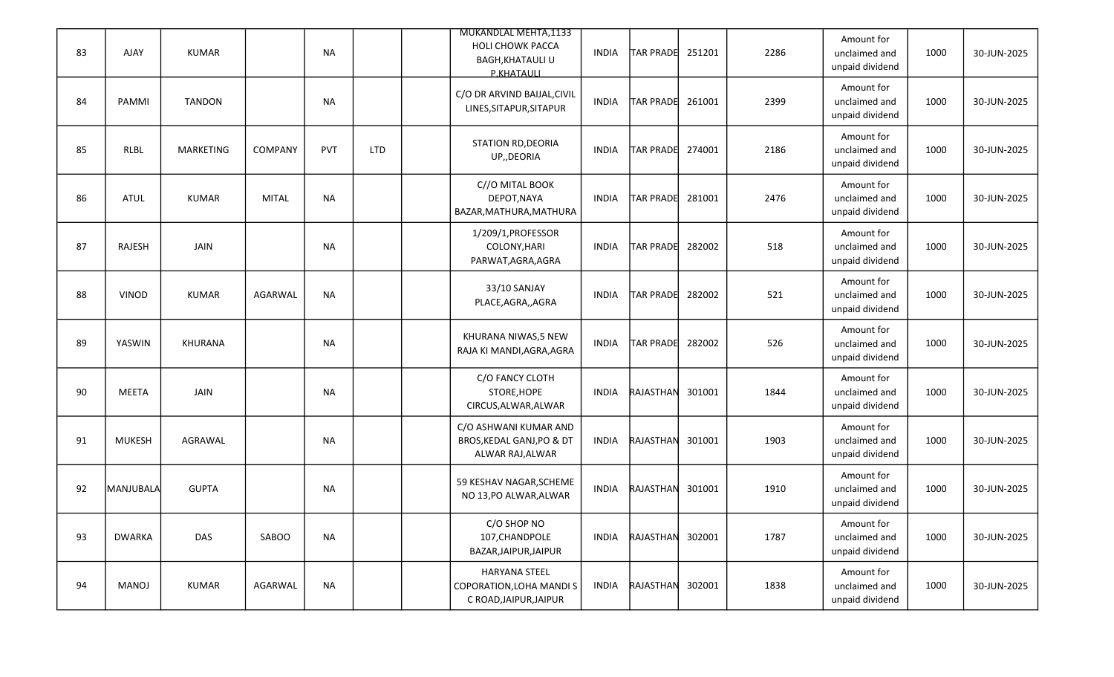| 83 | AJAY          | <b>KUMAR</b>     |                | <b>NA</b>  |            | MUKANDLAL MEHTA,1133<br><b>HOLI CHOWK PACCA</b><br><b>BAGH, KHATAULI U</b><br>P.KHATAULI | <b>INDIA</b> | <b>TAR PRADE</b> | 251201 | 2286 | Amount for<br>unclaimed and<br>unpaid dividend | 1000 | 30-JUN-2025 |
|----|---------------|------------------|----------------|------------|------------|------------------------------------------------------------------------------------------|--------------|------------------|--------|------|------------------------------------------------|------|-------------|
| 84 | PAMMI         | <b>TANDON</b>    |                | <b>NA</b>  |            | C/O DR ARVIND BAIJAL, CIVIL<br>LINES, SITAPUR, SITAPUR                                   | <b>INDIA</b> | <b>TAR PRADE</b> | 261001 | 2399 | Amount for<br>unclaimed and<br>unpaid dividend | 1000 | 30-JUN-2025 |
| 85 | <b>RLBL</b>   | <b>MARKETING</b> | <b>COMPANY</b> | <b>PVT</b> | <b>LTD</b> | <b>STATION RD, DEORIA</b><br>UP,, DEORIA                                                 | <b>INDIA</b> | <b>TAR PRADE</b> | 274001 | 2186 | Amount for<br>unclaimed and<br>unpaid dividend | 1000 | 30-JUN-2025 |
| 86 | <b>ATUL</b>   | <b>KUMAR</b>     | <b>MITAL</b>   | <b>NA</b>  |            | C//O MITAL BOOK<br>DEPOT, NAYA<br>BAZAR, MATHURA, MATHURA                                | <b>INDIA</b> | <b>TAR PRADE</b> | 281001 | 2476 | Amount for<br>unclaimed and<br>unpaid dividend | 1000 | 30-JUN-2025 |
| 87 | RAJESH        | JAIN             |                | <b>NA</b>  |            | 1/209/1, PROFESSOR<br>COLONY, HARI<br>PARWAT, AGRA, AGRA                                 | <b>INDIA</b> | <b>TAR PRADE</b> | 282002 | 518  | Amount for<br>unclaimed and<br>unpaid dividend | 1000 | 30-JUN-2025 |
| 88 | <b>VINOD</b>  | KUMAR            | AGARWAL        | <b>NA</b>  |            | 33/10 SANJAY<br>PLACE, AGRA, , AGRA                                                      | <b>INDIA</b> | <b>TAR PRADE</b> | 282002 | 521  | Amount for<br>unclaimed and<br>unpaid dividend | 1000 | 30-JUN-2025 |
| 89 | YASWIN        | <b>KHURANA</b>   |                | <b>NA</b>  |            | KHURANA NIWAS,5 NEW<br>RAJA KI MANDI, AGRA, AGRA                                         | <b>INDIA</b> | <b>TAR PRADE</b> | 282002 | 526  | Amount for<br>unclaimed and<br>unpaid dividend | 1000 | 30-JUN-2025 |
| 90 | MEETA         | <b>JAIN</b>      |                | <b>NA</b>  |            | C/O FANCY CLOTH<br>STORE, HOPE<br>CIRCUS, ALWAR, ALWAR                                   | <b>INDIA</b> | RAJASTHAN        | 301001 | 1844 | Amount for<br>unclaimed and<br>unpaid dividend | 1000 | 30-JUN-2025 |
| 91 | <b>MUKESH</b> | AGRAWAL          |                | <b>NA</b>  |            | C/O ASHWANI KUMAR AND<br>BROS, KEDAL GANJ, PO & DT<br>ALWAR RAJ, ALWAR                   | <b>INDIA</b> | RAJASTHAN        | 301001 | 1903 | Amount for<br>unclaimed and<br>unpaid dividend | 1000 | 30-JUN-2025 |
| 92 | MANJUBALA     | <b>GUPTA</b>     |                | <b>NA</b>  |            | 59 KESHAV NAGAR, SCHEME<br>NO 13, PO ALWAR, ALWAR                                        | <b>INDIA</b> | RAJASTHAN        | 301001 | 1910 | Amount for<br>unclaimed and<br>unpaid dividend | 1000 | 30-JUN-2025 |
| 93 | <b>DWARKA</b> | DAS              | SABOO          | <b>NA</b>  |            | C/O SHOP NO<br>107, CHANDPOLE<br>BAZAR, JAIPUR, JAIPUR                                   | INDIA        | RAJASTHAN        | 302001 | 1787 | Amount for<br>unclaimed and<br>unpaid dividend | 1000 | 30-JUN-2025 |
| 94 | MANOJ         | KUMAR            | AGARWAL        | <b>NA</b>  |            | HARYANA STEEL<br>COPORATION, LOHA MANDI S<br>C ROAD, JAIPUR, JAIPUR                      | <b>INDIA</b> | RAJASTHAN        | 302001 | 1838 | Amount for<br>unclaimed and<br>unpaid dividend | 1000 | 30-JUN-2025 |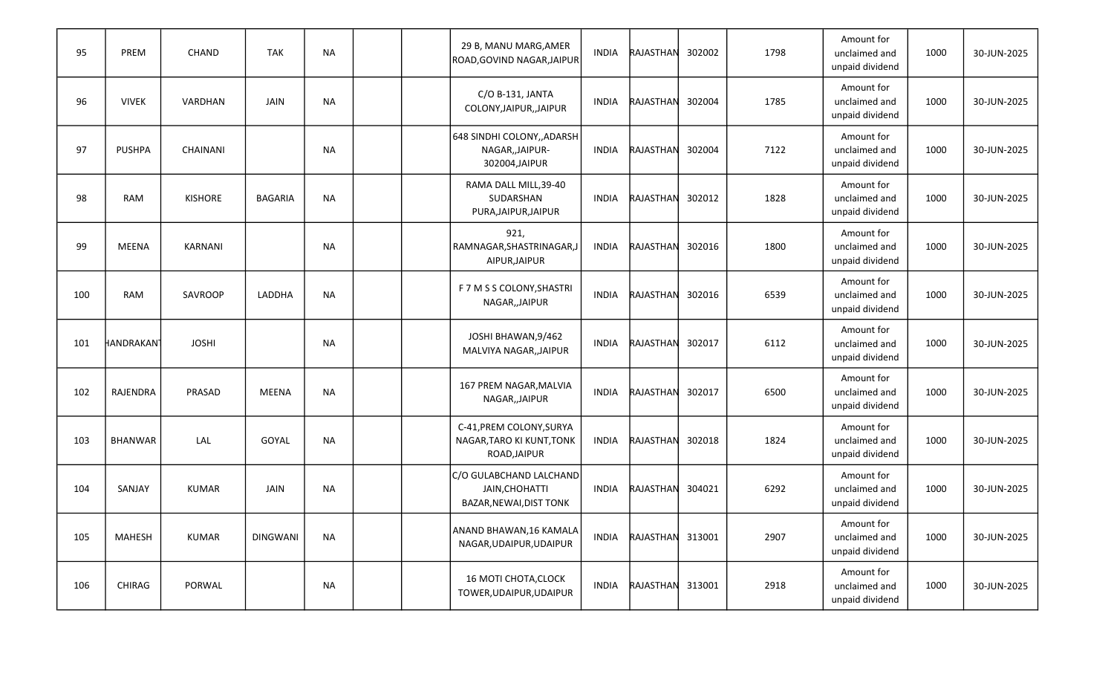| 95  | PREM                   | CHAND           | <b>TAK</b>      | <b>NA</b> |  | 29 B, MANU MARG, AMER<br>ROAD, GOVIND NAGAR, JAIPUR                   | <b>INDIA</b> | RAJASTHAN        | 302002 | 1798 | Amount for<br>unclaimed and<br>unpaid dividend | 1000 | 30-JUN-2025 |
|-----|------------------------|-----------------|-----------------|-----------|--|-----------------------------------------------------------------------|--------------|------------------|--------|------|------------------------------------------------|------|-------------|
| 96  | <b>VIVEK</b>           | VARDHAN         | JAIN            | <b>NA</b> |  | C/O B-131, JANTA<br>COLONY, JAIPUR, , JAIPUR                          | <b>INDIA</b> | RAJASTHAN        | 302004 | 1785 | Amount for<br>unclaimed and<br>unpaid dividend | 1000 | 30-JUN-2025 |
| 97  | <b>PUSHPA</b>          | <b>CHAINANI</b> |                 | <b>NA</b> |  | 648 SINDHI COLONY,, ADARSH<br>NAGAR,, JAIPUR-<br>302004, JAIPUR       | <b>INDIA</b> | RAJASTHAN        | 302004 | 7122 | Amount for<br>unclaimed and<br>unpaid dividend | 1000 | 30-JUN-2025 |
| 98  | <b>RAM</b>             | <b>KISHORE</b>  | <b>BAGARIA</b>  | <b>NA</b> |  | RAMA DALL MILL, 39-40<br>SUDARSHAN<br>PURA, JAIPUR, JAIPUR            | <b>INDIA</b> | RAJASTHAN        | 302012 | 1828 | Amount for<br>unclaimed and<br>unpaid dividend | 1000 | 30-JUN-2025 |
| 99  | MEENA                  | KARNANI         |                 | <b>NA</b> |  | 921,<br>RAMNAGAR, SHASTRINAGAR, J<br>AIPUR, JAIPUR                    | <b>INDIA</b> | RAJASTHAN        | 302016 | 1800 | Amount for<br>unclaimed and<br>unpaid dividend | 1000 | 30-JUN-2025 |
| 100 | <b>RAM</b>             | SAVROOP         | LADDHA          | <b>NA</b> |  | F 7 M S S COLONY, SHASTRI<br>NAGAR,, JAIPUR                           | <b>INDIA</b> | RAJASTHAN        | 302016 | 6539 | Amount for<br>unclaimed and<br>unpaid dividend | 1000 | 30-JUN-2025 |
| 101 | HANDRAKAN <sup>-</sup> | <b>JOSHI</b>    |                 | <b>NA</b> |  | JOSHI BHAWAN, 9/462<br>MALVIYA NAGAR,, JAIPUR                         | <b>INDIA</b> | RAJASTHAN        | 302017 | 6112 | Amount for<br>unclaimed and<br>unpaid dividend | 1000 | 30-JUN-2025 |
| 102 | RAJENDRA               | PRASAD          | <b>MEENA</b>    | <b>NA</b> |  | 167 PREM NAGAR, MALVIA<br>NAGAR,, JAIPUR                              | <b>INDIA</b> | RAJASTHAN        | 302017 | 6500 | Amount for<br>unclaimed and<br>unpaid dividend | 1000 | 30-JUN-2025 |
| 103 | <b>BHANWAR</b>         | LAL             | GOYAL           | <b>NA</b> |  | C-41, PREM COLONY, SURYA<br>NAGAR, TARO KI KUNT, TONK<br>ROAD, JAIPUR | <b>INDIA</b> | RAJASTHAN        | 302018 | 1824 | Amount for<br>unclaimed and<br>unpaid dividend | 1000 | 30-JUN-2025 |
| 104 | SANJAY                 | <b>KUMAR</b>    | JAIN            | <b>NA</b> |  | C/O GULABCHAND LALCHAND<br>JAIN, CHOHATTI<br>BAZAR, NEWAI, DIST TONK  | INDIA        | RAJASTHAN        | 304021 | 6292 | Amount for<br>unclaimed and<br>unpaid dividend | 1000 | 30-JUN-2025 |
| 105 | <b>MAHESH</b>          | <b>KUMAR</b>    | <b>DINGWANI</b> | <b>NA</b> |  | ANAND BHAWAN, 16 KAMALA<br>NAGAR, UDAIPUR, UDAIPUR                    | INDIA        | RAJASTHAN 313001 |        | 2907 | Amount for<br>unclaimed and<br>unpaid dividend | 1000 | 30-JUN-2025 |
| 106 | CHIRAG                 | PORWAL          |                 | NA        |  | <b>16 MOTI CHOTA, CLOCK</b><br>TOWER, UDAIPUR, UDAIPUR                | INDIA        | RAJASTHAN 313001 |        | 2918 | Amount for<br>unclaimed and<br>unpaid dividend | 1000 | 30-JUN-2025 |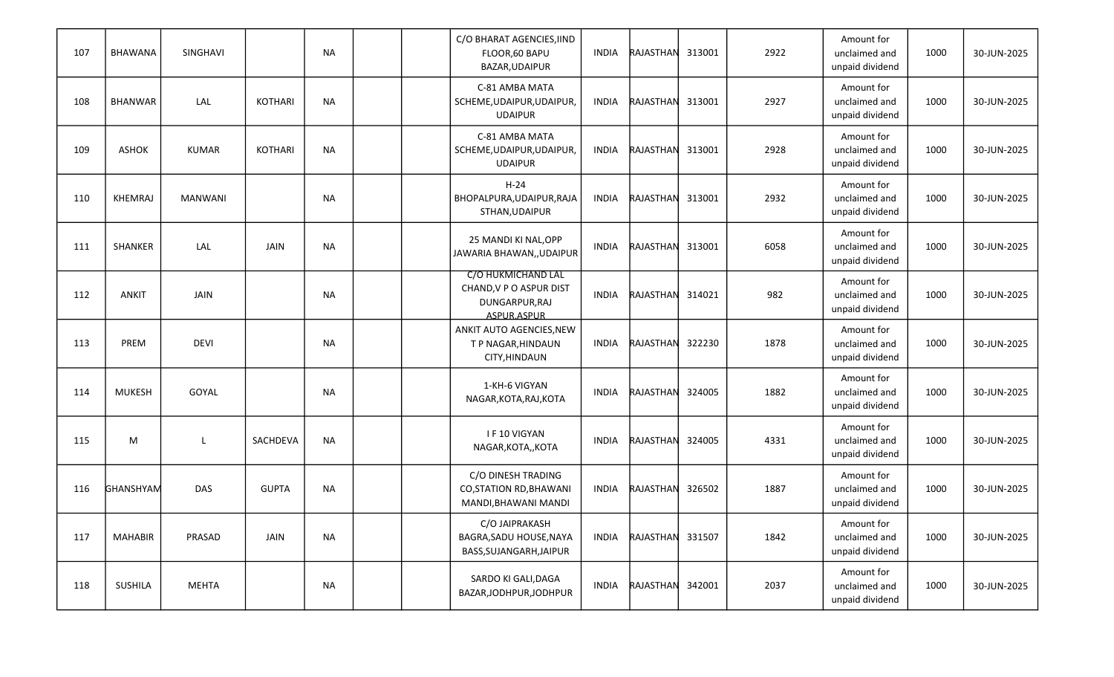| 107 | <b>BHAWANA</b> | SINGHAVI       |                | <b>NA</b> |  | C/O BHARAT AGENCIES, IIND<br>FLOOR,60 BAPU<br>BAZAR, UDAIPUR                   | <b>INDIA</b> | RAJASTHAN | 313001 | 2922 | Amount for<br>unclaimed and<br>unpaid dividend | 1000 | 30-JUN-2025 |
|-----|----------------|----------------|----------------|-----------|--|--------------------------------------------------------------------------------|--------------|-----------|--------|------|------------------------------------------------|------|-------------|
| 108 | <b>BHANWAR</b> | LAL            | <b>KOTHARI</b> | <b>NA</b> |  | C-81 AMBA MATA<br>SCHEME, UDAIPUR, UDAIPUR,<br><b>UDAIPUR</b>                  | <b>INDIA</b> | RAJASTHAN | 313001 | 2927 | Amount for<br>unclaimed and<br>unpaid dividend | 1000 | 30-JUN-2025 |
| 109 | ASHOK          | <b>KUMAR</b>   | <b>KOTHARI</b> | <b>NA</b> |  | C-81 AMBA MATA<br>SCHEME, UDAIPUR, UDAIPUR,<br><b>UDAIPUR</b>                  | <b>INDIA</b> | RAJASTHAN | 313001 | 2928 | Amount for<br>unclaimed and<br>unpaid dividend | 1000 | 30-JUN-2025 |
| 110 | <b>KHEMRAJ</b> | <b>MANWANI</b> |                | <b>NA</b> |  | $H-24$<br>BHOPALPURA, UDAIPUR, RAJA<br>STHAN, UDAIPUR                          | <b>INDIA</b> | RAJASTHAN | 313001 | 2932 | Amount for<br>unclaimed and<br>unpaid dividend | 1000 | 30-JUN-2025 |
| 111 | SHANKER        | LAL            | JAIN           | <b>NA</b> |  | 25 MANDI KI NAL, OPP<br>JAWARIA BHAWAN,, UDAIPUR                               | <b>INDIA</b> | RAJASTHAN | 313001 | 6058 | Amount for<br>unclaimed and<br>unpaid dividend | 1000 | 30-JUN-2025 |
| 112 | ANKIT          | <b>JAIN</b>    |                | <b>NA</b> |  | C/O HUKMICHAND LAL<br>CHAND, V P O ASPUR DIST<br>DUNGARPUR, RAJ<br>ASPUR.ASPUR | <b>INDIA</b> | RAJASTHAN | 314021 | 982  | Amount for<br>unclaimed and<br>unpaid dividend | 1000 | 30-JUN-2025 |
| 113 | PREM           | <b>DEVI</b>    |                | <b>NA</b> |  | ANKIT AUTO AGENCIES, NEW<br>T P NAGAR, HINDAUN<br>CITY, HINDAUN                | <b>INDIA</b> | RAJASTHAN | 322230 | 1878 | Amount for<br>unclaimed and<br>unpaid dividend | 1000 | 30-JUN-2025 |
| 114 | <b>MUKESH</b>  | GOYAL          |                | <b>NA</b> |  | 1-KH-6 VIGYAN<br>NAGAR, KOTA, RAJ, KOTA                                        | INDIA        | RAJASTHAN | 324005 | 1882 | Amount for<br>unclaimed and<br>unpaid dividend | 1000 | 30-JUN-2025 |
| 115 | M              | L              | SACHDEVA       | <b>NA</b> |  | I F 10 VIGYAN<br>NAGAR, KOTA,, KOTA                                            | <b>INDIA</b> | RAJASTHAN | 324005 | 4331 | Amount for<br>unclaimed and<br>unpaid dividend | 1000 | 30-JUN-2025 |
| 116 | GHANSHYAM      | DAS            | <b>GUPTA</b>   | <b>NA</b> |  | C/O DINESH TRADING<br><b>CO, STATION RD, BHAWANI</b><br>MANDI, BHAWANI MANDI   | INDIA        | RAJASTHAN | 326502 | 1887 | Amount for<br>unclaimed and<br>unpaid dividend | 1000 | 30-JUN-2025 |
| 117 | <b>MAHABIR</b> | PRASAD         | <b>JAIN</b>    | <b>NA</b> |  | C/O JAIPRAKASH<br>BAGRA, SADU HOUSE, NAYA<br>BASS, SUJANGARH, JAIPUR           | INDIA        | RAJASTHAN | 331507 | 1842 | Amount for<br>unclaimed and<br>unpaid dividend | 1000 | 30-JUN-2025 |
| 118 | SUSHILA        | <b>MEHTA</b>   |                | NA        |  | SARDO KI GALI, DAGA<br>BAZAR, JODHPUR, JODHPUR                                 | INDIA        | RAJASTHAN | 342001 | 2037 | Amount for<br>unclaimed and<br>unpaid dividend | 1000 | 30-JUN-2025 |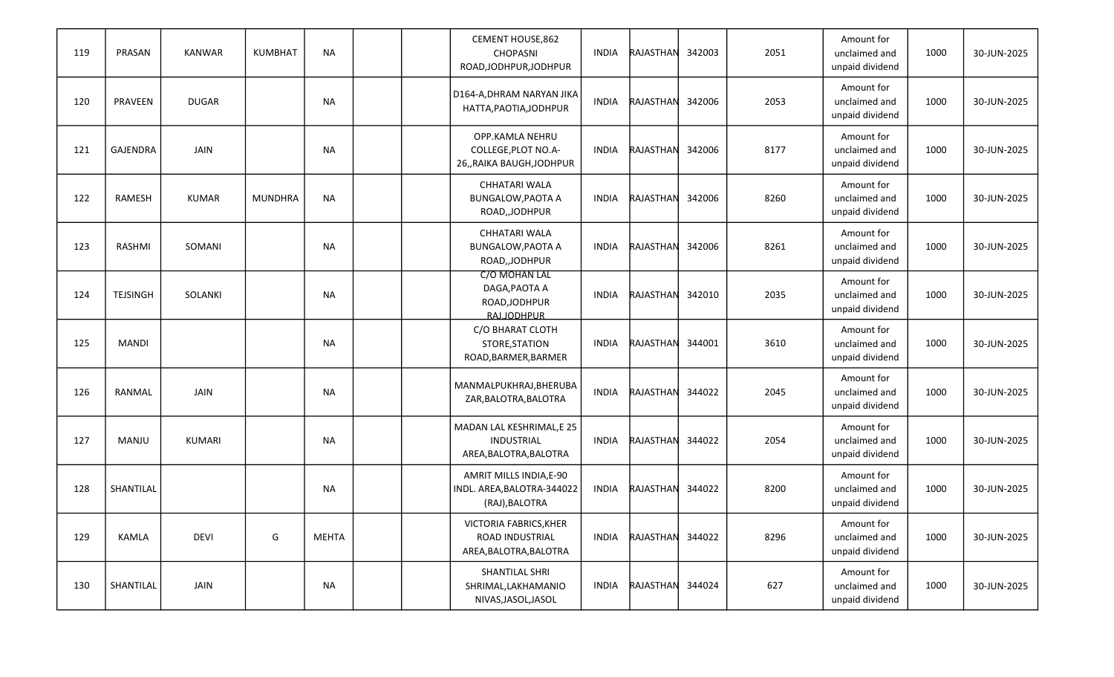| 119 | PRASAN          | <b>KANWAR</b> | <b>KUMBHAT</b> | <b>NA</b>    |  | CEMENT HOUSE,862<br>CHOPASNI<br>ROAD, JODHPUR, JODHPUR                   | <b>INDIA</b> | RAJASTHAN        | 342003 | 2051 | Amount for<br>unclaimed and<br>unpaid dividend | 1000 | 30-JUN-2025 |
|-----|-----------------|---------------|----------------|--------------|--|--------------------------------------------------------------------------|--------------|------------------|--------|------|------------------------------------------------|------|-------------|
| 120 | PRAVEEN         | <b>DUGAR</b>  |                | <b>NA</b>    |  | D164-A, DHRAM NARYAN JIKA<br>HATTA, PAOTIA, JODHPUR                      | <b>INDIA</b> | RAJASTHAN        | 342006 | 2053 | Amount for<br>unclaimed and<br>unpaid dividend | 1000 | 30-JUN-2025 |
| 121 | <b>GAJENDRA</b> | <b>JAIN</b>   |                | <b>NA</b>    |  | OPP.KAMLA NEHRU<br>COLLEGE, PLOT NO.A-<br>26,, RAIKA BAUGH, JODHPUR      | <b>INDIA</b> | RAJASTHAN        | 342006 | 8177 | Amount for<br>unclaimed and<br>unpaid dividend | 1000 | 30-JUN-2025 |
| 122 | RAMESH          | <b>KUMAR</b>  | <b>MUNDHRA</b> | <b>NA</b>    |  | CHHATARI WALA<br><b>BUNGALOW, PAOTA A</b><br>ROAD,,JODHPUR               | INDIA        | RAJASTHAN        | 342006 | 8260 | Amount for<br>unclaimed and<br>unpaid dividend | 1000 | 30-JUN-2025 |
| 123 | RASHMI          | SOMANI        |                | <b>NA</b>    |  | CHHATARI WALA<br><b>BUNGALOW, PAOTA A</b><br>ROAD, JODHPUR               | <b>INDIA</b> | RAJASTHAN        | 342006 | 8261 | Amount for<br>unclaimed and<br>unpaid dividend | 1000 | 30-JUN-2025 |
| 124 | <b>TEJSINGH</b> | SOLANKI       |                | <b>NA</b>    |  | C/O MOHAN LAL<br>DAGA, PAOTA A<br>ROAD, JODHPUR<br><b>RAIJODHPUR</b>     | <b>INDIA</b> | RAJASTHAN        | 342010 | 2035 | Amount for<br>unclaimed and<br>unpaid dividend | 1000 | 30-JUN-2025 |
| 125 | <b>MANDI</b>    |               |                | <b>NA</b>    |  | C/O BHARAT CLOTH<br>STORE, STATION<br>ROAD, BARMER, BARMER               | INDIA        | RAJASTHAN        | 344001 | 3610 | Amount for<br>unclaimed and<br>unpaid dividend | 1000 | 30-JUN-2025 |
| 126 | RANMAL          | <b>JAIN</b>   |                | <b>NA</b>    |  | MANMALPUKHRAJ, BHERUBA<br>ZAR, BALOTRA, BALOTRA                          | <b>INDIA</b> | RAJASTHAN        | 344022 | 2045 | Amount for<br>unclaimed and<br>unpaid dividend | 1000 | 30-JUN-2025 |
| 127 | MANJU           | KUMARI        |                | <b>NA</b>    |  | MADAN LAL KESHRIMAL, E 25<br><b>INDUSTRIAL</b><br>AREA, BALOTRA, BALOTRA | <b>INDIA</b> | RAJASTHAN        | 344022 | 2054 | Amount for<br>unclaimed and<br>unpaid dividend | 1000 | 30-JUN-2025 |
| 128 | SHANTILAL       |               |                | NA           |  | AMRIT MILLS INDIA, E-90<br>INDL. AREA, BALOTRA-344022<br>(RAJ), BALOTRA  | <b>INDIA</b> | RAJASTHAN        | 344022 | 8200 | Amount for<br>unclaimed and<br>unpaid dividend | 1000 | 30-JUN-2025 |
| 129 | KAMLA           | <b>DEVI</b>   | G              | <b>MEHTA</b> |  | VICTORIA FABRICS, KHER<br>ROAD INDUSTRIAL<br>AREA, BALOTRA, BALOTRA      | <b>INDIA</b> | RAJASTHAN 344022 |        | 8296 | Amount for<br>unclaimed and<br>unpaid dividend | 1000 | 30-JUN-2025 |
| 130 | SHANTILAL       | JAIN          |                | NA           |  | SHANTILAL SHRI<br>SHRIMAL, LAKHAMANIO<br>NIVAS, JASOL, JASOL             | INDIA        | RAJASTHAN 344024 |        | 627  | Amount for<br>unclaimed and<br>unpaid dividend | 1000 | 30-JUN-2025 |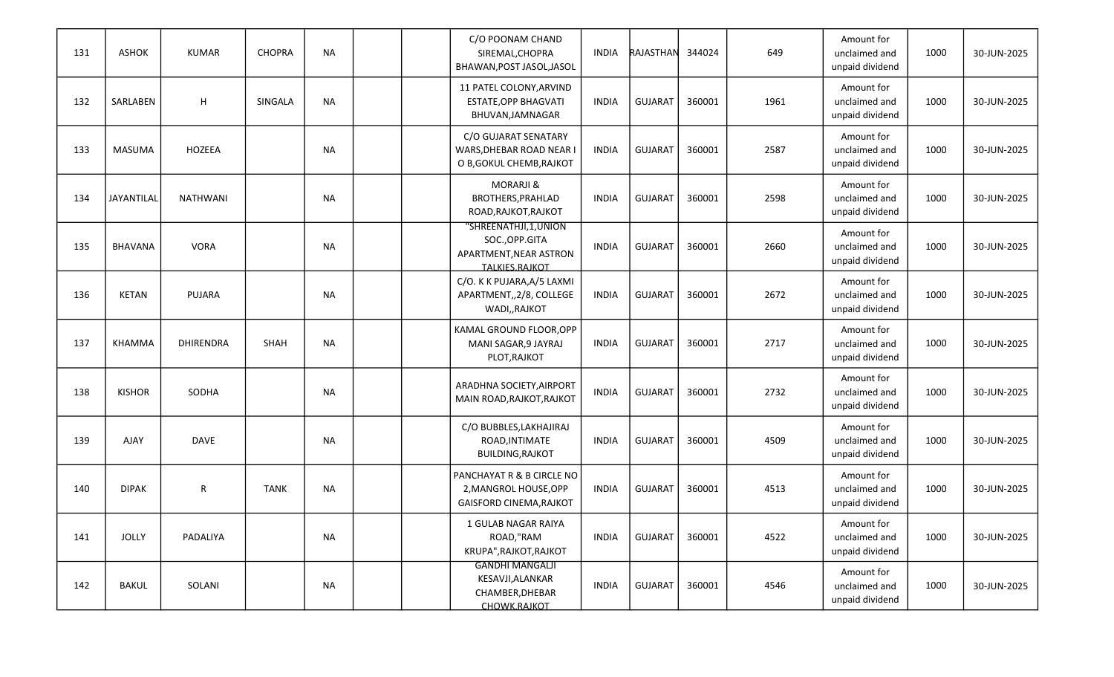| 131 | <b>ASHOK</b>   | <b>KUMAR</b>     | <b>CHOPRA</b> | <b>NA</b> |  | C/O POONAM CHAND<br>SIREMAL, CHOPRA<br>BHAWAN, POST JASOL, JASOL                   | <b>INDIA</b> | RAJASTHAN      | 344024 | 649  | Amount for<br>unclaimed and<br>unpaid dividend | 1000 | 30-JUN-2025 |
|-----|----------------|------------------|---------------|-----------|--|------------------------------------------------------------------------------------|--------------|----------------|--------|------|------------------------------------------------|------|-------------|
| 132 | SARLABEN       | H                | SINGALA       | <b>NA</b> |  | 11 PATEL COLONY, ARVIND<br>ESTATE, OPP BHAGVATI<br>BHUVAN, JAMNAGAR                | <b>INDIA</b> | <b>GUJARAT</b> | 360001 | 1961 | Amount for<br>unclaimed and<br>unpaid dividend | 1000 | 30-JUN-2025 |
| 133 | <b>MASUMA</b>  | HOZEEA           |               | <b>NA</b> |  | C/O GUJARAT SENATARY<br>WARS, DHEBAR ROAD NEAR I<br>O B, GOKUL CHEMB, RAJKOT       | <b>INDIA</b> | <b>GUJARAT</b> | 360001 | 2587 | Amount for<br>unclaimed and<br>unpaid dividend | 1000 | 30-JUN-2025 |
| 134 | JAYANTILAL     | <b>NATHWANI</b>  |               | <b>NA</b> |  | <b>MORARJI &amp;</b><br>BROTHERS, PRAHLAD<br>ROAD, RAJKOT, RAJKOT                  | INDIA        | <b>GUJARAT</b> | 360001 | 2598 | Amount for<br>unclaimed and<br>unpaid dividend | 1000 | 30-JUN-2025 |
| 135 | <b>BHAVANA</b> | <b>VORA</b>      |               | <b>NA</b> |  | "SHREENATHJI,1,UNION<br>SOC., OPP.GITA<br>APARTMENT, NEAR ASTRON<br>TALKIES.RAJKOT | <b>INDIA</b> | <b>GUJARAT</b> | 360001 | 2660 | Amount for<br>unclaimed and<br>unpaid dividend | 1000 | 30-JUN-2025 |
| 136 | <b>KETAN</b>   | PUJARA           |               | <b>NA</b> |  | C/O. K K PUJARA, A/5 LAXMI<br>APARTMENT,, 2/8, COLLEGE<br>WADI,, RAJKOT            | <b>INDIA</b> | <b>GUJARAT</b> | 360001 | 2672 | Amount for<br>unclaimed and<br>unpaid dividend | 1000 | 30-JUN-2025 |
| 137 | <b>KHAMMA</b>  | <b>DHIRENDRA</b> | SHAH          | <b>NA</b> |  | KAMAL GROUND FLOOR, OPP<br>MANI SAGAR, 9 JAYRAJ<br>PLOT, RAJKOT                    | <b>INDIA</b> | <b>GUJARAT</b> | 360001 | 2717 | Amount for<br>unclaimed and<br>unpaid dividend | 1000 | 30-JUN-2025 |
| 138 | <b>KISHOR</b>  | SODHA            |               | <b>NA</b> |  | ARADHNA SOCIETY, AIRPORT<br>MAIN ROAD, RAJKOT, RAJKOT                              | <b>INDIA</b> | <b>GUJARAT</b> | 360001 | 2732 | Amount for<br>unclaimed and<br>unpaid dividend | 1000 | 30-JUN-2025 |
| 139 | <b>AJAY</b>    | <b>DAVE</b>      |               | <b>NA</b> |  | C/O BUBBLES, LAKHAJIRAJ<br>ROAD, INTIMATE<br><b>BUILDING, RAJKOT</b>               | <b>INDIA</b> | <b>GUJARAT</b> | 360001 | 4509 | Amount for<br>unclaimed and<br>unpaid dividend | 1000 | 30-JUN-2025 |
| 140 | <b>DIPAK</b>   | $\mathsf{R}$     | <b>TANK</b>   | NA        |  | PANCHAYAT R & B CIRCLE NO<br>2, MANGROL HOUSE, OPP<br>GAISFORD CINEMA, RAJKOT      | <b>INDIA</b> | <b>GUJARAT</b> | 360001 | 4513 | Amount for<br>unclaimed and<br>unpaid dividend | 1000 | 30-JUN-2025 |
| 141 | <b>JOLLY</b>   | PADALIYA         |               | <b>NA</b> |  | 1 GULAB NAGAR RAIYA<br>ROAD,"RAM<br>KRUPA", RAJKOT, RAJKOT                         | <b>INDIA</b> | GUJARAT        | 360001 | 4522 | Amount for<br>unclaimed and<br>unpaid dividend | 1000 | 30-JUN-2025 |
| 142 | <b>BAKUL</b>   | SOLANI           |               | <b>NA</b> |  | <b>GANDHI MANGALJI</b><br>KESAVJI, ALANKAR<br>CHAMBER, DHEBAR<br>CHOWK.RAJKOT      | INDIA        | GUJARAT        | 360001 | 4546 | Amount for<br>unclaimed and<br>unpaid dividend | 1000 | 30-JUN-2025 |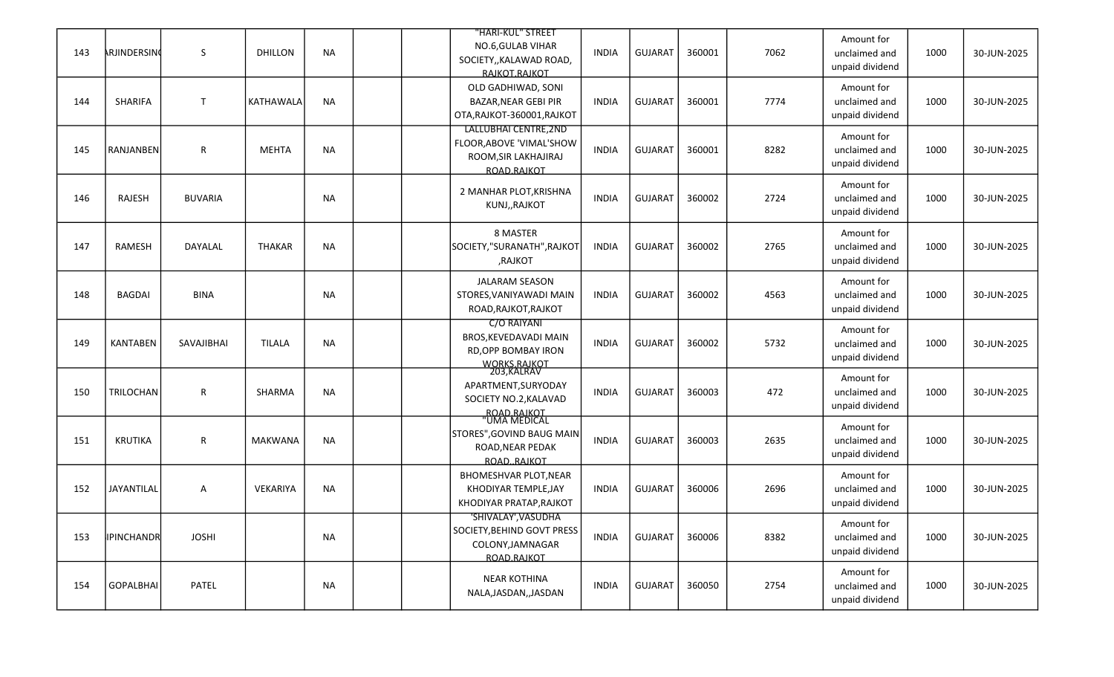| 143 | ARJINDERSING      | S              | <b>DHILLON</b> | <b>NA</b> |  | "HARI-KUL" STREET<br>NO.6, GULAB VIHAR<br>SOCIETY,, KALAWAD ROAD,<br>RAJKOT.RAJKOT                        | <b>INDIA</b> | <b>GUJARAT</b> | 360001 | 7062 | Amount for<br>unclaimed and<br>unpaid dividend | 1000 | 30-JUN-2025 |
|-----|-------------------|----------------|----------------|-----------|--|-----------------------------------------------------------------------------------------------------------|--------------|----------------|--------|------|------------------------------------------------|------|-------------|
| 144 | SHARIFA           | $\mathsf{T}$   | KATHAWALA      | <b>NA</b> |  | OLD GADHIWAD, SONI<br><b>BAZAR, NEAR GEBI PIR</b><br>OTA, RAJKOT-360001, RAJKOT                           | INDIA        | <b>GUJARAT</b> | 360001 | 7774 | Amount for<br>unclaimed and<br>unpaid dividend | 1000 | 30-JUN-2025 |
| 145 | <b>RANJANBEN</b>  | $\mathsf R$    | <b>MEHTA</b>   | <b>NA</b> |  | LALLUBHAI CENTRE, 2ND<br>FLOOR, ABOVE 'VIMAL'SHOW<br>ROOM, SIR LAKHAJIRAJ<br>ROAD.RAIKOT                  | <b>INDIA</b> | <b>GUJARAT</b> | 360001 | 8282 | Amount for<br>unclaimed and<br>unpaid dividend | 1000 | 30-JUN-2025 |
| 146 | RAJESH            | <b>BUVARIA</b> |                | <b>NA</b> |  | 2 MANHAR PLOT, KRISHNA<br>KUNJ,, RAJKOT                                                                   | <b>INDIA</b> | <b>GUJARAT</b> | 360002 | 2724 | Amount for<br>unclaimed and<br>unpaid dividend | 1000 | 30-JUN-2025 |
| 147 | RAMESH            | DAYALAL        | <b>THAKAR</b>  | <b>NA</b> |  | 8 MASTER<br>SOCIETY,"SURANATH", RAJKOT<br>,RAJKOT                                                         | <b>INDIA</b> | <b>GUJARAT</b> | 360002 | 2765 | Amount for<br>unclaimed and<br>unpaid dividend | 1000 | 30-JUN-2025 |
| 148 | <b>BAGDAI</b>     | <b>BINA</b>    |                | <b>NA</b> |  | <b>JALARAM SEASON</b><br>STORES, VANIYAWADI MAIN<br>ROAD, RAJKOT, RAJKOT                                  | <b>INDIA</b> | <b>GUJARAT</b> | 360002 | 4563 | Amount for<br>unclaimed and<br>unpaid dividend | 1000 | 30-JUN-2025 |
| 149 | <b>KANTABEN</b>   | SAVAJIBHAI     | <b>TILALA</b>  | <b>NA</b> |  | C/O RAIYANI<br>BROS, KEVEDAVADI MAIN<br>RD, OPP BOMBAY IRON                                               | <b>INDIA</b> | <b>GUJARAT</b> | 360002 | 5732 | Amount for<br>unclaimed and<br>unpaid dividend | 1000 | 30-JUN-2025 |
| 150 | TRILOCHAN         | ${\sf R}$      | SHARMA         | <b>NA</b> |  | WORKS.RAJKOT<br>203,KALRAV<br>APARTMENT, SURYODAY<br>SOCIETY NO.2, KALAVAD<br>ROAD RAIKOT<br>"UMA MEDICAL | <b>INDIA</b> | <b>GUJARAT</b> | 360003 | 472  | Amount for<br>unclaimed and<br>unpaid dividend | 1000 | 30-JUN-2025 |
| 151 | <b>KRUTIKA</b>    | $\mathsf R$    | <b>MAKWANA</b> | <b>NA</b> |  | STORES", GOVIND BAUG MAIN<br>ROAD, NEAR PEDAK<br>ROADRAJKOT                                               | <b>INDIA</b> | <b>GUJARAT</b> | 360003 | 2635 | Amount for<br>unclaimed and<br>unpaid dividend | 1000 | 30-JUN-2025 |
| 152 | JAYANTILAL        | A              | VEKARIYA       | NA        |  | BHOMESHVAR PLOT, NEAR<br>KHODIYAR TEMPLE.JAY<br>KHODIYAR PRATAP, RAJKOT                                   | <b>INDIA</b> | <b>GUJARAT</b> | 360006 | 2696 | Amount for<br>unclaimed and<br>unpaid dividend | 1000 | 30-JUN-2025 |
| 153 | <b>IPINCHANDR</b> | <b>JOSHI</b>   |                | NA        |  | 'SHIVALAY', VASUDHA<br>SOCIETY, BEHIND GOVT PRESS<br>COLONY, JAMNAGAR<br>ROAD.RAJKOT                      | <b>INDIA</b> | <b>GUJARAT</b> | 360006 | 8382 | Amount for<br>unclaimed and<br>unpaid dividend | 1000 | 30-JUN-2025 |
| 154 | <b>GOPALBHAI</b>  | PATEL          |                | NA        |  | <b>NEAR KOTHINA</b><br>NALA, JASDAN, , JASDAN                                                             | <b>INDIA</b> | GUJARAT        | 360050 | 2754 | Amount for<br>unclaimed and<br>unpaid dividend | 1000 | 30-JUN-2025 |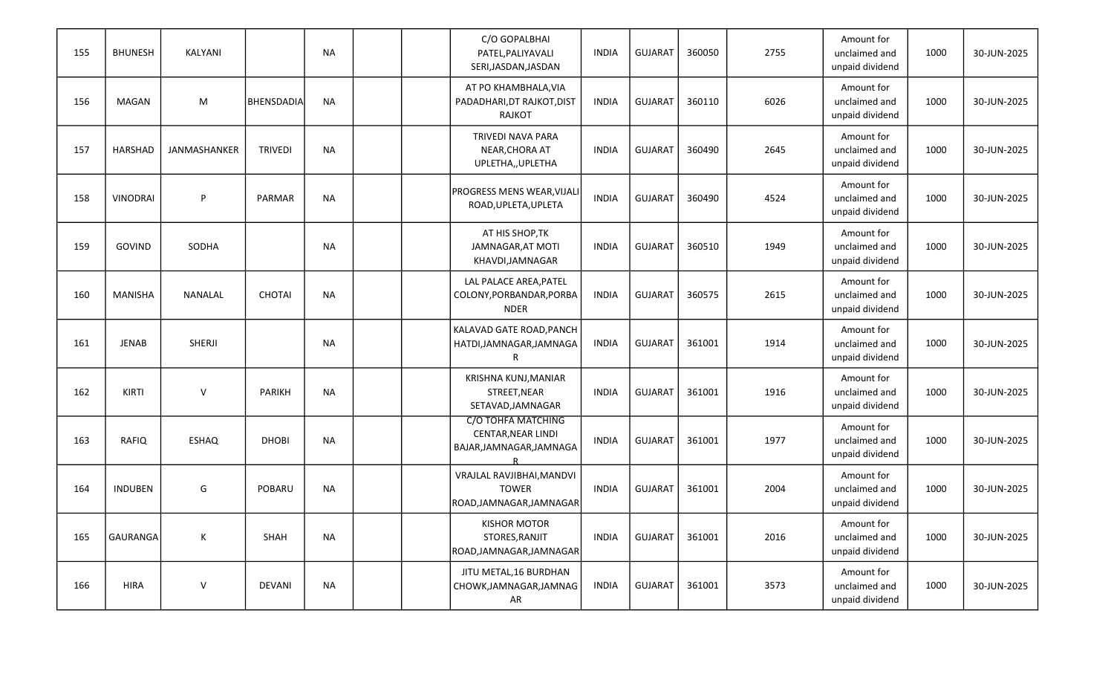| 155 | <b>BHUNESH</b>  | KALYANI        |                   | <b>NA</b> |  | C/O GOPALBHAI<br>PATEL, PALIYAVALI<br>SERI, JASDAN, JASDAN            | <b>INDIA</b> | <b>GUJARAT</b> | 360050 | 2755 | Amount for<br>unclaimed and<br>unpaid dividend | 1000 | 30-JUN-2025 |
|-----|-----------------|----------------|-------------------|-----------|--|-----------------------------------------------------------------------|--------------|----------------|--------|------|------------------------------------------------|------|-------------|
| 156 | <b>MAGAN</b>    | M              | <b>BHENSDADIA</b> | <b>NA</b> |  | AT PO KHAMBHALA, VIA<br>PADADHARI, DT RAJKOT, DIST<br><b>RAJKOT</b>   | <b>INDIA</b> | <b>GUJARAT</b> | 360110 | 6026 | Amount for<br>unclaimed and<br>unpaid dividend | 1000 | 30-JUN-2025 |
| 157 | HARSHAD         | JANMASHANKER   | <b>TRIVEDI</b>    | <b>NA</b> |  | <b>TRIVEDI NAVA PARA</b><br>NEAR, CHORA AT<br>UPLETHA,, UPLETHA       | <b>INDIA</b> | <b>GUJARAT</b> | 360490 | 2645 | Amount for<br>unclaimed and<br>unpaid dividend | 1000 | 30-JUN-2025 |
| 158 | <b>VINODRAI</b> | P              | PARMAR            | <b>NA</b> |  | PROGRESS MENS WEAR, VIJALI<br>ROAD, UPLETA, UPLETA                    | <b>INDIA</b> | <b>GUJARAT</b> | 360490 | 4524 | Amount for<br>unclaimed and<br>unpaid dividend | 1000 | 30-JUN-2025 |
| 159 | GOVIND          | SODHA          |                   | <b>NA</b> |  | AT HIS SHOP, TK<br>JAMNAGAR, AT MOTI<br>KHAVDI, JAMNAGAR              | <b>INDIA</b> | <b>GUJARAT</b> | 360510 | 1949 | Amount for<br>unclaimed and<br>unpaid dividend | 1000 | 30-JUN-2025 |
| 160 | <b>MANISHA</b>  | <b>NANALAL</b> | <b>CHOTAI</b>     | <b>NA</b> |  | LAL PALACE AREA, PATEL<br>COLONY, PORBANDAR, PORBA<br><b>NDER</b>     | <b>INDIA</b> | <b>GUJARAT</b> | 360575 | 2615 | Amount for<br>unclaimed and<br>unpaid dividend | 1000 | 30-JUN-2025 |
| 161 | <b>JENAB</b>    | SHERJI         |                   | <b>NA</b> |  | KALAVAD GATE ROAD, PANCH<br>HATDI, JAMNAGAR, JAMNAGA<br>R             | <b>INDIA</b> | <b>GUJARAT</b> | 361001 | 1914 | Amount for<br>unclaimed and<br>unpaid dividend | 1000 | 30-JUN-2025 |
| 162 | <b>KIRTI</b>    | V              | <b>PARIKH</b>     | <b>NA</b> |  | KRISHNA KUNJ, MANIAR<br>STREET, NEAR<br>SETAVAD, JAMNAGAR             | <b>INDIA</b> | <b>GUJARAT</b> | 361001 | 1916 | Amount for<br>unclaimed and<br>unpaid dividend | 1000 | 30-JUN-2025 |
| 163 | RAFIQ           | <b>ESHAQ</b>   | <b>DHOBI</b>      | <b>NA</b> |  | C/O TOHFA MATCHING<br>CENTAR, NEAR LINDI<br>BAJAR, JAMNAGAR, JAMNAGA  | <b>INDIA</b> | <b>GUJARAT</b> | 361001 | 1977 | Amount for<br>unclaimed and<br>unpaid dividend | 1000 | 30-JUN-2025 |
| 164 | <b>INDUBEN</b>  | G              | POBARU            | <b>NA</b> |  | VRAJLAL RAVJIBHAI, MANDVI<br><b>TOWER</b><br>ROAD, JAMNAGAR, JAMNAGAR | <b>INDIA</b> | <b>GUJARAT</b> | 361001 | 2004 | Amount for<br>unclaimed and<br>unpaid dividend | 1000 | 30-JUN-2025 |
| 165 | GAURANGA        | К              | SHAH              | <b>NA</b> |  | <b>KISHOR MOTOR</b><br>STORES, RANJIT<br>ROAD, JAMNAGAR, JAMNAGAR     | <b>INDIA</b> | <b>GUJARAT</b> | 361001 | 2016 | Amount for<br>unclaimed and<br>unpaid dividend | 1000 | 30-JUN-2025 |
| 166 | <b>HIRA</b>     | $\mathsf V$    | <b>DEVANI</b>     | <b>NA</b> |  | JITU METAL, 16 BURDHAN<br>CHOWK, JAMNAGAR, JAMNAG<br>AR               | INDIA        | <b>GUJARAT</b> | 361001 | 3573 | Amount for<br>unclaimed and<br>unpaid dividend | 1000 | 30-JUN-2025 |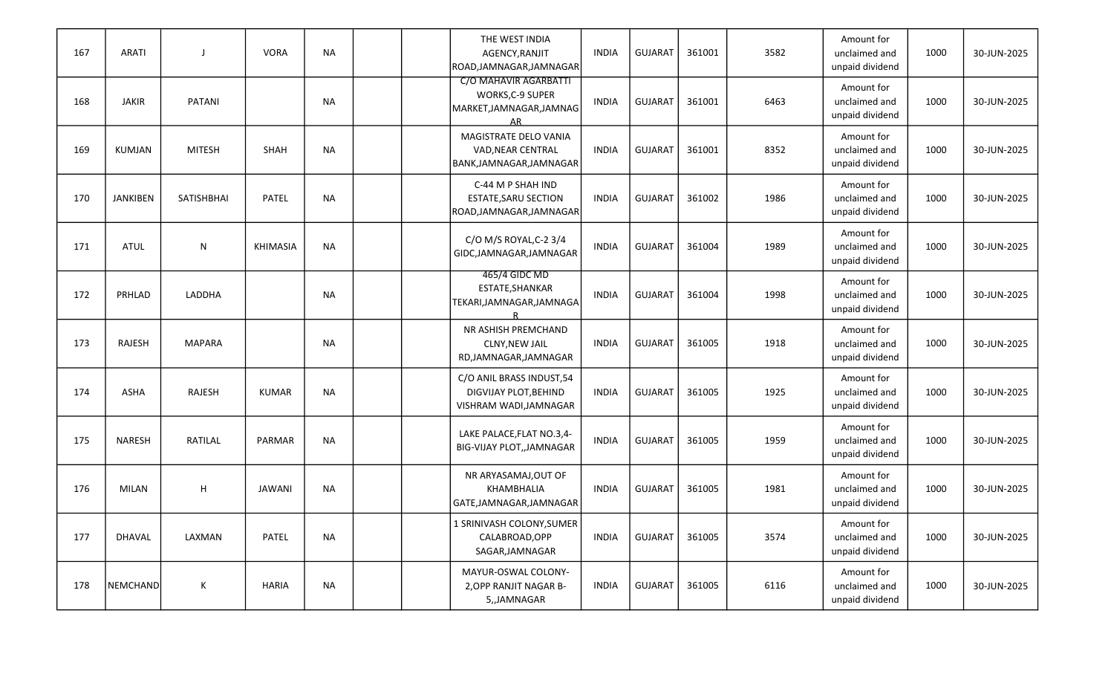| 167 | <b>ARATI</b>    |               | <b>VORA</b>   | <b>NA</b> |  | THE WEST INDIA<br>AGENCY, RANJIT<br>ROAD, JAMNAGAR, JAMNAGAR                 | <b>INDIA</b> | <b>GUJARAT</b> | 361001 | 3582 | Amount for<br>unclaimed and<br>unpaid dividend | 1000 | 30-JUN-2025 |
|-----|-----------------|---------------|---------------|-----------|--|------------------------------------------------------------------------------|--------------|----------------|--------|------|------------------------------------------------|------|-------------|
| 168 | <b>JAKIR</b>    | PATANI        |               | <b>NA</b> |  | C/O MAHAVIR AGARBATTI<br>WORKS, C-9 SUPER<br>MARKET, JAMNAGAR, JAMNAG<br>ΔR  | <b>INDIA</b> | <b>GUJARAT</b> | 361001 | 6463 | Amount for<br>unclaimed and<br>unpaid dividend | 1000 | 30-JUN-2025 |
| 169 | KUMJAN          | <b>MITESH</b> | SHAH          | <b>NA</b> |  | MAGISTRATE DELO VANIA<br>VAD, NEAR CENTRAL<br>BANK, JAMNAGAR, JAMNAGAR       | <b>INDIA</b> | <b>GUJARAT</b> | 361001 | 8352 | Amount for<br>unclaimed and<br>unpaid dividend | 1000 | 30-JUN-2025 |
| 170 | <b>JANKIBEN</b> | SATISHBHAI    | <b>PATEL</b>  | <b>NA</b> |  | C-44 M P SHAH IND<br><b>ESTATE, SARU SECTION</b><br>ROAD, JAMNAGAR, JAMNAGAR | <b>INDIA</b> | <b>GUJARAT</b> | 361002 | 1986 | Amount for<br>unclaimed and<br>unpaid dividend | 1000 | 30-JUN-2025 |
| 171 | <b>ATUL</b>     | N             | KHIMASIA      | <b>NA</b> |  | C/O M/S ROYAL, C-2 3/4<br>GIDC, JAMNAGAR, JAMNAGAR                           | <b>INDIA</b> | <b>GUJARAT</b> | 361004 | 1989 | Amount for<br>unclaimed and<br>unpaid dividend | 1000 | 30-JUN-2025 |
| 172 | PRHLAD          | LADDHA        |               | <b>NA</b> |  | 465/4 GIDC MD<br>ESTATE, SHANKAR<br>TEKARI, JAMNAGAR, JAMNAGA                | <b>INDIA</b> | <b>GUJARAT</b> | 361004 | 1998 | Amount for<br>unclaimed and<br>unpaid dividend | 1000 | 30-JUN-2025 |
| 173 | RAJESH          | <b>MAPARA</b> |               | <b>NA</b> |  | NR ASHISH PREMCHAND<br><b>CLNY, NEW JAIL</b><br>RD, JAMNAGAR, JAMNAGAR       | <b>INDIA</b> | <b>GUJARAT</b> | 361005 | 1918 | Amount for<br>unclaimed and<br>unpaid dividend | 1000 | 30-JUN-2025 |
| 174 | ASHA            | RAJESH        | <b>KUMAR</b>  | <b>NA</b> |  | C/O ANIL BRASS INDUST, 54<br>DIGVIJAY PLOT, BEHIND<br>VISHRAM WADI, JAMNAGAR | <b>INDIA</b> | <b>GUJARAT</b> | 361005 | 1925 | Amount for<br>unclaimed and<br>unpaid dividend | 1000 | 30-JUN-2025 |
| 175 | <b>NARESH</b>   | RATILAL       | PARMAR        | <b>NA</b> |  | LAKE PALACE, FLAT NO.3,4-<br>BIG-VIJAY PLOT,, JAMNAGAR                       | <b>INDIA</b> | <b>GUJARAT</b> | 361005 | 1959 | Amount for<br>unclaimed and<br>unpaid dividend | 1000 | 30-JUN-2025 |
| 176 | <b>MILAN</b>    | H             | <b>JAWANI</b> | NA        |  | NR ARYASAMAJ, OUT OF<br>KHAMBHALIA<br>GATE, JAMNAGAR, JAMNAGAR               | <b>INDIA</b> | <b>GUJARAT</b> | 361005 | 1981 | Amount for<br>unclaimed and<br>unpaid dividend | 1000 | 30-JUN-2025 |
| 177 | DHAVAL          | LAXMAN        | PATEL         | <b>NA</b> |  | 1 SRINIVASH COLONY,SUMER<br>CALABROAD, OPP<br>SAGAR, JAMNAGAR                | <b>INDIA</b> | <b>GUJARAT</b> | 361005 | 3574 | Amount for<br>unclaimed and<br>unpaid dividend | 1000 | 30-JUN-2025 |
| 178 | NEMCHAND        | K             | <b>HARIA</b>  | <b>NA</b> |  | MAYUR-OSWAL COLONY-<br>2, OPP RANJIT NAGAR B-<br>5,,JAMNAGAR                 | INDIA        | GUJARAT        | 361005 | 6116 | Amount for<br>unclaimed and<br>unpaid dividend | 1000 | 30-JUN-2025 |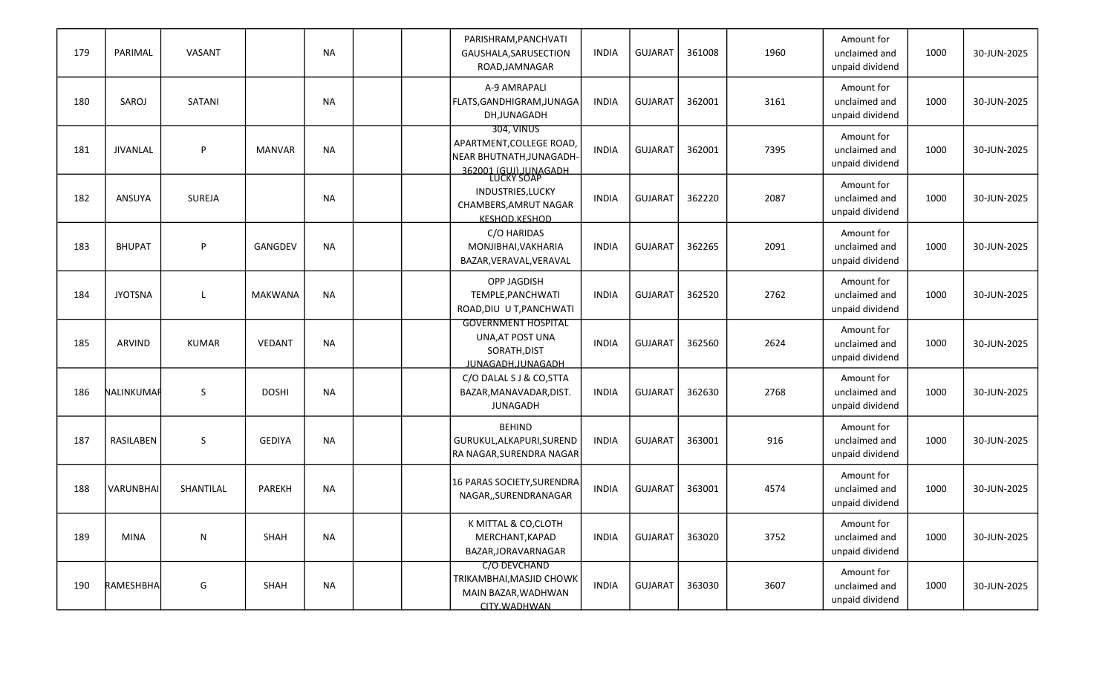| 179 | PARIMAL         | VASANT       |                | <b>NA</b> |  | PARISHRAM, PANCHVATI<br>GAUSHALA, SARUSECTION<br>ROAD, JAMNAGAR                            | <b>INDIA</b> | <b>GUJARAT</b> | 361008 | 1960 | Amount for<br>unclaimed and<br>unpaid dividend | 1000 | 30-JUN-2025 |
|-----|-----------------|--------------|----------------|-----------|--|--------------------------------------------------------------------------------------------|--------------|----------------|--------|------|------------------------------------------------|------|-------------|
| 180 | SAROJ           | SATANI       |                | <b>NA</b> |  | A-9 AMRAPALI<br> FLATS,GANDHIGRAM,JUNAGA<br>DH, JUNAGADH                                   | <b>INDIA</b> | <b>GUJARAT</b> | 362001 | 3161 | Amount for<br>unclaimed and<br>unpaid dividend | 1000 | 30-JUN-2025 |
| 181 | <b>JIVANLAL</b> | P            | <b>MANVAR</b>  | <b>NA</b> |  | 304, VINUS<br>APARTMENT, COLLEGE ROAD<br>NEAR BHUTNATH, JUNAGADH-<br>362001 (GUI) JUNAGADH | <b>INDIA</b> | <b>GUJARAT</b> | 362001 | 7395 | Amount for<br>unclaimed and<br>unpaid dividend | 1000 | 30-JUN-2025 |
| 182 | ANSUYA          | SUREJA       |                | <b>NA</b> |  | INDUSTRIES, LUCKY<br>CHAMBERS, AMRUT NAGAR<br>KESHOD.KESHOD                                | <b>INDIA</b> | <b>GUJARAT</b> | 362220 | 2087 | Amount for<br>unclaimed and<br>unpaid dividend | 1000 | 30-JUN-2025 |
| 183 | <b>BHUPAT</b>   | P            | GANGDEV        | <b>NA</b> |  | C/O HARIDAS<br>MONJIBHAI, VAKHARIA<br>BAZAR, VERAVAL, VERAVAL                              | INDIA        | <b>GUJARAT</b> | 362265 | 2091 | Amount for<br>unclaimed and<br>unpaid dividend | 1000 | 30-JUN-2025 |
| 184 | <b>JYOTSNA</b>  | L            | <b>MAKWANA</b> | <b>NA</b> |  | <b>OPP JAGDISH</b><br>TEMPLE, PANCHWATI<br>ROAD, DIU U T, PANCHWATI                        | <b>INDIA</b> | <b>GUJARAT</b> | 362520 | 2762 | Amount for<br>unclaimed and<br>unpaid dividend | 1000 | 30-JUN-2025 |
| 185 | <b>ARVIND</b>   | <b>KUMAR</b> | VEDANT         | <b>NA</b> |  | <b>GOVERNMENT HOSPITAL</b><br>UNA, AT POST UNA<br>SORATH, DIST<br>JUNAGADH.JUNAGADH        | <b>INDIA</b> | <b>GUJARAT</b> | 362560 | 2624 | Amount for<br>unclaimed and<br>unpaid dividend | 1000 | 30-JUN-2025 |
| 186 | NALINKUMAF      | $\mathsf S$  | <b>DOSHI</b>   | <b>NA</b> |  | C/O DALAL S J & CO, STTA<br>BAZAR, MANAVADAR, DIST.<br><b>JUNAGADH</b>                     | <b>INDIA</b> | <b>GUJARAT</b> | 362630 | 2768 | Amount for<br>unclaimed and<br>unpaid dividend | 1000 | 30-JUN-2025 |
| 187 | RASILABEN       | S            | <b>GEDIYA</b>  | <b>NA</b> |  | <b>BEHIND</b><br>GURUKUL, ALKAPURI, SUREND<br>RA NAGAR, SURENDRA NAGAR                     | <b>INDIA</b> | <b>GUJARAT</b> | 363001 | 916  | Amount for<br>unclaimed and<br>unpaid dividend | 1000 | 30-JUN-2025 |
| 188 | VARUNBHAI       | SHANTILAL    | <b>PAREKH</b>  | NA        |  | 16 PARAS SOCIETY, SURENDRA<br>NAGAR,, SURENDRANAGAR                                        | <b>INDIA</b> | <b>GUJARAT</b> | 363001 | 4574 | Amount for<br>unclaimed and<br>unpaid dividend | 1000 | 30-JUN-2025 |
| 189 | <b>MINA</b>     | N            | SHAH           | <b>NA</b> |  | K MITTAL & CO, CLOTH<br>MERCHANT, KAPAD<br>BAZAR, JORAVARNAGAR                             | <b>INDIA</b> | GUJARAT        | 363020 | 3752 | Amount for<br>unclaimed and<br>unpaid dividend | 1000 | 30-JUN-2025 |
| 190 | RAMESHBHA       | G            | SHAH           | <b>NA</b> |  | C/O DEVCHAND<br>TRIKAMBHAI, MASJID CHOWK<br>MAIN BAZAR, WADHWAN<br>CITY.WADHWAN            | <b>INDIA</b> | GUJARAT        | 363030 | 3607 | Amount for<br>unclaimed and<br>unpaid dividend | 1000 | 30-JUN-2025 |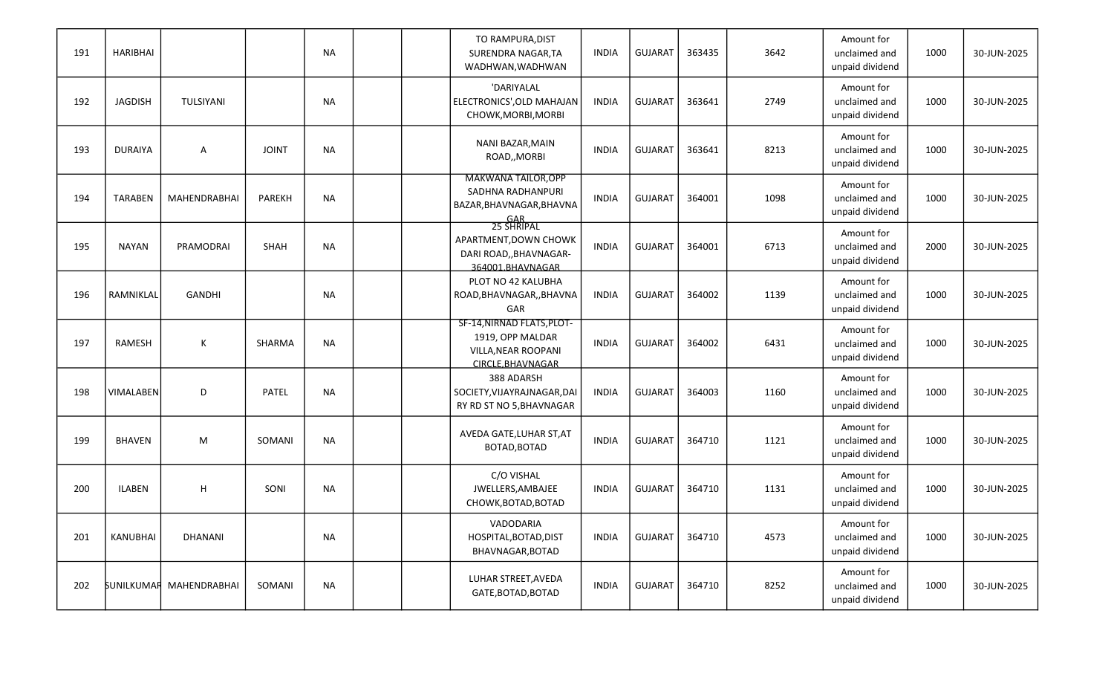| 191 | <b>HARIBHAI</b> |                                |               | <b>NA</b> |  | TO RAMPURA, DIST<br>SURENDRA NAGAR, TA<br>WADHWAN, WADHWAN                                       | <b>INDIA</b> | <b>GUJARAT</b> | 363435 | 3642 | Amount for<br>unclaimed and<br>unpaid dividend | 1000 | 30-JUN-2025 |
|-----|-----------------|--------------------------------|---------------|-----------|--|--------------------------------------------------------------------------------------------------|--------------|----------------|--------|------|------------------------------------------------|------|-------------|
| 192 | <b>JAGDISH</b>  | TULSIYANI                      |               | <b>NA</b> |  | 'DARIYALAL<br>ELECTRONICS', OLD MAHAJAN<br>CHOWK, MORBI, MORBI                                   | <b>INDIA</b> | <b>GUJARAT</b> | 363641 | 2749 | Amount for<br>unclaimed and<br>unpaid dividend | 1000 | 30-JUN-2025 |
| 193 | <b>DURAIYA</b>  | A                              | <b>JOINT</b>  | <b>NA</b> |  | NANI BAZAR, MAIN<br>ROAD,, MORBI                                                                 | <b>INDIA</b> | <b>GUJARAT</b> | 363641 | 8213 | Amount for<br>unclaimed and<br>unpaid dividend | 1000 | 30-JUN-2025 |
| 194 | <b>TARABEN</b>  | MAHENDRABHAI                   | <b>PAREKH</b> | <b>NA</b> |  | <b>MAKWANA TAILOR, OPP</b><br>SADHNA RADHANPURI<br>BAZAR, BHAVNAGAR, BHAVNA<br>GAR<br>25 SHRIPAL | <b>INDIA</b> | <b>GUJARAT</b> | 364001 | 1098 | Amount for<br>unclaimed and<br>unpaid dividend | 1000 | 30-JUN-2025 |
| 195 | NAYAN           | PRAMODRAI                      | SHAH          | <b>NA</b> |  | APARTMENT, DOWN CHOWK<br>DARI ROAD,, BHAVNAGAR-<br>364001.BHAVNAGAR                              | <b>INDIA</b> | <b>GUJARAT</b> | 364001 | 6713 | Amount for<br>unclaimed and<br>unpaid dividend | 2000 | 30-JUN-2025 |
| 196 | RAMNIKLAL       | <b>GANDHI</b>                  |               | <b>NA</b> |  | PLOT NO 42 KALUBHA<br>ROAD, BHAVNAGAR, , BHAVNA<br>GAR                                           | <b>INDIA</b> | <b>GUJARAT</b> | 364002 | 1139 | Amount for<br>unclaimed and<br>unpaid dividend | 1000 | 30-JUN-2025 |
| 197 | RAMESH          | К                              | SHARMA        | <b>NA</b> |  | SF-14, NIRNAD FLATS, PLOT-<br>1919, OPP MALDAR<br>VILLA, NEAR ROOPANI<br>CIRCLE.BHAVNAGAR        | <b>INDIA</b> | <b>GUJARAT</b> | 364002 | 6431 | Amount for<br>unclaimed and<br>unpaid dividend | 1000 | 30-JUN-2025 |
| 198 | VIMALABEN       | D                              | PATEL         | <b>NA</b> |  | 388 ADARSH<br>SOCIETY, VIJAYRAJNAGAR, DAI<br>RY RD ST NO 5, BHAVNAGAR                            | <b>INDIA</b> | <b>GUJARAT</b> | 364003 | 1160 | Amount for<br>unclaimed and<br>unpaid dividend | 1000 | 30-JUN-2025 |
| 199 | <b>BHAVEN</b>   | M                              | SOMANI        | <b>NA</b> |  | AVEDA GATE, LUHAR ST, AT<br>BOTAD, BOTAD                                                         | <b>INDIA</b> | <b>GUJARAT</b> | 364710 | 1121 | Amount for<br>unclaimed and<br>unpaid dividend | 1000 | 30-JUN-2025 |
| 200 | <b>ILABEN</b>   | H                              | SONI          | <b>NA</b> |  | C/O VISHAL<br>JWELLERS, AMBAJEE<br>CHOWK, BOTAD, BOTAD                                           | <b>INDIA</b> | <b>GUJARAT</b> | 364710 | 1131 | Amount for<br>unclaimed and<br>unpaid dividend | 1000 | 30-JUN-2025 |
| 201 | KANUBHAI        | DHANANI                        |               | <b>NA</b> |  | VADODARIA<br>HOSPITAL, BOTAD, DIST<br>BHAVNAGAR, BOTAD                                           | <b>INDIA</b> | GUJARAT        | 364710 | 4573 | Amount for<br>unclaimed and<br>unpaid dividend | 1000 | 30-JUN-2025 |
| 202 |                 | <b>SUNILKUMAR MAHENDRABHAI</b> | SOMANI        | <b>NA</b> |  | LUHAR STREET, AVEDA<br>GATE, BOTAD, BOTAD                                                        | INDIA        | GUJARAT        | 364710 | 8252 | Amount for<br>unclaimed and<br>unpaid dividend | 1000 | 30-JUN-2025 |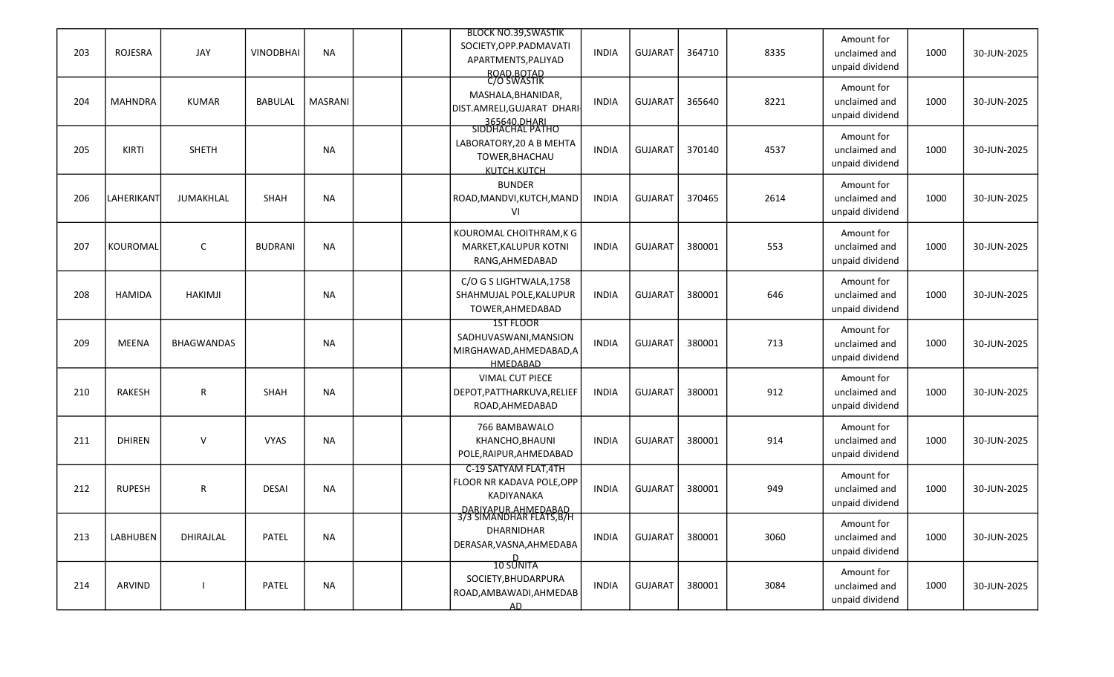|     |                 |                   |                  |           |  | <b>BLOCK NO.39, SWASTIK</b>                     |              |                |        |      | Amount for                       |      |             |
|-----|-----------------|-------------------|------------------|-----------|--|-------------------------------------------------|--------------|----------------|--------|------|----------------------------------|------|-------------|
| 203 | <b>ROJESRA</b>  | JAY               | <b>VINODBHAI</b> | <b>NA</b> |  | SOCIETY, OPP. PADMAVATI<br>APARTMENTS, PALIYAD  | <b>INDIA</b> | <b>GUJARAT</b> | 364710 | 8335 | unclaimed and<br>unpaid dividend | 1000 | 30-JUN-2025 |
|     |                 |                   |                  |           |  | ROAD.BOTAD                                      |              |                |        |      | Amount for                       |      |             |
| 204 | <b>MAHNDRA</b>  | <b>KUMAR</b>      | <b>BABULAL</b>   | MASRANI   |  | MASHALA, BHANIDAR,                              | <b>INDIA</b> | <b>GUJARAT</b> | 365640 | 8221 | unclaimed and                    | 1000 | 30-JUN-2025 |
|     |                 |                   |                  |           |  | DIST.AMRELI,GUJARAT DHARI                       |              |                |        |      | unpaid dividend                  |      |             |
|     |                 |                   |                  |           |  | 365640.DHARI<br>SIDDHACHAL PATHO                |              |                |        |      | Amount for                       |      |             |
| 205 | KIRTI           | <b>SHETH</b>      |                  | <b>NA</b> |  | LABORATORY, 20 A B MEHTA                        | <b>INDIA</b> | <b>GUJARAT</b> | 370140 | 4537 | unclaimed and                    | 1000 | 30-JUN-2025 |
|     |                 |                   |                  |           |  | TOWER, BHACHAU                                  |              |                |        |      | unpaid dividend                  |      |             |
|     |                 |                   |                  |           |  | KUTCH.KUTCH                                     |              |                |        |      |                                  |      |             |
| 206 | LAHERIKANT      | JUMAKHLAL         | <b>SHAH</b>      | <b>NA</b> |  | <b>BUNDER</b><br>ROAD, MANDVI, KUTCH, MAND      | INDIA        | <b>GUJARAT</b> | 370465 | 2614 | Amount for<br>unclaimed and      | 1000 | 30-JUN-2025 |
|     |                 |                   |                  |           |  | VI                                              |              |                |        |      | unpaid dividend                  |      |             |
|     |                 |                   |                  |           |  |                                                 |              |                |        |      |                                  |      |             |
|     |                 |                   |                  |           |  | KOUROMAL CHOITHRAM, K G                         |              |                |        |      | Amount for                       |      |             |
| 207 | KOUROMAL        | $\mathsf{C}$      | <b>BUDRANI</b>   | <b>NA</b> |  | MARKET, KALUPUR KOTNI<br>RANG, AHMEDABAD        | INDIA        | <b>GUJARAT</b> | 380001 | 553  | unclaimed and<br>unpaid dividend | 1000 | 30-JUN-2025 |
|     |                 |                   |                  |           |  |                                                 |              |                |        |      |                                  |      |             |
|     |                 |                   |                  |           |  | C/O G S LIGHTWALA, 1758                         |              |                |        |      | Amount for                       |      |             |
| 208 | <b>HAMIDA</b>   | <b>HAKIMJI</b>    |                  | <b>NA</b> |  | SHAHMUJAL POLE, KALUPUR                         | <b>INDIA</b> | <b>GUJARAT</b> | 380001 | 646  | unclaimed and                    | 1000 | 30-JUN-2025 |
|     |                 |                   |                  |           |  | TOWER, AHMEDABAD<br>1ST FLOOR                   |              |                |        |      | unpaid dividend                  |      |             |
|     |                 |                   |                  |           |  | SADHUVASWANI, MANSION                           |              |                |        |      | Amount for                       |      |             |
| 209 | MEENA           | <b>BHAGWANDAS</b> |                  | <b>NA</b> |  | MIRGHAWAD, AHMEDABAD, A                         | <b>INDIA</b> | <b>GUJARAT</b> | 380001 | 713  | unclaimed and                    | 1000 | 30-JUN-2025 |
|     |                 |                   |                  |           |  | HMEDABAD                                        |              |                |        |      | unpaid dividend                  |      |             |
|     |                 |                   |                  |           |  | <b>VIMAL CUT PIECE</b>                          |              |                |        |      | Amount for                       |      |             |
| 210 | <b>RAKESH</b>   | R                 | <b>SHAH</b>      | <b>NA</b> |  | DEPOT, PATTHARKUVA, RELIEF                      | <b>INDIA</b> | <b>GUJARAT</b> | 380001 | 912  | unclaimed and                    | 1000 | 30-JUN-2025 |
|     |                 |                   |                  |           |  | ROAD, AHMEDABAD                                 |              |                |        |      | unpaid dividend                  |      |             |
|     |                 |                   |                  |           |  | 766 BAMBAWALO                                   |              |                |        |      | Amount for                       |      |             |
| 211 | <b>DHIREN</b>   | $\vee$            | <b>VYAS</b>      | <b>NA</b> |  | KHANCHO, BHAUNI                                 | INDIA        | <b>GUJARAT</b> | 380001 | 914  | unclaimed and                    | 1000 | 30-JUN-2025 |
|     |                 |                   |                  |           |  | POLE, RAIPUR, AHMEDABAD                         |              |                |        |      | unpaid dividend                  |      |             |
|     |                 |                   |                  |           |  | C-19 SATYAM FLAT, 4TH                           |              |                |        |      | Amount for                       |      |             |
| 212 | <b>RUPESH</b>   | R                 | <b>DESAI</b>     | <b>NA</b> |  | FLOOR NR KADAVA POLE, OPP                       | <b>INDIA</b> | <b>GUJARAT</b> | 380001 | 949  | unclaimed and                    | 1000 | 30-JUN-2025 |
|     |                 |                   |                  |           |  | KADIYANAKA                                      |              |                |        |      | unpaid dividend                  |      |             |
|     |                 |                   |                  |           |  | DARIYAPUR.AHMEDABAD<br>3/3 SIMANDHAR FLATS, B/H |              |                |        |      | Amount for                       |      |             |
| 213 | <b>LABHUBEN</b> | DHIRAJLAL         | PATEL            | <b>NA</b> |  | DHARNIDHAR                                      | <b>INDIA</b> | <b>GUJARAT</b> | 380001 | 3060 | unclaimed and                    | 1000 | 30-JUN-2025 |
|     |                 |                   |                  |           |  | DERASAR, VASNA, AHMEDABA                        |              |                |        |      | unpaid dividend                  |      |             |
|     |                 |                   |                  |           |  | 10 SUNITA                                       |              |                |        |      |                                  |      |             |
| 214 | ARVIND          |                   | PATEL            | <b>NA</b> |  | SOCIETY, BHUDARPURA                             | <b>INDIA</b> | GUJARAT        | 380001 | 3084 | Amount for<br>unclaimed and      | 1000 | 30-JUN-2025 |
|     |                 |                   |                  |           |  | ROAD, AMBAWADI, AHMEDAB                         |              |                |        |      | unpaid dividend                  |      |             |
|     |                 |                   |                  |           |  | AD                                              |              |                |        |      |                                  |      |             |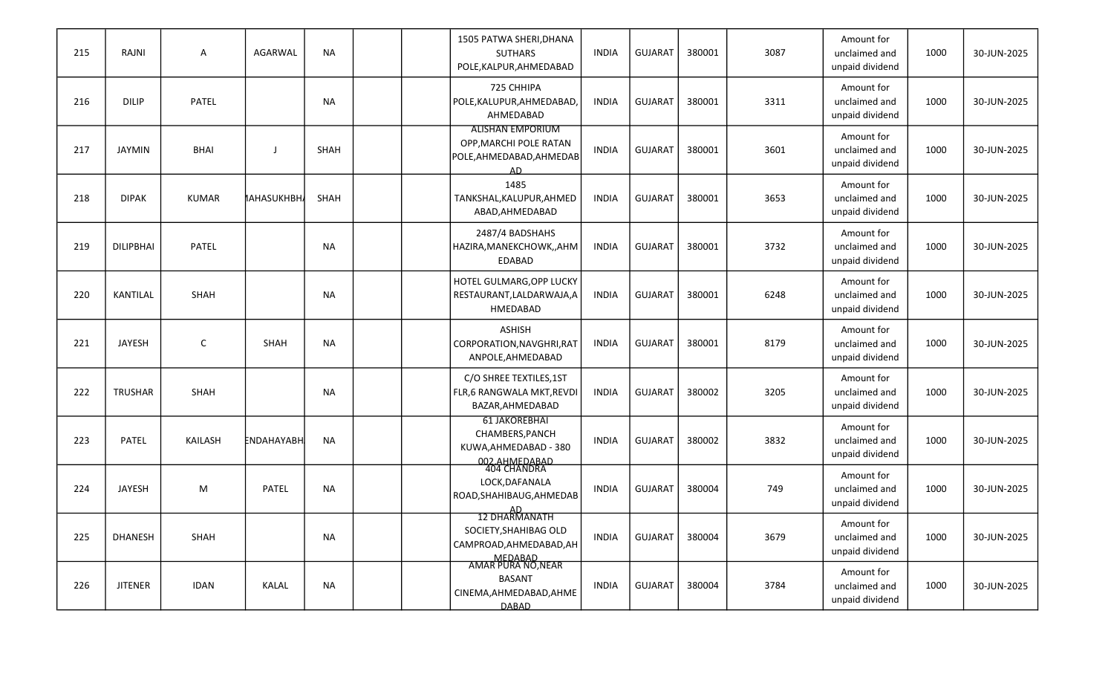| 215 | RAJNI          | A            | AGARWAL      | <b>NA</b>   |  | 1505 PATWA SHERI, DHANA<br><b>SUTHARS</b><br>POLE, KALPUR, AHMEDABAD                     | <b>INDIA</b> | <b>GUJARAT</b> | 380001 | 3087 | Amount for<br>unclaimed and<br>unpaid dividend | 1000 | 30-JUN-2025 |
|-----|----------------|--------------|--------------|-------------|--|------------------------------------------------------------------------------------------|--------------|----------------|--------|------|------------------------------------------------|------|-------------|
| 216 | <b>DILIP</b>   | PATEL        |              | <b>NA</b>   |  | 725 CHHIPA<br>POLE, KALUPUR, AHMEDABAD<br>AHMEDABAD                                      | <b>INDIA</b> | <b>GUJARAT</b> | 380001 | 3311 | Amount for<br>unclaimed and<br>unpaid dividend | 1000 | 30-JUN-2025 |
| 217 | <b>JAYMIN</b>  | <b>BHAI</b>  | J            | <b>SHAH</b> |  | <b>ALISHAN EMPORIUM</b><br>OPP, MARCHI POLE RATAN<br>POLE, AHMEDABAD, AHMEDAB<br>AD.     | <b>INDIA</b> | <b>GUJARAT</b> | 380001 | 3601 | Amount for<br>unclaimed and<br>unpaid dividend | 1000 | 30-JUN-2025 |
| 218 | <b>DIPAK</b>   | <b>KUMAR</b> | MAHASUKHBH/  | <b>SHAH</b> |  | 1485<br>TANKSHAL, KALUPUR, AHMED<br>ABAD, AHMEDABAD                                      | <b>INDIA</b> | <b>GUJARAT</b> | 380001 | 3653 | Amount for<br>unclaimed and<br>unpaid dividend | 1000 | 30-JUN-2025 |
| 219 | DILIPBHAI      | PATEL        |              | <b>NA</b>   |  | 2487/4 BADSHAHS<br>HAZIRA, MANEKCHOWK,, AHM<br><b>EDABAD</b>                             | <b>INDIA</b> | <b>GUJARAT</b> | 380001 | 3732 | Amount for<br>unclaimed and<br>unpaid dividend | 1000 | 30-JUN-2025 |
| 220 | KANTILAL       | SHAH         |              | <b>NA</b>   |  | HOTEL GULMARG, OPP LUCKY<br>RESTAURANT, LALDARWAJA, A<br>HMEDABAD                        | <b>INDIA</b> | <b>GUJARAT</b> | 380001 | 6248 | Amount for<br>unclaimed and<br>unpaid dividend | 1000 | 30-JUN-2025 |
| 221 | JAYESH         | $\mathsf C$  | SHAH         | NA          |  | <b>ASHISH</b><br>CORPORATION, NAVGHRI, RAT<br>ANPOLE, AHMEDABAD                          | <b>INDIA</b> | <b>GUJARAT</b> | 380001 | 8179 | Amount for<br>unclaimed and<br>unpaid dividend | 1000 | 30-JUN-2025 |
| 222 | <b>TRUSHAR</b> | <b>SHAH</b>  |              | <b>NA</b>   |  | C/O SHREE TEXTILES,1ST<br>FLR,6 RANGWALA MKT, REVDI<br>BAZAR, AHMEDABAD                  | <b>INDIA</b> | <b>GUJARAT</b> | 380002 | 3205 | Amount for<br>unclaimed and<br>unpaid dividend | 1000 | 30-JUN-2025 |
| 223 | PATEL          | KAILASH      | ENDAHAYABH   | <b>NA</b>   |  | <b>61 JAKOREBHAI</b><br>CHAMBERS, PANCH<br>KUWA, AHMEDABAD - 380                         | <b>INDIA</b> | <b>GUJARAT</b> | 380002 | 3832 | Amount for<br>unclaimed and<br>unpaid dividend | 1000 | 30-JUN-2025 |
| 224 | JAYESH         | M            | PATEL        | <b>NA</b>   |  | 002.AHMEDABAD<br>404 CHANDRA<br>LOCK, DAFANALA<br>ROAD, SHAHIBAUG, AHMEDAB               | <b>INDIA</b> | <b>GUJARAT</b> | 380004 | 749  | Amount for<br>unclaimed and<br>unpaid dividend | 1000 | 30-JUN-2025 |
| 225 | <b>DHANESH</b> | SHAH         |              | <b>NA</b>   |  | AD<br>12 DHARMANATH<br>SOCIETY, SHAHIBAG OLD<br>CAMPROAD, AHMEDABAD, AH                  | <b>INDIA</b> | <b>GUJARAT</b> | 380004 | 3679 | Amount for<br>unclaimed and<br>unpaid dividend | 1000 | 30-JUN-2025 |
| 226 | <b>JITENER</b> | <b>IDAN</b>  | <b>KALAL</b> | <b>NA</b>   |  | MEDABAD<br>AMAR PURA NO,NEAR<br><b>BASANT</b><br>CINEMA, AHMEDABAD, AHME<br><b>DABAD</b> | INDIA        | GUJARAT        | 380004 | 3784 | Amount for<br>unclaimed and<br>unpaid dividend | 1000 | 30-JUN-2025 |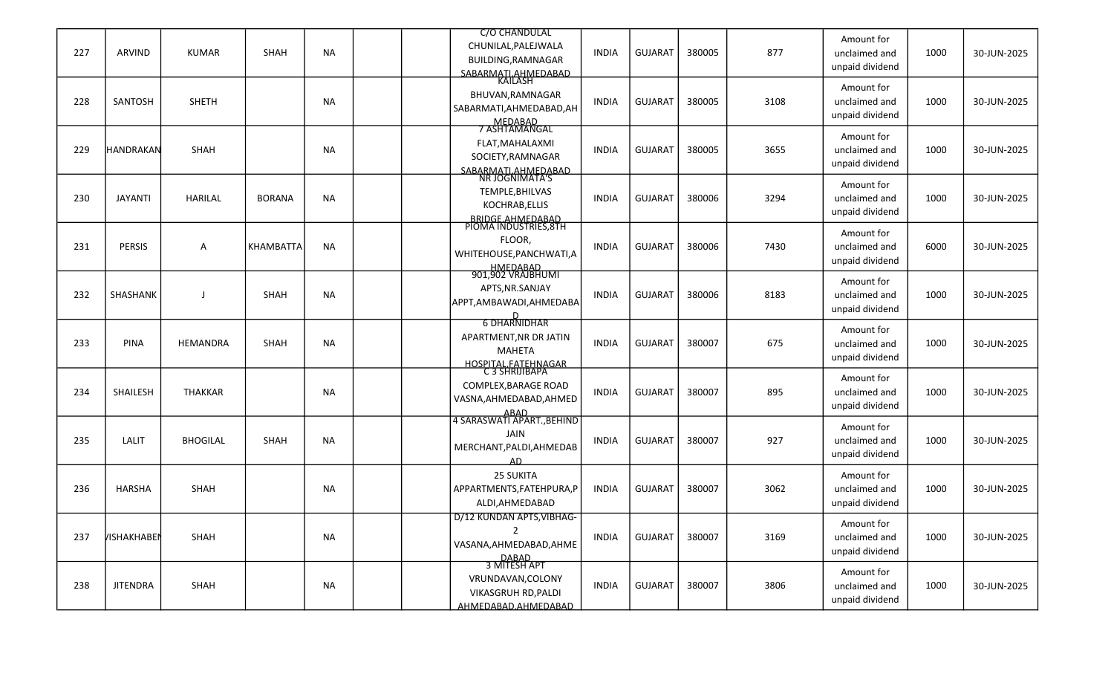|     |                   |                 |                  |           | C/O CHANDULAL                                |              |                |        |      | Amount for                  |      |             |
|-----|-------------------|-----------------|------------------|-----------|----------------------------------------------|--------------|----------------|--------|------|-----------------------------|------|-------------|
| 227 | ARVIND            | <b>KUMAR</b>    | SHAH             | <b>NA</b> | CHUNILAL, PALEJWALA<br>BUILDING, RAMNAGAR    | <b>INDIA</b> | <b>GUJARAT</b> | 380005 | 877  | unclaimed and               | 1000 | 30-JUN-2025 |
|     |                   |                 |                  |           | SABARMATI.AHMEDABAD                          |              |                |        |      | unpaid dividend             |      |             |
|     |                   |                 |                  |           |                                              |              |                |        |      | Amount for                  |      |             |
| 228 | SANTOSH           | <b>SHETH</b>    |                  | <b>NA</b> | BHUVAN, RAMNAGAR                             | <b>INDIA</b> | <b>GUJARAT</b> | 380005 | 3108 | unclaimed and               | 1000 | 30-JUN-2025 |
|     |                   |                 |                  |           | SABARMATI, AHMEDABAD, AH                     |              |                |        |      | unpaid dividend             |      |             |
|     |                   |                 |                  |           | MEDABAD<br>7 ASHTAMANGAL                     |              |                |        |      | Amount for                  |      |             |
| 229 | <b>HANDRAKAN</b>  | SHAH            |                  | <b>NA</b> | FLAT, MAHALAXMI                              | <b>INDIA</b> | <b>GUJARAT</b> | 380005 | 3655 | unclaimed and               | 1000 | 30-JUN-2025 |
|     |                   |                 |                  |           | SOCIETY, RAMNAGAR                            |              |                |        |      | unpaid dividend             |      |             |
|     |                   |                 |                  |           | SABARMATI AHMEDABAD<br>NR JOGNIMATA'S        |              |                |        |      |                             |      |             |
|     |                   |                 |                  |           | TEMPLE, BHILVAS                              |              |                |        |      | Amount for                  |      |             |
| 230 | <b>JAYANTI</b>    | <b>HARILAL</b>  | <b>BORANA</b>    | <b>NA</b> | KOCHRAB, ELLIS                               | <b>INDIA</b> | <b>GUJARAT</b> | 380006 | 3294 | unclaimed and               | 1000 | 30-JUN-2025 |
|     |                   |                 |                  |           | BRIDGE.AHMEDABAD<br>PIOMA INDUSTRIES,8TH     |              |                |        |      | unpaid dividend             |      |             |
|     |                   |                 |                  |           |                                              |              |                |        |      | Amount for                  |      |             |
| 231 | <b>PERSIS</b>     | A               | <b>KHAMBATTA</b> | <b>NA</b> | FLOOR,<br>WHITEHOUSE, PANCHWATI, A           | <b>INDIA</b> | <b>GUJARAT</b> | 380006 | 7430 | unclaimed and               | 6000 | 30-JUN-2025 |
|     |                   |                 |                  |           |                                              |              |                |        |      | unpaid dividend             |      |             |
|     |                   |                 |                  |           | HMEDABAD<br>901,902 VRAJBHUMI                |              |                |        |      | Amount for                  |      |             |
| 232 | SHASHANK          | $\mathbf{I}$    | SHAH             | <b>NA</b> | APTS, NR. SANJAY                             | <b>INDIA</b> | <b>GUJARAT</b> | 380006 | 8183 | unclaimed and               | 1000 | 30-JUN-2025 |
|     |                   |                 |                  |           | APPT, AMBAWADI, AHMEDABA                     |              |                |        |      | unpaid dividend             |      |             |
|     |                   |                 |                  |           | 6 DHARNIDHAR                                 |              |                |        |      |                             |      |             |
|     |                   |                 |                  |           | APARTMENT, NR DR JATIN                       |              |                |        |      | Amount for                  |      |             |
| 233 | <b>PINA</b>       | HEMANDRA        | SHAH             | <b>NA</b> | <b>MAHETA</b>                                | <b>INDIA</b> | <b>GUJARAT</b> | 380007 | 675  | unclaimed and               | 1000 | 30-JUN-2025 |
|     |                   |                 |                  |           | <u>HOSPITAL FATEHNAGAR</u><br>C 3 SHRIJIBAPA |              |                |        |      | unpaid dividend             |      |             |
|     |                   |                 |                  |           | COMPLEX, BARAGE ROAD                         |              |                |        |      | Amount for                  |      |             |
| 234 | SHAILESH          | <b>THAKKAR</b>  |                  | <b>NA</b> | VASNA, AHMEDABAD, AHMED                      | <b>INDIA</b> | <b>GUJARAT</b> | 380007 | 895  | unclaimed and               | 1000 | 30-JUN-2025 |
|     |                   |                 |                  |           |                                              |              |                |        |      | unpaid dividend             |      |             |
|     |                   |                 |                  |           | ABAD<br>4 SARASWATI APART.,BEHIND            |              |                |        |      | Amount for                  |      |             |
| 235 | <b>LALIT</b>      | <b>BHOGILAL</b> | SHAH             | <b>NA</b> | <b>JAIN</b>                                  | <b>INDIA</b> | <b>GUJARAT</b> | 380007 | 927  | unclaimed and               | 1000 | 30-JUN-2025 |
|     |                   |                 |                  |           | MERCHANT, PALDI, AHMEDAB                     |              |                |        |      | unpaid dividend             |      |             |
|     |                   |                 |                  |           | AD                                           |              |                |        |      |                             |      |             |
| 236 | HARSHA            | SHAH            |                  | NA        | 25 SUKITA<br>APPARTMENTS, FATEHPURA, P       | <b>INDIA</b> | <b>GUJARAT</b> | 380007 | 3062 | Amount for<br>unclaimed and | 1000 | 30-JUN-2025 |
|     |                   |                 |                  |           | ALDI, AHMEDABAD                              |              |                |        |      | unpaid dividend             |      |             |
|     |                   |                 |                  |           | D/12 KUNDAN APTS, VIBHAG-                    |              |                |        |      |                             |      |             |
|     |                   |                 |                  |           | $\overline{2}$                               |              |                |        |      | Amount for                  |      |             |
| 237 | <b>ИЗНАКНАВЕМ</b> | SHAH            |                  | NA        | VASANA, AHMEDABAD, AHME                      | <b>INDIA</b> | <b>GUJARAT</b> | 380007 | 3169 | unclaimed and               | 1000 | 30-JUN-2025 |
|     |                   |                 |                  |           | DABAD<br>3 MITESH APT                        |              |                |        |      | unpaid dividend             |      |             |
|     |                   |                 |                  |           |                                              |              |                |        |      | Amount for                  |      |             |
| 238 | <b>JITENDRA</b>   | SHAH            |                  | NA        | VRUNDAVAN, COLONY<br>VIKASGRUH RD, PALDI     | <b>INDIA</b> | GUJARAT        | 380007 | 3806 | unclaimed and               | 1000 | 30-JUN-2025 |
|     |                   |                 |                  |           | AHMEDABAD.AHMEDABAD                          |              |                |        |      | unpaid dividend             |      |             |
|     |                   |                 |                  |           |                                              |              |                |        |      |                             |      |             |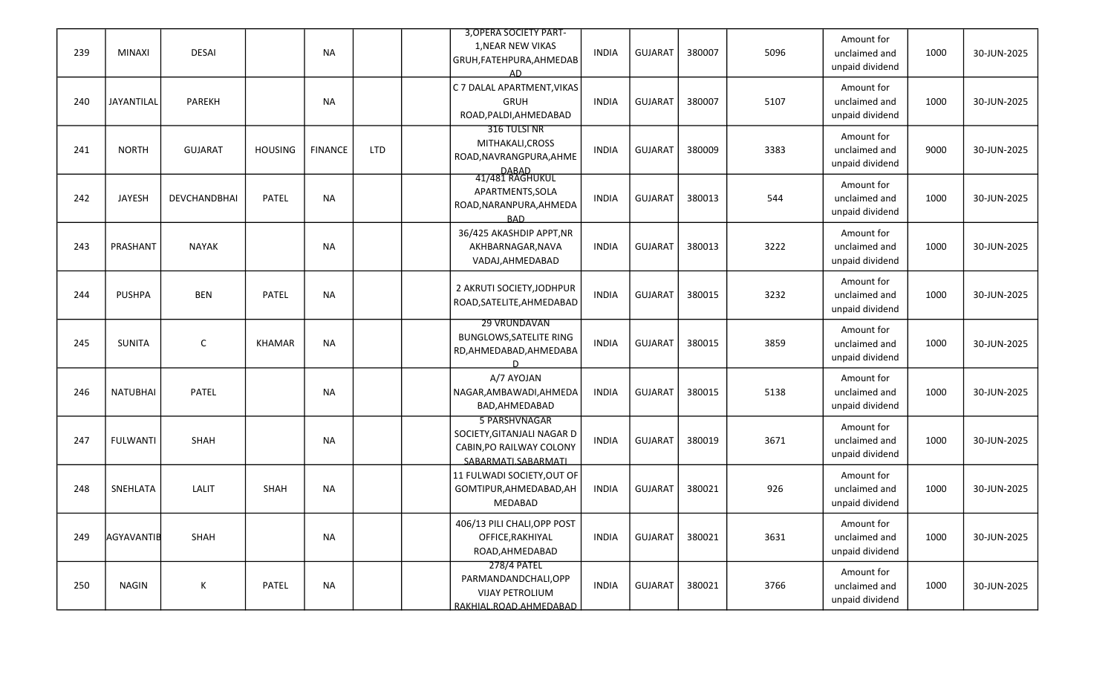| 239 | <b>MINAXI</b>   | <b>DESAI</b>   |                | <b>NA</b>      |            | 3, OPERA SOCIETY PART-<br>1, NEAR NEW VIKAS<br>GRUH, FATEHPURA, AHMEDAB<br>AD                  | <b>INDIA</b> | <b>GUJARAT</b> | 380007 | 5096 | Amount for<br>unclaimed and<br>unpaid dividend | 1000 | 30-JUN-2025 |
|-----|-----------------|----------------|----------------|----------------|------------|------------------------------------------------------------------------------------------------|--------------|----------------|--------|------|------------------------------------------------|------|-------------|
| 240 | JAYANTILAL      | PAREKH         |                | <b>NA</b>      |            | C 7 DALAL APARTMENT, VIKAS<br><b>GRUH</b><br>ROAD, PALDI, AHMEDABAD                            | <b>INDIA</b> | <b>GUJARAT</b> | 380007 | 5107 | Amount for<br>unclaimed and<br>unpaid dividend | 1000 | 30-JUN-2025 |
| 241 | <b>NORTH</b>    | <b>GUJARAT</b> | <b>HOUSING</b> | <b>FINANCE</b> | <b>LTD</b> | 316 TULSI NR<br>MITHAKALI, CROSS<br>ROAD, NAVRANGPURA, AHME                                    | INDIA        | <b>GUJARAT</b> | 380009 | 3383 | Amount for<br>unclaimed and<br>unpaid dividend | 9000 | 30-JUN-2025 |
| 242 | JAYESH          | DEVCHANDBHAI   | PATEL          | <b>NA</b>      |            | DABAD<br>41/481 RAGHUKUL<br>APARTMENTS, SOLA<br>ROAD, NARANPURA, AHMEDA<br><b>BAD</b>          | <b>INDIA</b> | <b>GUJARAT</b> | 380013 | 544  | Amount for<br>unclaimed and<br>unpaid dividend | 1000 | 30-JUN-2025 |
| 243 | PRASHANT        | <b>NAYAK</b>   |                | <b>NA</b>      |            | 36/425 AKASHDIP APPT, NR<br>AKHBARNAGAR, NAVA<br>VADAJ, AHMEDABAD                              | INDIA        | <b>GUJARAT</b> | 380013 | 3222 | Amount for<br>unclaimed and<br>unpaid dividend | 1000 | 30-JUN-2025 |
| 244 | <b>PUSHPA</b>   | <b>BEN</b>     | PATEL          | <b>NA</b>      |            | 2 AKRUTI SOCIETY, JODHPUR<br>ROAD, SATELITE, AHMEDABAD                                         | <b>INDIA</b> | <b>GUJARAT</b> | 380015 | 3232 | Amount for<br>unclaimed and<br>unpaid dividend | 1000 | 30-JUN-2025 |
| 245 | <b>SUNITA</b>   | $\mathsf C$    | <b>KHAMAR</b>  | <b>NA</b>      |            | 29 VRUNDAVAN<br><b>BUNGLOWS, SATELITE RING</b><br>RD, AHMEDABAD, AHMEDABA                      | <b>INDIA</b> | <b>GUJARAT</b> | 380015 | 3859 | Amount for<br>unclaimed and<br>unpaid dividend | 1000 | 30-JUN-2025 |
| 246 | <b>NATUBHAI</b> | PATEL          |                | <b>NA</b>      |            | A/7 AYOJAN<br>NAGAR, AMBAWADI, AHMEDA<br>BAD, AHMEDABAD                                        | <b>INDIA</b> | <b>GUJARAT</b> | 380015 | 5138 | Amount for<br>unclaimed and<br>unpaid dividend | 1000 | 30-JUN-2025 |
| 247 | <b>FULWANTI</b> | SHAH           |                | <b>NA</b>      |            | 5 PARSHVNAGAR<br>SOCIETY, GITANJALI NAGAR D<br>CABIN, PO RAILWAY COLONY<br>SABARMATI.SABARMATI | <b>INDIA</b> | <b>GUJARAT</b> | 380019 | 3671 | Amount for<br>unclaimed and<br>unpaid dividend | 1000 | 30-JUN-2025 |
| 248 | SNEHLATA        | LALIT          | SHAH           | NA             |            | 11 FULWADI SOCIETY, OUT OF<br>GOMTIPUR, AHMEDABAD, AH<br>MEDABAD                               | <b>INDIA</b> | <b>GUJARAT</b> | 380021 | 926  | Amount for<br>unclaimed and<br>unpaid dividend | 1000 | 30-JUN-2025 |
| 249 | AGYAVANTIB      | SHAH           |                | <b>NA</b>      |            | 406/13 PILI CHALI, OPP POST<br>OFFICE, RAKHIYAL<br>ROAD, AHMEDABAD                             | <b>INDIA</b> | <b>GUJARAT</b> | 380021 | 3631 | Amount for<br>unclaimed and<br>unpaid dividend | 1000 | 30-JUN-2025 |
| 250 | NAGIN           | K              | PATEL          | <b>NA</b>      |            | 278/4 PATEL<br>PARMANDANDCHALI,OPP<br><b>VIJAY PETROLIUM</b><br>RAKHIAL.ROAD.AHMEDABAD         | INDIA        | GUJARAT        | 380021 | 3766 | Amount for<br>unclaimed and<br>unpaid dividend | 1000 | 30-JUN-2025 |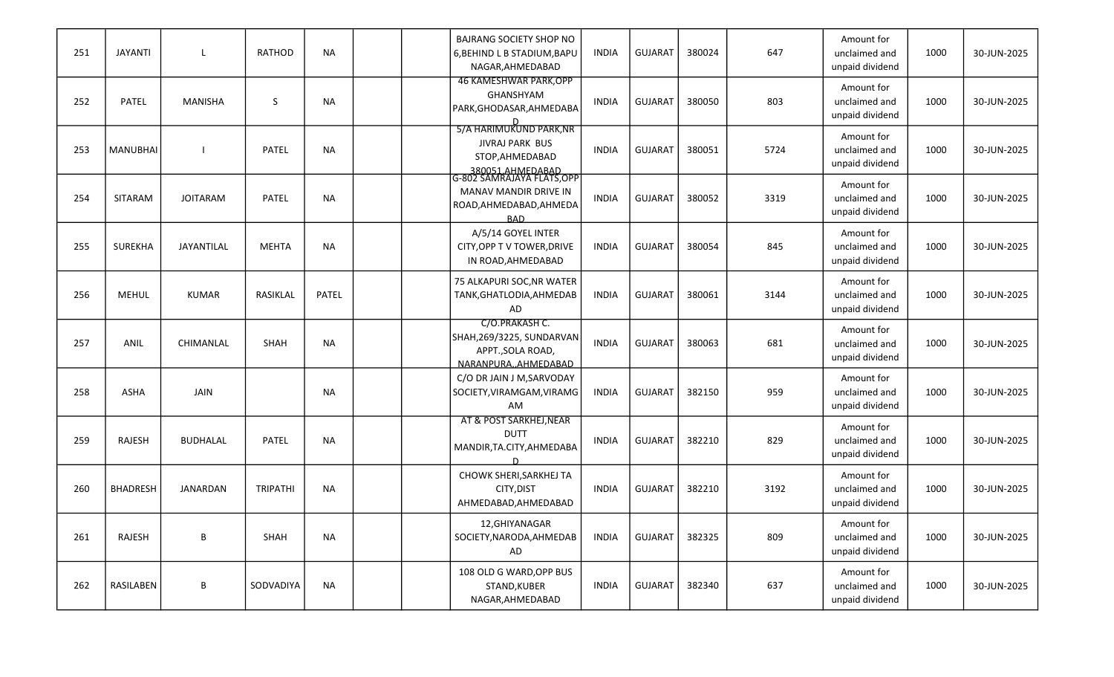| 251 | <b>JAYANTI</b>  | L               | RATHOD          | <b>NA</b> |  | <b>BAJRANG SOCIETY SHOP NO</b><br>6, BEHIND L B STADIUM, BAPU<br>NAGAR, AHMEDABAD                                | <b>INDIA</b> | <b>GUJARAT</b> | 380024 | 647  | Amount for<br>unclaimed and<br>unpaid dividend | 1000 | 30-JUN-2025 |
|-----|-----------------|-----------------|-----------------|-----------|--|------------------------------------------------------------------------------------------------------------------|--------------|----------------|--------|------|------------------------------------------------|------|-------------|
| 252 | PATEL           | <b>MANISHA</b>  | S               | <b>NA</b> |  | 46 KAMESHWAR PARK, OPP<br>GHANSHYAM<br>PARK, GHODASAR, AHMEDABA                                                  | <b>INDIA</b> | <b>GUJARAT</b> | 380050 | 803  | Amount for<br>unclaimed and<br>unpaid dividend | 1000 | 30-JUN-2025 |
| 253 | <b>MANUBHAI</b> |                 | PATEL           | <b>NA</b> |  | 5/A HARIMUKUND PARK, NR<br><b>JIVRAJ PARK BUS</b><br>STOP, AHMEDABAD                                             | <b>INDIA</b> | <b>GUJARAT</b> | 380051 | 5724 | Amount for<br>unclaimed and<br>unpaid dividend | 1000 | 30-JUN-2025 |
| 254 | SITARAM         | <b>JOITARAM</b> | PATEL           | <b>NA</b> |  | 380051.AHMEDABAD<br> G-802 SAMRAJAYA FLATS,OPP<br>MANAV MANDIR DRIVE IN<br>ROAD, AHMEDABAD, AHMEDA<br><b>BAD</b> | <b>INDIA</b> | <b>GUJARAT</b> | 380052 | 3319 | Amount for<br>unclaimed and<br>unpaid dividend | 1000 | 30-JUN-2025 |
| 255 | <b>SUREKHA</b>  | JAYANTILAL      | <b>MEHTA</b>    | <b>NA</b> |  | A/5/14 GOYEL INTER<br>CITY, OPP T V TOWER, DRIVE<br>IN ROAD, AHMEDABAD                                           | <b>INDIA</b> | <b>GUJARAT</b> | 380054 | 845  | Amount for<br>unclaimed and<br>unpaid dividend | 1000 | 30-JUN-2025 |
| 256 | MEHUL           | <b>KUMAR</b>    | RASIKLAL        | PATEL     |  | 75 ALKAPURI SOC, NR WATER<br>TANK, GHATLODIA, AHMEDAB<br>AD                                                      | <b>INDIA</b> | <b>GUJARAT</b> | 380061 | 3144 | Amount for<br>unclaimed and<br>unpaid dividend | 1000 | 30-JUN-2025 |
| 257 | ANIL            | CHIMANLAL       | SHAH            | <b>NA</b> |  | C/O.PRAKASH C.<br>SHAH, 269/3225, SUNDARVAN<br>APPT., SOLA ROAD,<br>NARANPURAAHMEDABAD                           | <b>INDIA</b> | <b>GUJARAT</b> | 380063 | 681  | Amount for<br>unclaimed and<br>unpaid dividend | 1000 | 30-JUN-2025 |
| 258 | ASHA            | <b>JAIN</b>     |                 | <b>NA</b> |  | C/O DR JAIN J M, SARVODAY<br>SOCIETY, VIRAMGAM, VIRAMG<br>AM                                                     | <b>INDIA</b> | <b>GUJARAT</b> | 382150 | 959  | Amount for<br>unclaimed and<br>unpaid dividend | 1000 | 30-JUN-2025 |
| 259 | RAJESH          | <b>BUDHALAL</b> | <b>PATEL</b>    | <b>NA</b> |  | AT & POST SARKHEJ, NEAR<br><b>DUTT</b><br>MANDIR, TA.CITY, AHMEDABA                                              | <b>INDIA</b> | <b>GUJARAT</b> | 382210 | 829  | Amount for<br>unclaimed and<br>unpaid dividend | 1000 | 30-JUN-2025 |
| 260 | <b>BHADRESH</b> | JANARDAN        | <b>TRIPATHI</b> | <b>NA</b> |  | CHOWK SHERI, SARKHEJ TA<br>CITY, DIST<br>AHMEDABAD, AHMEDABAD                                                    | <b>INDIA</b> | <b>GUJARAT</b> | 382210 | 3192 | Amount for<br>unclaimed and<br>unpaid dividend | 1000 | 30-JUN-2025 |
| 261 | RAJESH          | В               | SHAH            | <b>NA</b> |  | 12, GHIYANAGAR<br>SOCIETY, NARODA, AHMEDAB<br>AD                                                                 | <b>INDIA</b> | <b>GUJARAT</b> | 382325 | 809  | Amount for<br>unclaimed and<br>unpaid dividend | 1000 | 30-JUN-2025 |
| 262 | RASILABEN       | B               | SODVADIYA       | <b>NA</b> |  | 108 OLD G WARD, OPP BUS<br>STAND, KUBER<br>NAGAR, AHMEDABAD                                                      | <b>INDIA</b> | <b>GUJARAT</b> | 382340 | 637  | Amount for<br>unclaimed and<br>unpaid dividend | 1000 | 30-JUN-2025 |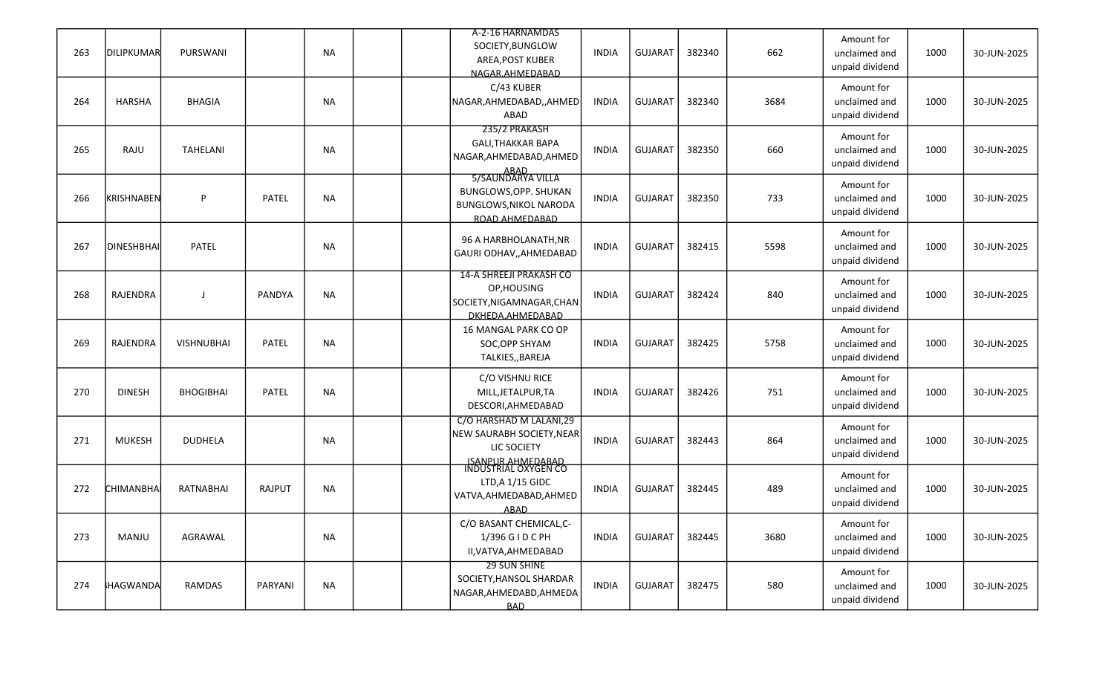|     |                   |                   |               |           | A-2-16 HARNAMDAS                                 |              |                |        |      |                                                |      |             |
|-----|-------------------|-------------------|---------------|-----------|--------------------------------------------------|--------------|----------------|--------|------|------------------------------------------------|------|-------------|
| 263 | <b>DILIPKUMAR</b> | <b>PURSWANI</b>   |               | <b>NA</b> | SOCIETY, BUNGLOW<br>AREA, POST KUBER             | <b>INDIA</b> | <b>GUJARAT</b> | 382340 | 662  | Amount for<br>unclaimed and<br>unpaid dividend | 1000 | 30-JUN-2025 |
|     |                   |                   |               |           | NAGAR.AHMEDABAD                                  |              |                |        |      |                                                |      |             |
| 264 | HARSHA            | <b>BHAGIA</b>     |               | <b>NA</b> | C/43 KUBER<br>NAGAR, AHMEDABAD, , AHMED          | <b>INDIA</b> | <b>GUJARAT</b> | 382340 | 3684 | Amount for<br>unclaimed and                    | 1000 | 30-JUN-2025 |
|     |                   |                   |               |           | ABAD                                             |              |                |        |      | unpaid dividend                                |      |             |
|     |                   |                   |               |           | 235/2 PRAKASH                                    |              |                |        |      | Amount for                                     |      |             |
| 265 | RAJU              | <b>TAHELANI</b>   |               | <b>NA</b> | <b>GALI, THAKKAR BAPA</b>                        | <b>INDIA</b> | <b>GUJARAT</b> | 382350 | 660  | unclaimed and                                  | 1000 | 30-JUN-2025 |
|     |                   |                   |               |           | NAGAR, AHMEDABAD, AHMED                          |              |                |        |      | unpaid dividend                                |      |             |
|     |                   |                   |               |           | ABAD<br>5/SAUNDARYA VILLA                        |              |                |        |      |                                                |      |             |
| 266 | KRISHNABEN        | P                 | PATEL         | <b>NA</b> | BUNGLOWS, OPP. SHUKAN                            | <b>INDIA</b> | <b>GUJARAT</b> | 382350 | 733  | Amount for<br>unclaimed and                    | 1000 | 30-JUN-2025 |
|     |                   |                   |               |           | <b>BUNGLOWS, NIKOL NARODA</b>                    |              |                |        |      | unpaid dividend                                |      |             |
|     |                   |                   |               |           | ROAD.AHMEDABAD                                   |              |                |        |      |                                                |      |             |
|     |                   |                   |               |           | 96 A HARBHOLANATH, NR                            |              |                |        |      | Amount for                                     |      |             |
| 267 | <b>DINESHBHAI</b> | PATEL             |               | <b>NA</b> | GAURI ODHAV,, AHMEDABAD                          | <b>INDIA</b> | <b>GUJARAT</b> | 382415 | 5598 | unclaimed and                                  | 1000 | 30-JUN-2025 |
|     |                   |                   |               |           |                                                  |              |                |        |      | unpaid dividend                                |      |             |
|     |                   |                   |               |           | <b>14-A SHREEJI PRAKASH CO</b>                   |              |                |        |      | Amount for                                     |      |             |
| 268 | RAJENDRA          | -1                | <b>PANDYA</b> | <b>NA</b> | OP, HOUSING                                      | <b>INDIA</b> | <b>GUJARAT</b> | 382424 | 840  | unclaimed and                                  | 1000 | 30-JUN-2025 |
|     |                   |                   |               |           | SOCIETY, NIGAMNAGAR, CHAN                        |              |                |        |      | unpaid dividend                                |      |             |
|     |                   |                   |               |           | DKHEDA.AHMEDABAD                                 |              |                |        |      |                                                |      |             |
|     |                   |                   |               |           | 16 MANGAL PARK CO OP                             |              |                |        |      | Amount for                                     |      |             |
| 269 | RAJENDRA          | <b>VISHNUBHAI</b> | PATEL         | <b>NA</b> | SOC, OPP SHYAM                                   | <b>INDIA</b> | <b>GUJARAT</b> | 382425 | 5758 | unclaimed and                                  | 1000 | 30-JUN-2025 |
|     |                   |                   |               |           | TALKIES,, BAREJA                                 |              |                |        |      | unpaid dividend                                |      |             |
|     |                   |                   |               |           | C/O VISHNU RICE                                  |              |                |        |      | Amount for                                     |      |             |
| 270 | <b>DINESH</b>     | <b>BHOGIBHAI</b>  | PATEL         | <b>NA</b> | MILL, JETALPUR, TA                               | <b>INDIA</b> | <b>GUJARAT</b> | 382426 | 751  | unclaimed and                                  | 1000 | 30-JUN-2025 |
|     |                   |                   |               |           | DESCORI, AHMEDABAD                               |              |                |        |      | unpaid dividend                                |      |             |
|     |                   |                   |               |           | C/O HARSHAD M LALANI,29                          |              |                |        |      | Amount for                                     |      |             |
| 271 | <b>MUKESH</b>     | <b>DUDHELA</b>    |               | <b>NA</b> | NEW SAURABH SOCIETY, NEAR                        | <b>INDIA</b> | <b>GUJARAT</b> | 382443 | 864  | unclaimed and                                  | 1000 | 30-JUN-2025 |
|     |                   |                   |               |           | LIC SOCIETY                                      |              |                |        |      | unpaid dividend                                |      |             |
|     |                   |                   |               |           | <u>ISANPUR.AHMEDABAD</u><br>INDUSTRIAL OXYGEN CO |              |                |        |      |                                                |      |             |
|     |                   |                   |               |           | LTD, A 1/15 GIDC                                 |              |                |        |      | Amount for                                     |      |             |
| 272 | CHIMANBHA         | RATNABHAI         | <b>RAJPUT</b> | <b>NA</b> | VATVA, AHMEDABAD, AHMED                          | <b>INDIA</b> | <b>GUJARAT</b> | 382445 | 489  | unclaimed and                                  | 1000 | 30-JUN-2025 |
|     |                   |                   |               |           | <b>ABAD</b>                                      |              |                |        |      | unpaid dividend                                |      |             |
|     |                   |                   |               |           | C/O BASANT CHEMICAL, C-                          |              |                |        |      | Amount for                                     |      |             |
| 273 | MANJU             | AGRAWAL           |               | <b>NA</b> | 1/396 G I D C PH                                 | <b>INDIA</b> | GUJARAT        | 382445 | 3680 | unclaimed and                                  | 1000 | 30-JUN-2025 |
|     |                   |                   |               |           | II, VATVA, AHMEDABAD                             |              |                |        |      | unpaid dividend                                |      |             |
|     |                   |                   |               |           | 29 SUN SHINE                                     |              |                |        |      | Amount for                                     |      |             |
| 274 | HAGWANDA          | RAMDAS            | PARYANI       | <b>NA</b> | SOCIETY, HANSOL SHARDAR                          | <b>INDIA</b> | <b>GUJARAT</b> | 382475 | 580  | unclaimed and                                  | 1000 | 30-JUN-2025 |
|     |                   |                   |               |           | NAGAR, AHMEDABD, AHMEDA                          |              |                |        |      | unpaid dividend                                |      |             |
|     |                   |                   |               |           | <b>BAD</b>                                       |              |                |        |      |                                                |      |             |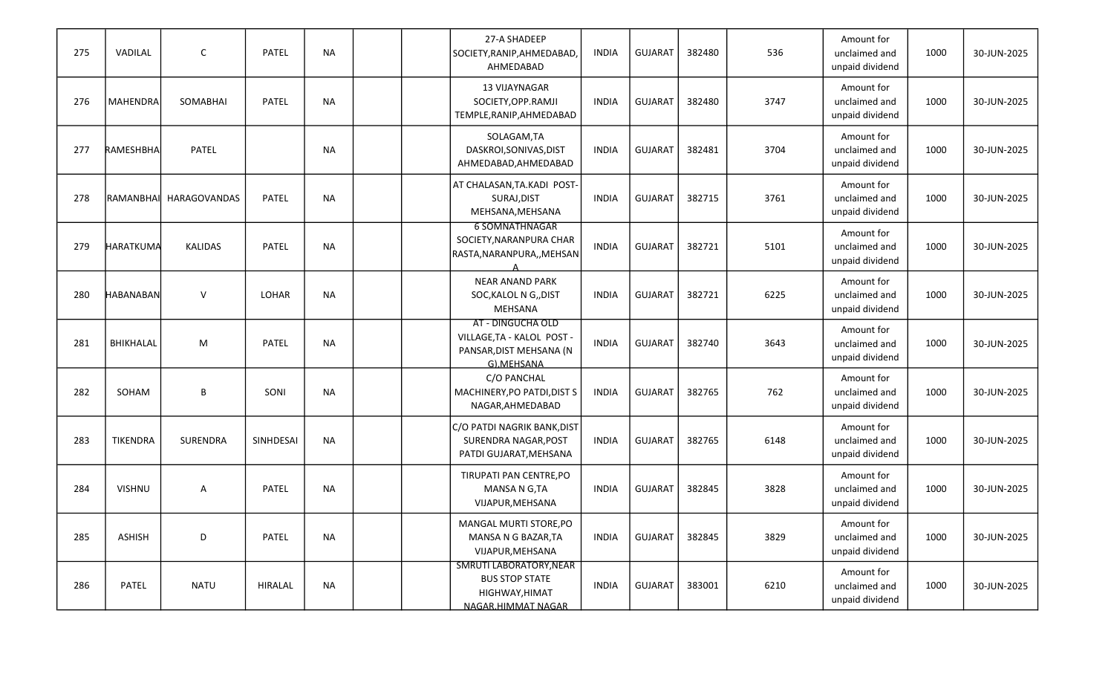| 275 | VADILAL          | C                   | PATEL     | <b>NA</b> |  | 27-A SHADEEP<br>SOCIETY, RANIP, AHMEDABAD<br>AHMEDABAD                                   | <b>INDIA</b> | <b>GUJARAT</b> | 382480 | 536  | Amount for<br>unclaimed and<br>unpaid dividend | 1000 | 30-JUN-2025 |
|-----|------------------|---------------------|-----------|-----------|--|------------------------------------------------------------------------------------------|--------------|----------------|--------|------|------------------------------------------------|------|-------------|
| 276 | MAHENDRA         | SOMABHAI            | PATEL     | <b>NA</b> |  | 13 VIJAYNAGAR<br>SOCIETY, OPP. RAMJI<br>TEMPLE, RANIP, AHMEDABAD                         | <b>INDIA</b> | <b>GUJARAT</b> | 382480 | 3747 | Amount for<br>unclaimed and<br>unpaid dividend | 1000 | 30-JUN-2025 |
| 277 | RAMESHBHA        | PATEL               |           | <b>NA</b> |  | SOLAGAM, TA<br>DASKROI, SONIVAS, DIST<br>AHMEDABAD, AHMEDABAD                            | <b>INDIA</b> | <b>GUJARAT</b> | 382481 | 3704 | Amount for<br>unclaimed and<br>unpaid dividend | 1000 | 30-JUN-2025 |
| 278 | RAMANBHAI        | <b>HARAGOVANDAS</b> | PATEL     | <b>NA</b> |  | AT CHALASAN, TA.KADI POST-<br>SURAJ, DIST<br>MEHSANA, MEHSANA                            | <b>INDIA</b> | <b>GUJARAT</b> | 382715 | 3761 | Amount for<br>unclaimed and<br>unpaid dividend | 1000 | 30-JUN-2025 |
| 279 | HARATKUMA        | <b>KALIDAS</b>      | PATEL     | <b>NA</b> |  | <b>6 SOMNATHNAGAR</b><br>SOCIETY, NARANPURA CHAR<br>RASTA, NARANPURA,, MEHSAN            | <b>INDIA</b> | <b>GUJARAT</b> | 382721 | 5101 | Amount for<br>unclaimed and<br>unpaid dividend | 1000 | 30-JUN-2025 |
| 280 | <b>HABANABAN</b> | $\vee$              | LOHAR     | <b>NA</b> |  | <b>NEAR ANAND PARK</b><br>SOC, KALOL N G,, DIST<br>MEHSANA                               | <b>INDIA</b> | <b>GUJARAT</b> | 382721 | 6225 | Amount for<br>unclaimed and<br>unpaid dividend | 1000 | 30-JUN-2025 |
| 281 | BHIKHALAL        | M                   | PATEL     | <b>NA</b> |  | AT - DINGUCHA OLD<br>VILLAGE, TA - KALOL POST -<br>PANSAR, DIST MEHSANA (N<br>G).MEHSANA | <b>INDIA</b> | <b>GUJARAT</b> | 382740 | 3643 | Amount for<br>unclaimed and<br>unpaid dividend | 1000 | 30-JUN-2025 |
| 282 | SOHAM            | B                   | SONI      | <b>NA</b> |  | C/O PANCHAL<br>MACHINERY, PO PATDI, DIST S<br>NAGAR, AHMEDABAD                           | <b>INDIA</b> | <b>GUJARAT</b> | 382765 | 762  | Amount for<br>unclaimed and<br>unpaid dividend | 1000 | 30-JUN-2025 |
| 283 | TIKENDRA         | SURENDRA            | SINHDESAI | <b>NA</b> |  | C/O PATDI NAGRIK BANK, DIST<br>SURENDRA NAGAR, POST<br>PATDI GUJARAT, MEHSANA            | INDIA        | <b>GUJARAT</b> | 382765 | 6148 | Amount for<br>unclaimed and<br>unpaid dividend | 1000 | 30-JUN-2025 |
| 284 | <b>VISHNU</b>    | A                   | PATEL     | NA        |  | TIRUPATI PAN CENTRE, PO<br>MANSA N G,TA<br>VIJAPUR, MEHSANA                              | INDIA        | <b>GUJARAT</b> | 382845 | 3828 | Amount for<br>unclaimed and<br>unpaid dividend | 1000 | 30-JUN-2025 |
| 285 | <b>ASHISH</b>    | D                   | PATEL     | <b>NA</b> |  | MANGAL MURTI STORE, PO<br>MANSA N G BAZAR, TA<br>VIJAPUR, MEHSANA                        | <b>INDIA</b> | GUJARAT        | 382845 | 3829 | Amount for<br>unclaimed and<br>unpaid dividend | 1000 | 30-JUN-2025 |
| 286 | PATEL            | <b>NATU</b>         | HIRALAL   | <b>NA</b> |  | SMRUTI LABORATORY, NEAR<br><b>BUS STOP STATE</b><br>HIGHWAY, HIMAT<br>NAGAR.HIMMAT NAGAR | INDIA        | GUJARAT        | 383001 | 6210 | Amount for<br>unclaimed and<br>unpaid dividend | 1000 | 30-JUN-2025 |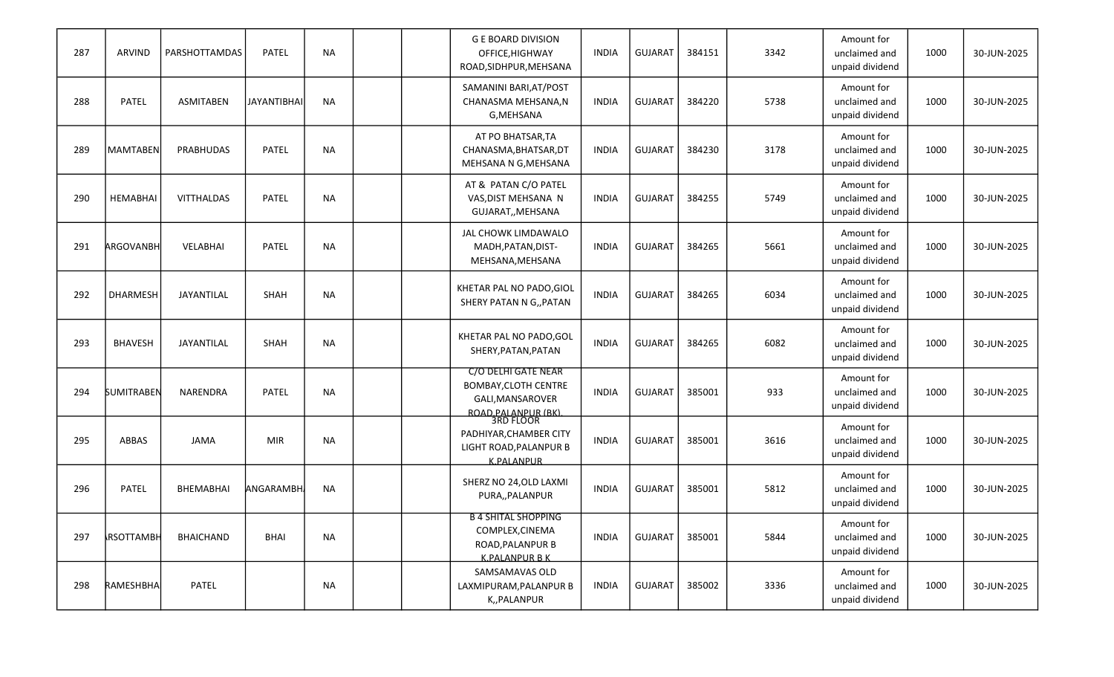| 287 | ARVIND            | PARSHOTTAMDAS     | PATEL              | <b>NA</b> |  | <b>G E BOARD DIVISION</b><br>OFFICE, HIGHWAY<br>ROAD, SIDHPUR, MEHSANA                                      | INDIA        | <b>GUJARAT</b> | 384151 | 3342 | Amount for<br>unclaimed and<br>unpaid dividend | 1000 | 30-JUN-2025 |
|-----|-------------------|-------------------|--------------------|-----------|--|-------------------------------------------------------------------------------------------------------------|--------------|----------------|--------|------|------------------------------------------------|------|-------------|
| 288 | <b>PATEL</b>      | <b>ASMITABEN</b>  | <b>JAYANTIBHAI</b> | <b>NA</b> |  | SAMANINI BARI, AT/POST<br>CHANASMA MEHSANA, N<br>G, MEHSANA                                                 | <b>INDIA</b> | <b>GUJARAT</b> | 384220 | 5738 | Amount for<br>unclaimed and<br>unpaid dividend | 1000 | 30-JUN-2025 |
| 289 | MAMTABEN          | PRABHUDAS         | PATEL              | <b>NA</b> |  | AT PO BHATSAR, TA<br>CHANASMA, BHATSAR, DT<br>MEHSANA N G, MEHSANA                                          | <b>INDIA</b> | <b>GUJARAT</b> | 384230 | 3178 | Amount for<br>unclaimed and<br>unpaid dividend | 1000 | 30-JUN-2025 |
| 290 | <b>HEMABHAI</b>   | <b>VITTHALDAS</b> | PATEL              | <b>NA</b> |  | AT & PATAN C/O PATEL<br>VAS, DIST MEHSANA N<br>GUJARAT,, MEHSANA                                            | <b>INDIA</b> | <b>GUJARAT</b> | 384255 | 5749 | Amount for<br>unclaimed and<br>unpaid dividend | 1000 | 30-JUN-2025 |
| 291 | <b>ARGOVANBH</b>  | <b>VELABHAI</b>   | PATEL              | <b>NA</b> |  | JAL CHOWK LIMDAWALO<br>MADH, PATAN, DIST-<br>MEHSANA, MEHSANA                                               | INDIA        | <b>GUJARAT</b> | 384265 | 5661 | Amount for<br>unclaimed and<br>unpaid dividend | 1000 | 30-JUN-2025 |
| 292 | <b>DHARMESH</b>   | JAYANTILAL        | SHAH               | <b>NA</b> |  | KHETAR PAL NO PADO, GIOL<br>SHERY PATAN N G,, PATAN                                                         | <b>INDIA</b> | <b>GUJARAT</b> | 384265 | 6034 | Amount for<br>unclaimed and<br>unpaid dividend | 1000 | 30-JUN-2025 |
| 293 | <b>BHAVESH</b>    | <b>JAYANTILAL</b> | SHAH               | NA.       |  | KHETAR PAL NO PADO, GOL<br>SHERY, PATAN, PATAN                                                              | <b>INDIA</b> | <b>GUJARAT</b> | 384265 | 6082 | Amount for<br>unclaimed and<br>unpaid dividend | 1000 | 30-JUN-2025 |
| 294 | <b>SUMITRABEN</b> | NARENDRA          | PATEL              | <b>NA</b> |  | C/O DELHI GATE NEAR<br><b>BOMBAY, CLOTH CENTRE</b><br>GALI, MANSAROVER<br>ROAD, PALANPUR (BK).<br>3RD FLOOR | <b>INDIA</b> | <b>GUJARAT</b> | 385001 | 933  | Amount for<br>unclaimed and<br>unpaid dividend | 1000 | 30-JUN-2025 |
| 295 | ABBAS             | JAMA              | <b>MIR</b>         | NA        |  | PADHIYAR, CHAMBER CITY<br>LIGHT ROAD, PALANPUR B<br><b>K.PALANPUR</b>                                       | <b>INDIA</b> | <b>GUJARAT</b> | 385001 | 3616 | Amount for<br>unclaimed and<br>unpaid dividend | 1000 | 30-JUN-2025 |
| 296 | PATEL             | <b>BHEMABHAI</b>  | <b>ANGARAMBH</b>   | <b>NA</b> |  | SHERZ NO 24, OLD LAXMI<br>PURA,, PALANPUR                                                                   | <b>INDIA</b> | <b>GUJARAT</b> | 385001 | 5812 | Amount for<br>unclaimed and<br>unpaid dividend | 1000 | 30-JUN-2025 |
| 297 | <b>RSOTTAMBH</b>  | <b>BHAICHAND</b>  | <b>BHAI</b>        | <b>NA</b> |  | <b>B 4 SHITAL SHOPPING</b><br>COMPLEX, CINEMA<br>ROAD, PALANPUR B<br><b>K.PALANPUR BK</b>                   | <b>INDIA</b> | GUJARAT        | 385001 | 5844 | Amount for<br>unclaimed and<br>unpaid dividend | 1000 | 30-JUN-2025 |
| 298 | RAMESHBHA         | PATEL             |                    | NA        |  | SAMSAMAVAS OLD<br>LAXMIPURAM, PALANPUR B<br>K,,PALANPUR                                                     | <b>INDIA</b> | <b>GUJARAT</b> | 385002 | 3336 | Amount for<br>unclaimed and<br>unpaid dividend | 1000 | 30-JUN-2025 |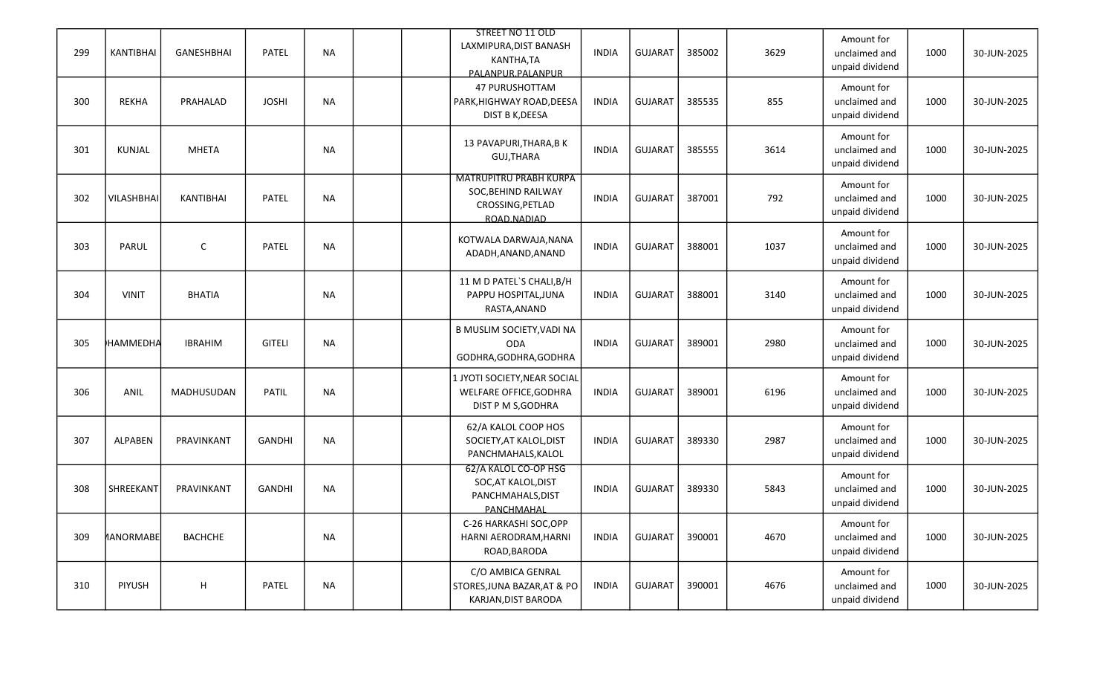| 299 | KANTIBHAI        | GANESHBHAI     | PATEL         | <b>NA</b> |  | STREET NO 11 OLD<br>LAXMIPURA, DIST BANASH<br>KANTHA,TA<br>PALANPUR.PALANPUR            | <b>INDIA</b> | <b>GUJARAT</b> | 385002 | 3629 | Amount for<br>unclaimed and<br>unpaid dividend | 1000 | 30-JUN-2025 |
|-----|------------------|----------------|---------------|-----------|--|-----------------------------------------------------------------------------------------|--------------|----------------|--------|------|------------------------------------------------|------|-------------|
| 300 | <b>REKHA</b>     | PRAHALAD       | <b>JOSHI</b>  | <b>NA</b> |  | 47 PURUSHOTTAM<br>PARK, HIGHWAY ROAD, DEESA<br>DIST B K, DEESA                          | <b>INDIA</b> | <b>GUJARAT</b> | 385535 | 855  | Amount for<br>unclaimed and<br>unpaid dividend | 1000 | 30-JUN-2025 |
| 301 | KUNJAL           | <b>MHETA</b>   |               | <b>NA</b> |  | 13 PAVAPURI, THARA, BK<br><b>GUJ.THARA</b>                                              | <b>INDIA</b> | <b>GUJARAT</b> | 385555 | 3614 | Amount for<br>unclaimed and<br>unpaid dividend | 1000 | 30-JUN-2025 |
| 302 | VILASHBHAI       | KANTIBHAI      | PATEL         | <b>NA</b> |  | <b>MATRUPITRU PRABH KURPA</b><br>SOC, BEHIND RAILWAY<br>CROSSING, PETLAD<br>ROAD.NADIAD | <b>INDIA</b> | <b>GUJARAT</b> | 387001 | 792  | Amount for<br>unclaimed and<br>unpaid dividend | 1000 | 30-JUN-2025 |
| 303 | PARUL            | $\mathsf C$    | PATEL         | <b>NA</b> |  | KOTWALA DARWAJA, NANA<br>ADADH, ANAND, ANAND                                            | <b>INDIA</b> | <b>GUJARAT</b> | 388001 | 1037 | Amount for<br>unclaimed and<br>unpaid dividend | 1000 | 30-JUN-2025 |
| 304 | <b>VINIT</b>     | <b>BHATIA</b>  |               | <b>NA</b> |  | 11 M D PATEL'S CHALI, B/H<br>PAPPU HOSPITAL, JUNA<br>RASTA, ANAND                       | <b>INDIA</b> | <b>GUJARAT</b> | 388001 | 3140 | Amount for<br>unclaimed and<br>unpaid dividend | 1000 | 30-JUN-2025 |
| 305 | HAMMEDHA         | <b>IBRAHIM</b> | <b>GITELI</b> | <b>NA</b> |  | B MUSLIM SOCIETY, VADI NA<br><b>ODA</b><br>GODHRA, GODHRA, GODHRA                       | <b>INDIA</b> | <b>GUJARAT</b> | 389001 | 2980 | Amount for<br>unclaimed and<br>unpaid dividend | 1000 | 30-JUN-2025 |
| 306 | ANIL             | MADHUSUDAN     | PATIL         | <b>NA</b> |  | 1 JYOTI SOCIETY, NEAR SOCIAL<br>WELFARE OFFICE, GODHRA<br>DIST P M S, GODHRA            | <b>INDIA</b> | <b>GUJARAT</b> | 389001 | 6196 | Amount for<br>unclaimed and<br>unpaid dividend | 1000 | 30-JUN-2025 |
| 307 | <b>ALPABEN</b>   | PRAVINKANT     | <b>GANDHI</b> | <b>NA</b> |  | 62/A KALOL COOP HOS<br>SOCIETY, AT KALOL, DIST<br>PANCHMAHALS, KALOL                    | <b>INDIA</b> | <b>GUJARAT</b> | 389330 | 2987 | Amount for<br>unclaimed and<br>unpaid dividend | 1000 | 30-JUN-2025 |
| 308 | SHREEKANT        | PRAVINKANT     | <b>GANDHI</b> | <b>NA</b> |  | 62/A KALOL CO-OP HSG<br>SOC, AT KALOL, DIST<br>PANCHMAHALS, DIST<br>PANCHMAHAL          | <b>INDIA</b> | <b>GUJARAT</b> | 389330 | 5843 | Amount for<br>unclaimed and<br>unpaid dividend | 1000 | 30-JUN-2025 |
| 309 | <b>MANORMABE</b> | <b>BACHCHE</b> |               | <b>NA</b> |  | C-26 HARKASHI SOC, OPP<br>HARNI AERODRAM, HARNI<br>ROAD, BARODA                         | <b>INDIA</b> | <b>GUJARAT</b> | 390001 | 4670 | Amount for<br>unclaimed and<br>unpaid dividend | 1000 | 30-JUN-2025 |
| 310 | <b>PIYUSH</b>    | H              | PATEL         | <b>NA</b> |  | C/O AMBICA GENRAL<br>STORES, JUNA BAZAR, AT & PO<br>KARJAN, DIST BARODA                 | <b>INDIA</b> | <b>GUJARAT</b> | 390001 | 4676 | Amount for<br>unclaimed and<br>unpaid dividend | 1000 | 30-JUN-2025 |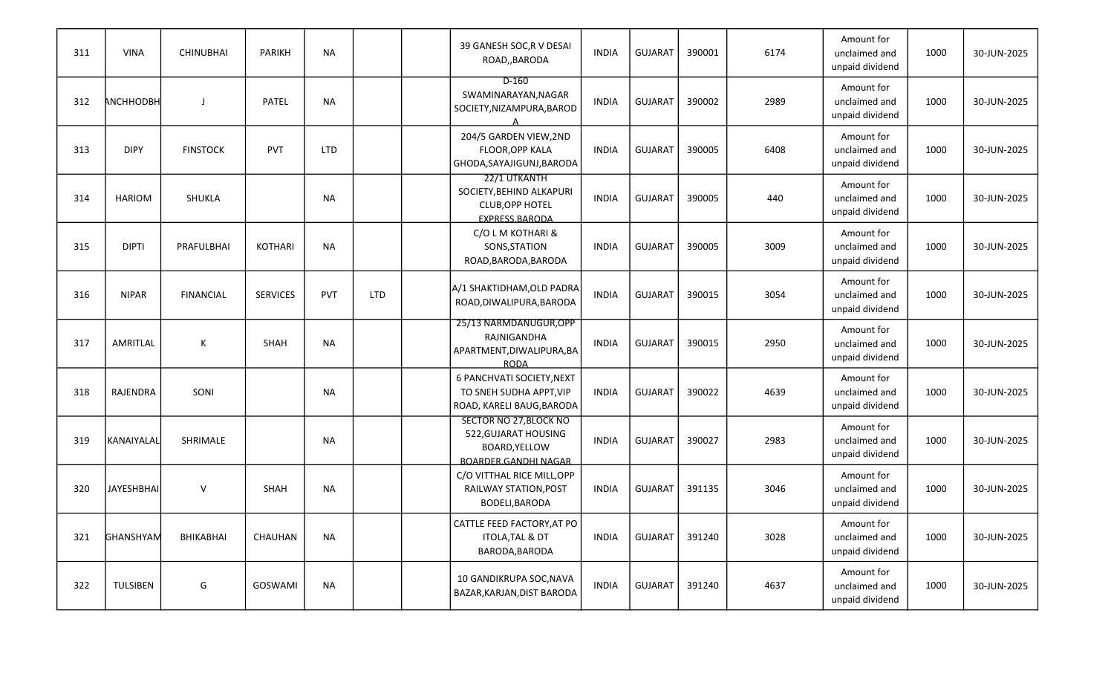| 311 | <b>VINA</b>       | <b>CHINUBHAI</b> | <b>PARIKH</b>   | <b>NA</b>  |            | 39 GANESH SOC, R V DESAI<br>ROAD,, BARODA                                               | <b>INDIA</b> | <b>GUJARAT</b> | 390001 | 6174 | Amount for<br>unclaimed and<br>unpaid dividend | 1000 | 30-JUN-2025 |
|-----|-------------------|------------------|-----------------|------------|------------|-----------------------------------------------------------------------------------------|--------------|----------------|--------|------|------------------------------------------------|------|-------------|
| 312 | <b>ANCHHODBH</b>  |                  | PATEL           | <b>NA</b>  |            | $D-160$<br>SWAMINARAYAN, NAGAR<br>SOCIETY, NIZAMPURA, BAROD                             | <b>INDIA</b> | <b>GUJARAT</b> | 390002 | 2989 | Amount for<br>unclaimed and<br>unpaid dividend | 1000 | 30-JUN-2025 |
| 313 | <b>DIPY</b>       | <b>FINSTOCK</b>  | PVT             | <b>LTD</b> |            | 204/5 GARDEN VIEW,2ND<br>FLOOR, OPP KALA<br>GHODA, SAYAJIGUNJ, BARODA                   | <b>INDIA</b> | <b>GUJARAT</b> | 390005 | 6408 | Amount for<br>unclaimed and<br>unpaid dividend | 1000 | 30-JUN-2025 |
| 314 | <b>HARIOM</b>     | SHUKLA           |                 | <b>NA</b>  |            | 22/1 UTKANTH<br>SOCIETY, BEHIND ALKAPURI<br><b>CLUB, OPP HOTEL</b><br>EXPRESS.BARODA    | <b>INDIA</b> | <b>GUJARAT</b> | 390005 | 440  | Amount for<br>unclaimed and<br>unpaid dividend | 1000 | 30-JUN-2025 |
| 315 | <b>DIPTI</b>      | PRAFULBHAI       | KOTHARI         | <b>NA</b>  |            | C/O L M KOTHARI &<br>SONS, STATION<br>ROAD, BARODA, BARODA                              | INDIA        | <b>GUJARAT</b> | 390005 | 3009 | Amount for<br>unclaimed and<br>unpaid dividend | 1000 | 30-JUN-2025 |
| 316 | <b>NIPAR</b>      | <b>FINANCIAL</b> | <b>SERVICES</b> | <b>PVT</b> | <b>LTD</b> | A/1 SHAKTIDHAM, OLD PADRA<br>ROAD, DIWALIPURA, BARODA                                   | <b>INDIA</b> | <b>GUJARAT</b> | 390015 | 3054 | Amount for<br>unclaimed and<br>unpaid dividend | 1000 | 30-JUN-2025 |
| 317 | AMRITLAL          | К                | SHAH            | <b>NA</b>  |            | 25/13 NARMDANUGUR, OPP<br>RAJNIGANDHA<br>APARTMENT, DIWALIPURA, BA<br><b>RODA</b>       | <b>INDIA</b> | <b>GUJARAT</b> | 390015 | 2950 | Amount for<br>unclaimed and<br>unpaid dividend | 1000 | 30-JUN-2025 |
| 318 | RAJENDRA          | SONI             |                 | <b>NA</b>  |            | 6 PANCHVATI SOCIETY, NEXT<br>TO SNEH SUDHA APPT, VIP<br>ROAD, KARELI BAUG, BARODA       | <b>INDIA</b> | <b>GUJARAT</b> | 390022 | 4639 | Amount for<br>unclaimed and<br>unpaid dividend | 1000 | 30-JUN-2025 |
| 319 | KANAIYALAL        | SHRIMALE         |                 | <b>NA</b>  |            | SECTOR NO 27, BLOCK NO<br>522, GUJARAT HOUSING<br>BOARD, YELLOW<br>BOARDER.GANDHI NAGAR | <b>INDIA</b> | <b>GUJARAT</b> | 390027 | 2983 | Amount for<br>unclaimed and<br>unpaid dividend | 1000 | 30-JUN-2025 |
| 320 | <b>JAYESHBHAI</b> | $\vee$           | SHAH            | NA         |            | C/O VITTHAL RICE MILL, OPP<br>RAILWAY STATION, POST<br>BODELI, BARODA                   | <b>INDIA</b> | <b>GUJARAT</b> | 391135 | 3046 | Amount for<br>unclaimed and<br>unpaid dividend | 1000 | 30-JUN-2025 |
| 321 | GHANSHYAM         | BHIKABHAI        | CHAUHAN         | <b>NA</b>  |            | CATTLE FEED FACTORY, AT PO<br>ITOLA, TAL & DT<br>BARODA, BARODA                         | <b>INDIA</b> | GUJARAT        | 391240 | 3028 | Amount for<br>unclaimed and<br>unpaid dividend | 1000 | 30-JUN-2025 |
| 322 | <b>TULSIBEN</b>   | G                | GOSWAMI         | <b>NA</b>  |            | 10 GANDIKRUPA SOC, NAVA<br>BAZAR, KARJAN, DIST BARODA                                   | <b>INDIA</b> | GUJARAT        | 391240 | 4637 | Amount for<br>unclaimed and<br>unpaid dividend | 1000 | 30-JUN-2025 |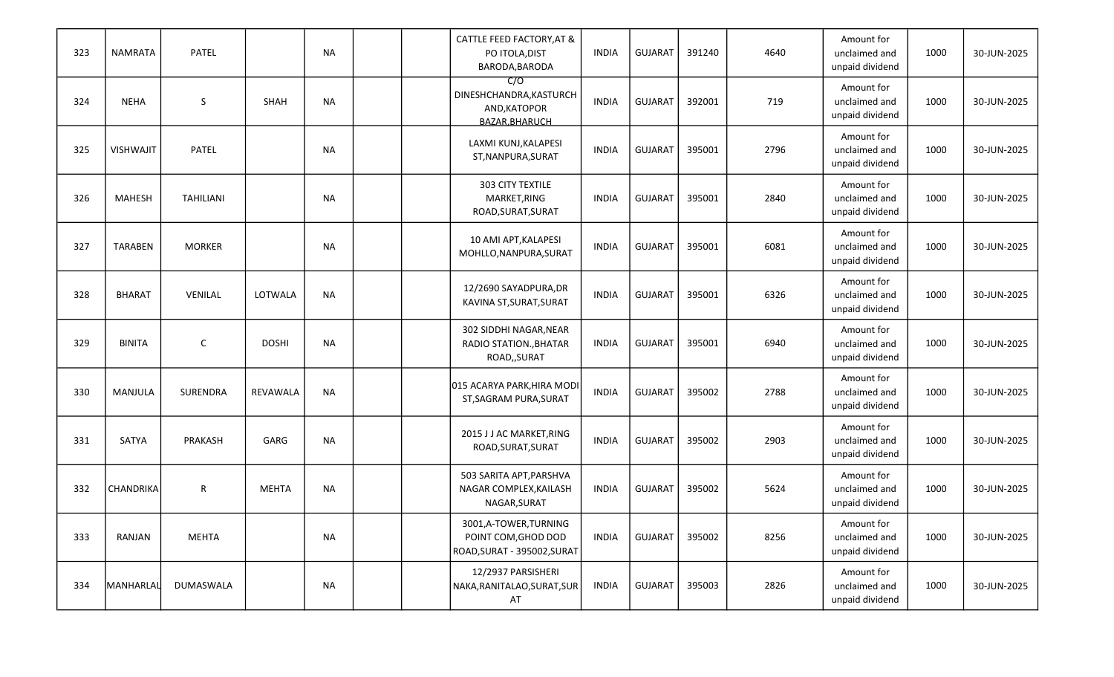| 323 | <b>NAMRATA</b>   | PATEL            |              | <b>NA</b> |  | CATTLE FEED FACTORY, AT &<br>PO ITOLA, DIST<br>BARODA, BARODA              | <b>INDIA</b> | <b>GUJARAT</b> | 391240 | 4640 | Amount for<br>unclaimed and<br>unpaid dividend | 1000 | 30-JUN-2025 |
|-----|------------------|------------------|--------------|-----------|--|----------------------------------------------------------------------------|--------------|----------------|--------|------|------------------------------------------------|------|-------------|
| 324 | <b>NEHA</b>      | S                | SHAH         | <b>NA</b> |  | C/O<br>DINESHCHANDRA, KASTURCH<br>AND, KATOPOR<br>BAZAR.BHARUCH            | <b>INDIA</b> | <b>GUJARAT</b> | 392001 | 719  | Amount for<br>unclaimed and<br>unpaid dividend | 1000 | 30-JUN-2025 |
| 325 | <b>VISHWAJIT</b> | PATEL            |              | <b>NA</b> |  | LAXMI KUNJ, KALAPESI<br>ST, NANPURA, SURAT                                 | <b>INDIA</b> | <b>GUJARAT</b> | 395001 | 2796 | Amount for<br>unclaimed and<br>unpaid dividend | 1000 | 30-JUN-2025 |
| 326 | <b>MAHESH</b>    | <b>TAHILIANI</b> |              | <b>NA</b> |  | 303 CITY TEXTILE<br>MARKET, RING<br>ROAD, SURAT, SURAT                     | <b>INDIA</b> | <b>GUJARAT</b> | 395001 | 2840 | Amount for<br>unclaimed and<br>unpaid dividend | 1000 | 30-JUN-2025 |
| 327 | <b>TARABEN</b>   | <b>MORKER</b>    |              | <b>NA</b> |  | 10 AMI APT, KALAPESI<br>MOHLLO, NANPURA, SURAT                             | <b>INDIA</b> | <b>GUJARAT</b> | 395001 | 6081 | Amount for<br>unclaimed and<br>unpaid dividend | 1000 | 30-JUN-2025 |
| 328 | <b>BHARAT</b>    | VENILAL          | LOTWALA      | <b>NA</b> |  | 12/2690 SAYADPURA, DR<br>KAVINA ST, SURAT, SURAT                           | <b>INDIA</b> | <b>GUJARAT</b> | 395001 | 6326 | Amount for<br>unclaimed and<br>unpaid dividend | 1000 | 30-JUN-2025 |
| 329 | <b>BINITA</b>    | $\mathsf C$      | <b>DOSHI</b> | <b>NA</b> |  | 302 SIDDHI NAGAR, NEAR<br>RADIO STATION., BHATAR<br>ROAD,, SURAT           | <b>INDIA</b> | <b>GUJARAT</b> | 395001 | 6940 | Amount for<br>unclaimed and<br>unpaid dividend | 1000 | 30-JUN-2025 |
| 330 | MANJULA          | SURENDRA         | REVAWALA     | <b>NA</b> |  | 015 ACARYA PARK, HIRA MODI<br>ST, SAGRAM PURA, SURAT                       | <b>INDIA</b> | <b>GUJARAT</b> | 395002 | 2788 | Amount for<br>unclaimed and<br>unpaid dividend | 1000 | 30-JUN-2025 |
| 331 | SATYA            | PRAKASH          | GARG         | <b>NA</b> |  | 2015 J J AC MARKET, RING<br>ROAD, SURAT, SURAT                             | <b>INDIA</b> | <b>GUJARAT</b> | 395002 | 2903 | Amount for<br>unclaimed and<br>unpaid dividend | 1000 | 30-JUN-2025 |
| 332 | <b>CHANDRIKA</b> | R                | <b>MEHTA</b> | <b>NA</b> |  | 503 SARITA APT, PARSHVA<br>NAGAR COMPLEX, KAILASH<br>NAGAR, SURAT          | <b>INDIA</b> | <b>GUJARAT</b> | 395002 | 5624 | Amount for<br>unclaimed and<br>unpaid dividend | 1000 | 30-JUN-2025 |
| 333 | RANJAN           | <b>MEHTA</b>     |              | NA        |  | 3001,A-TOWER,TURNING<br>POINT COM, GHOD DOD<br>ROAD, SURAT - 395002, SURAT | <b>INDIA</b> | <b>GUJARAT</b> | 395002 | 8256 | Amount for<br>unclaimed and<br>unpaid dividend | 1000 | 30-JUN-2025 |
| 334 | MANHARLAL        | DUMASWALA        |              | NA        |  | 12/2937 PARSISHERI<br>NAKA, RANITALAO, SURAT, SUR<br>AT                    | INDIA        | GUJARAT        | 395003 | 2826 | Amount for<br>unclaimed and<br>unpaid dividend | 1000 | 30-JUN-2025 |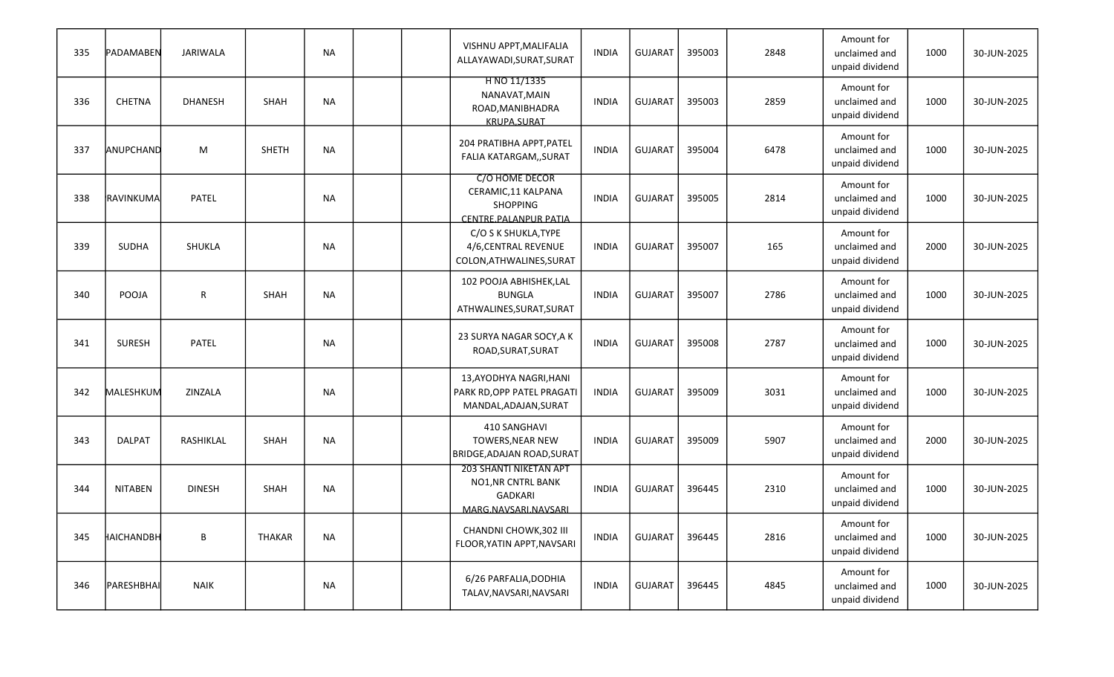| 335 | PADAMABEN      | JARIWALA       |               | <b>NA</b> |  | VISHNU APPT, MALIFALIA<br>ALLAYAWADI, SURAT, SURAT                                                   | <b>INDIA</b> | <b>GUJARAT</b> | 395003 | 2848 | Amount for<br>unclaimed and<br>unpaid dividend | 1000 | 30-JUN-2025 |
|-----|----------------|----------------|---------------|-----------|--|------------------------------------------------------------------------------------------------------|--------------|----------------|--------|------|------------------------------------------------|------|-------------|
| 336 | <b>CHETNA</b>  | <b>DHANESH</b> | SHAH          | <b>NA</b> |  | H NO 11/1335<br>NANAVAT, MAIN<br>ROAD, MANIBHADRA<br><b>KRUPA.SURAT</b>                              | <b>INDIA</b> | <b>GUJARAT</b> | 395003 | 2859 | Amount for<br>unclaimed and<br>unpaid dividend | 1000 | 30-JUN-2025 |
| 337 | ANUPCHAND      | M              | <b>SHETH</b>  | <b>NA</b> |  | 204 PRATIBHA APPT, PATEL<br>FALIA KATARGAM,, SURAT                                                   | <b>INDIA</b> | <b>GUJARAT</b> | 395004 | 6478 | Amount for<br>unclaimed and<br>unpaid dividend | 1000 | 30-JUN-2025 |
| 338 | RAVINKUMA      | PATEL          |               | <b>NA</b> |  | <b>C/O HOME DECOR</b><br>CERAMIC,11 KALPANA<br><b>SHOPPING</b><br>CENTRE.PALANPUR PATIA              | <b>INDIA</b> | <b>GUJARAT</b> | 395005 | 2814 | Amount for<br>unclaimed and<br>unpaid dividend | 1000 | 30-JUN-2025 |
| 339 | SUDHA          | SHUKLA         |               | <b>NA</b> |  | C/O S K SHUKLA, TYPE<br>4/6, CENTRAL REVENUE<br>COLON, ATHWALINES, SURAT                             | <b>INDIA</b> | <b>GUJARAT</b> | 395007 | 165  | Amount for<br>unclaimed and<br>unpaid dividend | 2000 | 30-JUN-2025 |
| 340 | POOJA          | $\mathsf R$    | SHAH          | <b>NA</b> |  | 102 POOJA ABHISHEK,LAL<br><b>BUNGLA</b><br>ATHWALINES, SURAT, SURAT                                  | <b>INDIA</b> | <b>GUJARAT</b> | 395007 | 2786 | Amount for<br>unclaimed and<br>unpaid dividend | 1000 | 30-JUN-2025 |
| 341 | <b>SURESH</b>  | PATEL          |               | <b>NA</b> |  | 23 SURYA NAGAR SOCY, A K<br>ROAD, SURAT, SURAT                                                       | <b>INDIA</b> | <b>GUJARAT</b> | 395008 | 2787 | Amount for<br>unclaimed and<br>unpaid dividend | 1000 | 30-JUN-2025 |
| 342 | MALESHKUM      | ZINZALA        |               | <b>NA</b> |  | 13,AYODHYA NAGRI,HANI<br>PARK RD, OPP PATEL PRAGATI<br>MANDAL, ADAJAN, SURAT                         | <b>INDIA</b> | <b>GUJARAT</b> | 395009 | 3031 | Amount for<br>unclaimed and<br>unpaid dividend | 1000 | 30-JUN-2025 |
| 343 | <b>DALPAT</b>  | RASHIKLAL      | SHAH          | <b>NA</b> |  | 410 SANGHAVI<br>TOWERS, NEAR NEW<br>BRIDGE,ADAJAN ROAD,SURAT                                         | <b>INDIA</b> | <b>GUJARAT</b> | 395009 | 5907 | Amount for<br>unclaimed and<br>unpaid dividend | 2000 | 30-JUN-2025 |
| 344 | <b>NITABEN</b> | <b>DINESH</b>  | SHAH          | NA        |  | <b>203 SHANTI NIKETAN APT</b><br><b>NO1, NR CNTRL BANK</b><br><b>GADKARI</b><br>MARG.NAVSARI.NAVSARI | <b>INDIA</b> | <b>GUJARAT</b> | 396445 | 2310 | Amount for<br>unclaimed and<br>unpaid dividend | 1000 | 30-JUN-2025 |
| 345 | HAICHANDBH     | $\, {\bf B}$   | <b>THAKAR</b> | <b>NA</b> |  | CHANDNI CHOWK, 302 III<br>FLOOR, YATIN APPT, NAVSARI                                                 | <b>INDIA</b> | <b>GUJARAT</b> | 396445 | 2816 | Amount for<br>unclaimed and<br>unpaid dividend | 1000 | 30-JUN-2025 |
| 346 | PARESHBHAI     | <b>NAIK</b>    |               | NA        |  | 6/26 PARFALIA, DODHIA<br>TALAV, NAVSARI, NAVSARI                                                     | <b>INDIA</b> | GUJARAT        | 396445 | 4845 | Amount for<br>unclaimed and<br>unpaid dividend | 1000 | 30-JUN-2025 |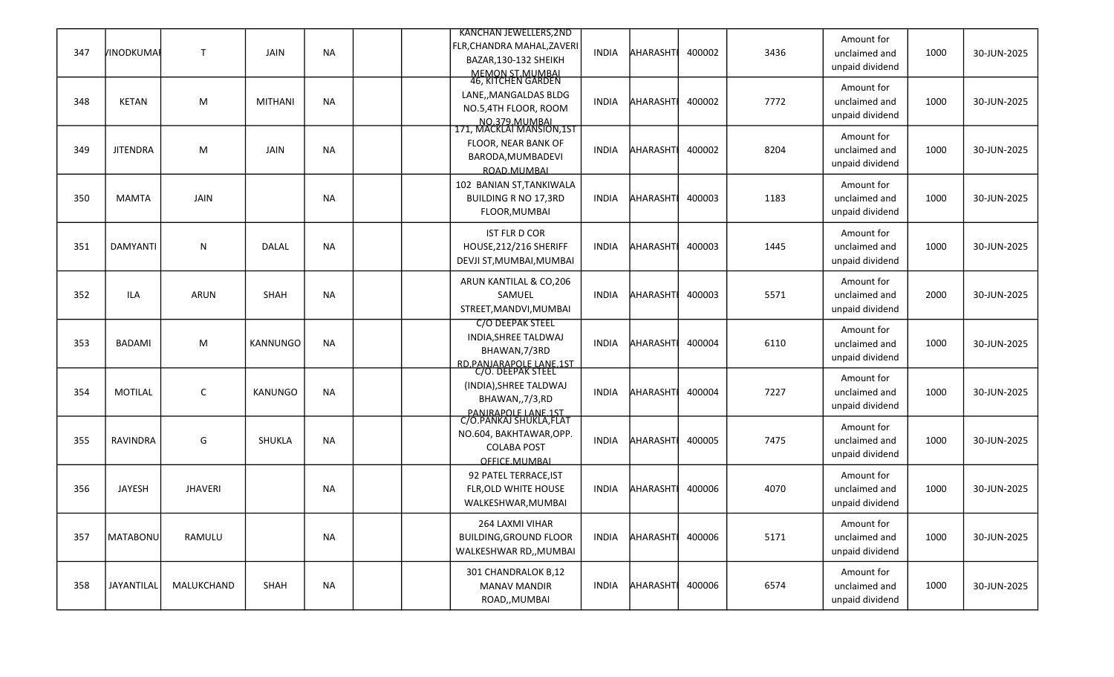| 347 | VINODKUMAI      | $\mathsf{T}$   | JAIN            | <b>NA</b> |  | <b>KANCHAN JEWELLERS, 2ND</b><br>FLR, CHANDRA MAHAL, ZAVERI<br>BAZAR, 130-132 SHEIKH                            | <b>INDIA</b> | AHARASHTI       | 400002 | 3436 | Amount for<br>unclaimed and<br>unpaid dividend | 1000 | 30-JUN-2025 |
|-----|-----------------|----------------|-----------------|-----------|--|-----------------------------------------------------------------------------------------------------------------|--------------|-----------------|--------|------|------------------------------------------------|------|-------------|
| 348 | <b>KETAN</b>    | M              | <b>MITHANI</b>  | <b>NA</b> |  | MEMON ST.MUMBAL<br>46, KITCHEN GARDEN<br>LANE,, MANGALDAS BLDG<br>NO.5,4TH FLOOR, ROOM                          | INDIA        | <b>AHARASHT</b> | 400002 | 7772 | Amount for<br>unclaimed and<br>unpaid dividend | 1000 | 30-JUN-2025 |
| 349 | <b>JITENDRA</b> | M              | JAIN            | <b>NA</b> |  | NO.379.MUMBAL<br>171, MACKLAI MANSION,1ST<br>FLOOR, NEAR BANK OF<br>BARODA, MUMBADEVI<br>ROAD.MUMBAL            | INDIA        | <b>AHARASHT</b> | 400002 | 8204 | Amount for<br>unclaimed and<br>unpaid dividend | 1000 | 30-JUN-2025 |
| 350 | <b>MAMTA</b>    | JAIN           |                 | <b>NA</b> |  | 102 BANIAN ST, TANKIWALA<br><b>BUILDING R NO 17,3RD</b><br>FLOOR, MUMBAI                                        | <b>INDIA</b> | AHARASHTI       | 400003 | 1183 | Amount for<br>unclaimed and<br>unpaid dividend | 1000 | 30-JUN-2025 |
| 351 | <b>DAMYANTI</b> | N              | <b>DALAL</b>    | <b>NA</b> |  | <b>IST FLR D COR</b><br>HOUSE, 212/216 SHERIFF<br>DEVJI ST, MUMBAI, MUMBAI                                      | INDIA        | <b>AHARASHT</b> | 400003 | 1445 | Amount for<br>unclaimed and<br>unpaid dividend | 1000 | 30-JUN-2025 |
| 352 | ILA             | <b>ARUN</b>    | <b>SHAH</b>     | <b>NA</b> |  | ARUN KANTILAL & CO,206<br>SAMUEL<br>STREET, MANDVI, MUMBAI                                                      | <b>INDIA</b> | <b>AHARASHT</b> | 400003 | 5571 | Amount for<br>unclaimed and<br>unpaid dividend | 2000 | 30-JUN-2025 |
| 353 | <b>BADAMI</b>   | M              | <b>KANNUNGO</b> | <b>NA</b> |  | <b>C/O DEEPAK STEEL</b><br>INDIA, SHREE TALDWAJ<br>BHAWAN, 7/3RD                                                | <b>INDIA</b> | AHARASHTI       | 400004 | 6110 | Amount for<br>unclaimed and<br>unpaid dividend | 1000 | 30-JUN-2025 |
| 354 | <b>MOTILAL</b>  | C              | <b>KANUNGO</b>  | <b>NA</b> |  | RD.PANJARAPOLE LANE.1ST<br>C/O. DEEPAK STEEL<br>(INDIA), SHREE TALDWAJ<br>BHAWAN,,7/3,RD                        | INDIA        | <b>AHARASHT</b> | 400004 | 7227 | Amount for<br>unclaimed and<br>unpaid dividend | 1000 | 30-JUN-2025 |
| 355 | RAVINDRA        | G              | <b>SHUKLA</b>   | <b>NA</b> |  | PANIRAPOLE LANE.1ST<br>C/O.PANKAJ SHUKLA,FLAT<br>NO.604, BAKHTAWAR, OPP.<br><b>COLABA POST</b><br>OFFICE.MUMBAL | <b>INDIA</b> | <b>AHARASHT</b> | 400005 | 7475 | Amount for<br>unclaimed and<br>unpaid dividend | 1000 | 30-JUN-2025 |
| 356 | <b>JAYESH</b>   | <b>JHAVERI</b> |                 | <b>NA</b> |  | 92 PATEL TERRACE, IST<br>FLR, OLD WHITE HOUSE<br>WALKESHWAR, MUMBAI                                             | <b>INDIA</b> | AHARASHT        | 400006 | 4070 | Amount for<br>unclaimed and<br>unpaid dividend | 1000 | 30-JUN-2025 |
| 357 | MATABONU        | RAMULU         |                 | <b>NA</b> |  | 264 LAXMI VIHAR<br><b>BUILDING, GROUND FLOOR</b><br>WALKESHWAR RD,, MUMBAI                                      | <b>INDIA</b> | AHARASHT        | 400006 | 5171 | Amount for<br>unclaimed and<br>unpaid dividend | 1000 | 30-JUN-2025 |
| 358 | JAYANTILAL      | MALUKCHAND     | SHAH            | <b>NA</b> |  | 301 CHANDRALOK B,12<br><b>MANAV MANDIR</b><br>ROAD,, MUMBAI                                                     | INDIA        | AHARASHT        | 400006 | 6574 | Amount for<br>unclaimed and<br>unpaid dividend | 1000 | 30-JUN-2025 |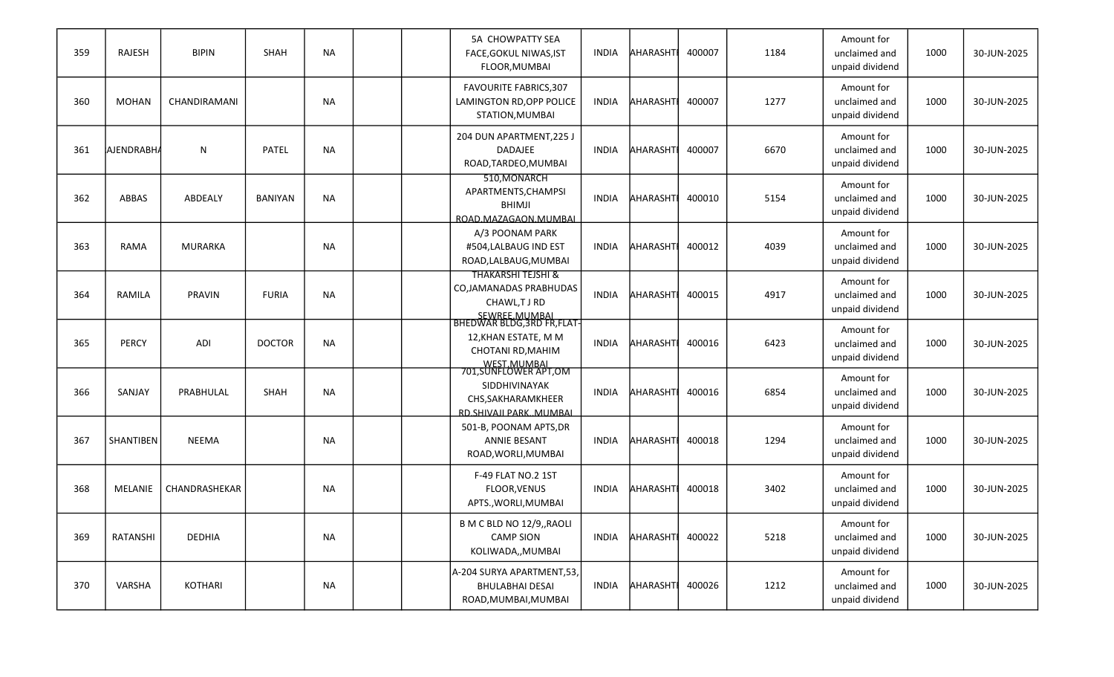| 359 | RAJESH       | <b>BIPIN</b>   | SHAH           | <b>NA</b> |  | <b>5A CHOWPATTY SEA</b><br>FACE, GOKUL NIWAS, IST<br>FLOOR, MUMBAI                                  | <b>INDIA</b> | <b>AHARASHT</b> | 400007 | 1184 | Amount for<br>unclaimed and<br>unpaid dividend | 1000 | 30-JUN-2025 |
|-----|--------------|----------------|----------------|-----------|--|-----------------------------------------------------------------------------------------------------|--------------|-----------------|--------|------|------------------------------------------------|------|-------------|
| 360 | <b>MOHAN</b> | CHANDIRAMANI   |                | <b>NA</b> |  | <b>FAVOURITE FABRICS, 307</b><br>LAMINGTON RD, OPP POLICE<br>STATION, MUMBAI                        | <b>INDIA</b> | AHARASHT        | 400007 | 1277 | Amount for<br>unclaimed and<br>unpaid dividend | 1000 | 30-JUN-2025 |
| 361 | AJENDRABH/   | N              | PATEL          | <b>NA</b> |  | 204 DUN APARTMENT, 225 J<br>DADAJEE<br>ROAD, TARDEO, MUMBAI                                         | <b>INDIA</b> | AHARASHT        | 400007 | 6670 | Amount for<br>unclaimed and<br>unpaid dividend | 1000 | 30-JUN-2025 |
| 362 | <b>ABBAS</b> | ABDEALY        | <b>BANIYAN</b> | <b>NA</b> |  | 510, MONARCH<br>APARTMENTS, CHAMPSI<br><b>BHIMJI</b><br>ROAD.MAZAGAON.MUMBAI                        | <b>INDIA</b> | <b>AHARASHT</b> | 400010 | 5154 | Amount for<br>unclaimed and<br>unpaid dividend | 1000 | 30-JUN-2025 |
| 363 | RAMA         | <b>MURARKA</b> |                | <b>NA</b> |  | A/3 POONAM PARK<br>#504,LALBAUG IND EST<br>ROAD, LALBAUG, MUMBAI                                    | <b>INDIA</b> | AHARASHT        | 400012 | 4039 | Amount for<br>unclaimed and<br>unpaid dividend | 1000 | 30-JUN-2025 |
| 364 | RAMILA       | PRAVIN         | <b>FURIA</b>   | <b>NA</b> |  | <b>THAKARSHI TEJSHI &amp;</b><br>CO, JAMANADAS PRABHUDAS<br>CHAWL,TJRD                              | <b>INDIA</b> | AHARASHT        | 400015 | 4917 | Amount for<br>unclaimed and<br>unpaid dividend | 1000 | 30-JUN-2025 |
| 365 | <b>PERCY</b> | ADI            | <b>DOCTOR</b>  | <b>NA</b> |  | 12, KHAN ESTATE, M M<br>CHOTANI RD, MAHIM                                                           | <b>INDIA</b> | <b>AHARASHT</b> | 400016 | 6423 | Amount for<br>unclaimed and<br>unpaid dividend | 1000 | 30-JUN-2025 |
| 366 | SANJAY       | PRABHULAL      | SHAH           | <b>NA</b> |  | WEST MUMBAL<br>701,SUNFLOWER APT,OM<br>SIDDHIVINAYAK<br>CHS, SAKHARAMKHEER<br>RD.SHIVAJI PARKMUMBAL | <b>INDIA</b> | AHARASHT        | 400016 | 6854 | Amount for<br>unclaimed and<br>unpaid dividend | 1000 | 30-JUN-2025 |
| 367 | SHANTIBEN    | <b>NEEMA</b>   |                | <b>NA</b> |  | 501-B, POONAM APTS, DR<br><b>ANNIE BESANT</b><br>ROAD, WORLI, MUMBAI                                | <b>INDIA</b> | AHARASHT        | 400018 | 1294 | Amount for<br>unclaimed and<br>unpaid dividend | 1000 | 30-JUN-2025 |
| 368 | MELANIE      | CHANDRASHEKAR  |                | NA        |  | F-49 FLAT NO.2 1ST<br><b>FLOOR, VENUS</b><br>APTS., WORLI, MUMBAI                                   | <b>INDIA</b> | AHARASHT        | 400018 | 3402 | Amount for<br>unclaimed and<br>unpaid dividend | 1000 | 30-JUN-2025 |
| 369 | RATANSHI     | DEDHIA         |                | NA        |  | B M C BLD NO 12/9,, RAOLI<br><b>CAMP SION</b><br>KOLIWADA,, MUMBAI                                  | <b>INDIA</b> | AHARASHT        | 400022 | 5218 | Amount for<br>unclaimed and<br>unpaid dividend | 1000 | 30-JUN-2025 |
| 370 | VARSHA       | KOTHARI        |                | NA        |  | A-204 SURYA APARTMENT,53,<br><b>BHULABHAI DESAI</b><br>ROAD, MUMBAI, MUMBAI                         | <b>INDIA</b> | AHARASHT        | 400026 | 1212 | Amount for<br>unclaimed and<br>unpaid dividend | 1000 | 30-JUN-2025 |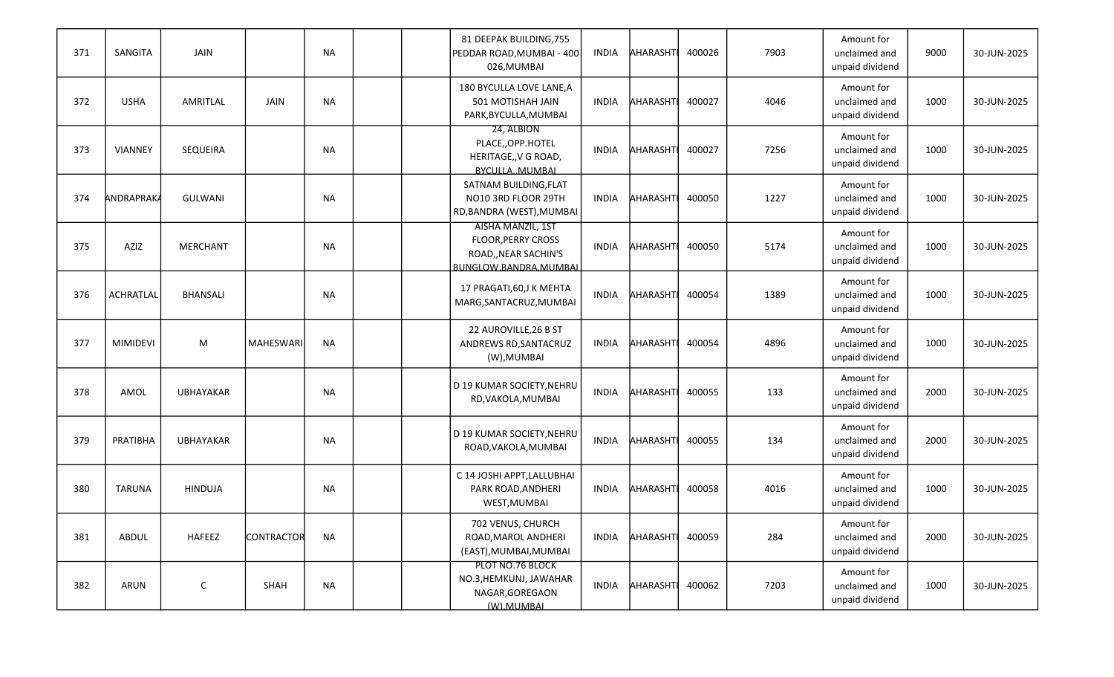| 371 | SANGITA           | JAIN             |                   | <b>NA</b> |  | 81 DEEPAK BUILDING, 755<br>PEDDAR ROAD, MUMBAI - 400<br>026, MUMBAI                             | <b>INDIA</b> | AHARASHTI       | 400026 | 7903 | Amount for<br>unclaimed and<br>unpaid dividend | 9000 | 30-JUN-2025 |
|-----|-------------------|------------------|-------------------|-----------|--|-------------------------------------------------------------------------------------------------|--------------|-----------------|--------|------|------------------------------------------------|------|-------------|
| 372 | <b>USHA</b>       | AMRITLAL         | JAIN              | <b>NA</b> |  | 180 BYCULLA LOVE LANE, A<br>501 MOTISHAH JAIN<br>PARK, BYCULLA, MUMBAI                          | INDIA        | <b>AHARASHT</b> | 400027 | 4046 | Amount for<br>unclaimed and<br>unpaid dividend | 1000 | 30-JUN-2025 |
| 373 | <b>VIANNEY</b>    | SEQUEIRA         |                   | <b>NA</b> |  | 24, ALBION<br>PLACE,,OPP.HOTEL<br>HERITAGE,, V G ROAD,<br>BYCULLA, MUMBAI                       | <b>INDIA</b> | <b>AHARASHT</b> | 400027 | 7256 | Amount for<br>unclaimed and<br>unpaid dividend | 1000 | 30-JUN-2025 |
| 374 | <b>ANDRAPRAKA</b> | <b>GULWANI</b>   |                   | NA        |  | SATNAM BUILDING, FLAT<br>NO10 3RD FLOOR 29TH<br>RD, BANDRA (WEST), MUMBAI                       | <b>INDIA</b> | AHARASHTI       | 400050 | 1227 | Amount for<br>unclaimed and<br>unpaid dividend | 1000 | 30-JUN-2025 |
| 375 | AZIZ              | <b>MERCHANT</b>  |                   | <b>NA</b> |  | AISHA MANZIL, 1ST<br><b>FLOOR, PERRY CROSS</b><br>ROAD,, NEAR SACHIN'S<br>BUNGLOW.BANDRA.MUMBAL | <b>INDIA</b> | AHARASHT        | 400050 | 5174 | Amount for<br>unclaimed and<br>unpaid dividend | 1000 | 30-JUN-2025 |
| 376 | <b>ACHRATLAL</b>  | <b>BHANSALI</b>  |                   | <b>NA</b> |  | 17 PRAGATI, 60, J K MEHTA<br>MARG, SANTACRUZ, MUMBAI                                            | <b>INDIA</b> | AHARASHT        | 400054 | 1389 | Amount for<br>unclaimed and<br>unpaid dividend | 1000 | 30-JUN-2025 |
| 377 | <b>MIMIDEVI</b>   | M                | <b>MAHESWARI</b>  | <b>NA</b> |  | 22 AUROVILLE, 26 B ST<br>ANDREWS RD, SANTACRUZ<br>(W), MUMBAI                                   | <b>INDIA</b> | AHARASHTI       | 400054 | 4896 | Amount for<br>unclaimed and<br>unpaid dividend | 1000 | 30-JUN-2025 |
| 378 | AMOL              | <b>UBHAYAKAR</b> |                   | <b>NA</b> |  | D 19 KUMAR SOCIETY, NEHRU<br>RD, VAKOLA, MUMBAI                                                 | <b>INDIA</b> | AHARASHT        | 400055 | 133  | Amount for<br>unclaimed and<br>unpaid dividend | 2000 | 30-JUN-2025 |
| 379 | PRATIBHA          | UBHAYAKAR        |                   | <b>NA</b> |  | D 19 KUMAR SOCIETY, NEHRU<br>ROAD, VAKOLA, MUMBAI                                               | INDIA        | <b>AHARASHT</b> | 400055 | 134  | Amount for<br>unclaimed and<br>unpaid dividend | 2000 | 30-JUN-2025 |
| 380 | <b>TARUNA</b>     | <b>HINDUJA</b>   |                   | NA        |  | C 14 JOSHI APPT, LALLUBHAI<br>PARK ROAD, ANDHERI<br>WEST, MUMBAI                                | <b>INDIA</b> | <b>AHARASHT</b> | 400058 | 4016 | Amount for<br>unclaimed and<br>unpaid dividend | 1000 | 30-JUN-2025 |
| 381 | ABDUL             | <b>HAFEEZ</b>    | <b>CONTRACTOR</b> | <b>NA</b> |  | 702 VENUS, CHURCH<br>ROAD, MAROL ANDHERI<br>(EAST), MUMBAI, MUMBAI                              | INDIA        | AHARASHT        | 400059 | 284  | Amount for<br>unclaimed and<br>unpaid dividend | 2000 | 30-JUN-2025 |
| 382 | ARUN              | $\mathsf C$      | SHAH              | <b>NA</b> |  | PLOT NO.76 BLOCK<br>NO.3, HEMKUNJ, JAWAHAR<br>NAGAR, GOREGAON<br>(W).MUMBAL                     | INDIA        | AHARASHT        | 400062 | 7203 | Amount for<br>unclaimed and<br>unpaid dividend | 1000 | 30-JUN-2025 |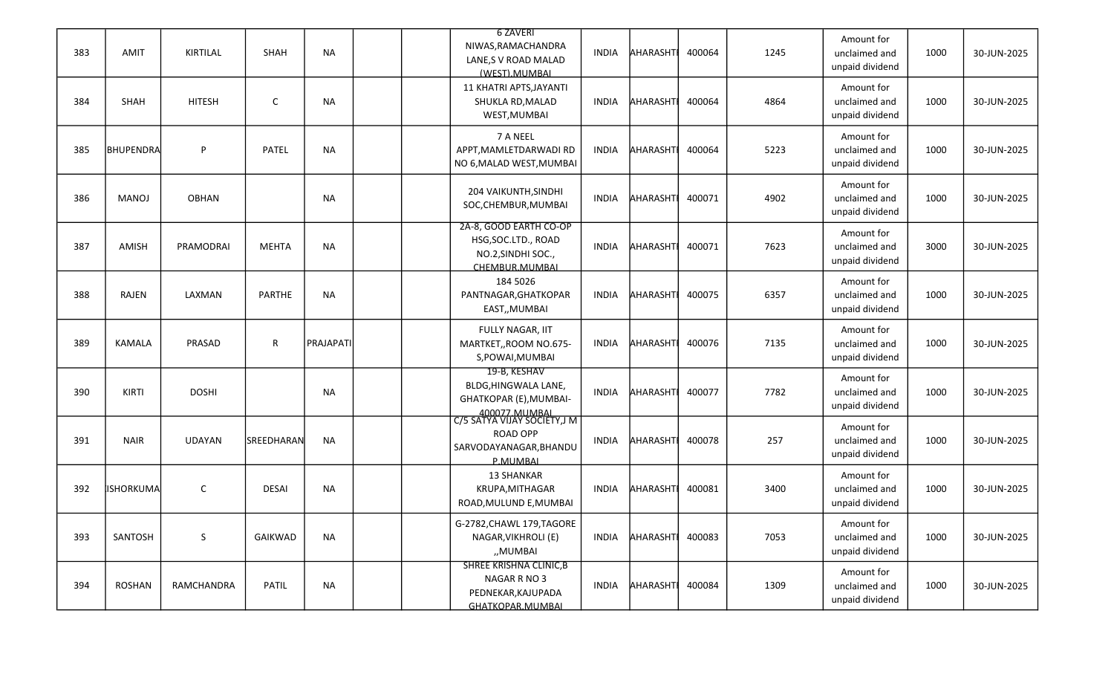| 383 | <b>AMIT</b>  | KIRTILAL      | SHAH          | <b>NA</b> | <b>6 ZAVERI</b><br>NIWAS, RAMACHANDRA<br>LANE, S V ROAD MALAD<br>(WEST).MUMBAL                        | INDIA        | AHARASHTI       | 400064 | 1245 | Amount for<br>unclaimed and<br>unpaid dividend | 1000 | 30-JUN-2025 |
|-----|--------------|---------------|---------------|-----------|-------------------------------------------------------------------------------------------------------|--------------|-----------------|--------|------|------------------------------------------------|------|-------------|
| 384 | SHAH         | <b>HITESH</b> | C             | <b>NA</b> | 11 KHATRI APTS, JAYANTI<br>SHUKLA RD, MALAD<br>WEST, MUMBAI                                           | INDIA        | <b>AHARASHT</b> | 400064 | 4864 | Amount for<br>unclaimed and<br>unpaid dividend | 1000 | 30-JUN-2025 |
| 385 | BHUPENDRA    | P             | PATEL         | <b>NA</b> | 7 A NEEL<br>APPT, MAMLETDARWADI RD<br>NO 6, MALAD WEST, MUMBAI                                        | <b>INDIA</b> | <b>AHARASHT</b> | 400064 | 5223 | Amount for<br>unclaimed and<br>unpaid dividend | 1000 | 30-JUN-2025 |
| 386 | <b>MANOJ</b> | <b>OBHAN</b>  |               | <b>NA</b> | 204 VAIKUNTH, SINDHI<br>SOC, CHEMBUR, MUMBAI                                                          | INDIA        | AHARASHTI       | 400071 | 4902 | Amount for<br>unclaimed and<br>unpaid dividend | 1000 | 30-JUN-2025 |
| 387 | AMISH        | PRAMODRAI     | <b>MEHTA</b>  | <b>NA</b> | 2A-8, GOOD EARTH CO-OP<br>HSG, SOC.LTD., ROAD<br>NO.2, SINDHI SOC.,<br>CHEMBUR.MUMBAL                 | <b>INDIA</b> | AHARASHT        | 400071 | 7623 | Amount for<br>unclaimed and<br>unpaid dividend | 3000 | 30-JUN-2025 |
| 388 | RAJEN        | LAXMAN        | <b>PARTHE</b> | <b>NA</b> | 184 5026<br>PANTNAGAR, GHATKOPAR<br>EAST,, MUMBAI                                                     | <b>INDIA</b> | AHARASHT        | 400075 | 6357 | Amount for<br>unclaimed and<br>unpaid dividend | 1000 | 30-JUN-2025 |
| 389 | KAMALA       | PRASAD        | R             | PRAJAPATI | FULLY NAGAR, IIT<br>MARTKET,, ROOM NO.675-<br>S, POWAI, MUMBAI                                        | <b>INDIA</b> | AHARASHTI       | 400076 | 7135 | Amount for<br>unclaimed and<br>unpaid dividend | 1000 | 30-JUN-2025 |
| 390 | <b>KIRTI</b> | <b>DOSHI</b>  |               | <b>NA</b> | 19-B, KESHAV<br>BLDG, HINGWALA LANE,<br>GHATKOPAR (E), MUMBAI-                                        | <b>INDIA</b> | AHARASHT        | 400077 | 7782 | Amount for<br>unclaimed and<br>unpaid dividend | 1000 | 30-JUN-2025 |
| 391 | <b>NAIR</b>  | <b>UDAYAN</b> | SREEDHARAN    | <b>NA</b> | 400077.MUMBAL<br>C/5 SATYA VIJAY SOCIETY,J M<br><b>ROAD OPP</b><br>SARVODAYANAGAR, BHANDU<br>P.MUMBAL | <b>INDIA</b> | <b>AHARASHT</b> | 400078 | 257  | Amount for<br>unclaimed and<br>unpaid dividend | 1000 | 30-JUN-2025 |
| 392 | lishorkuma   | $\mathsf{C}$  | <b>DESAI</b>  | NA        | <b>13 SHANKAR</b><br>KRUPA, MITHAGAR<br>ROAD, MULUND E, MUMBAI                                        | <b>INDIA</b> | <b>AHARASHT</b> | 400081 | 3400 | Amount for<br>unclaimed and<br>unpaid dividend | 1000 | 30-JUN-2025 |
| 393 | SANTOSH      | S             | GAIKWAD       | <b>NA</b> | G-2782, CHAWL 179, TAGORE<br>NAGAR, VIKHROLI (E)<br>"MUMBAI                                           | <b>INDIA</b> | AHARASHT        | 400083 | 7053 | Amount for<br>unclaimed and<br>unpaid dividend | 1000 | 30-JUN-2025 |
| 394 | ROSHAN       | RAMCHANDRA    | PATIL         | <b>NA</b> | <b>SHREE KRISHNA CLINIC, B</b><br>NAGAR R NO 3<br>PEDNEKAR, KAJUPADA<br>GHATKOPAR.MUMBAL              | INDIA        | AHARASHT        | 400084 | 1309 | Amount for<br>unclaimed and<br>unpaid dividend | 1000 | 30-JUN-2025 |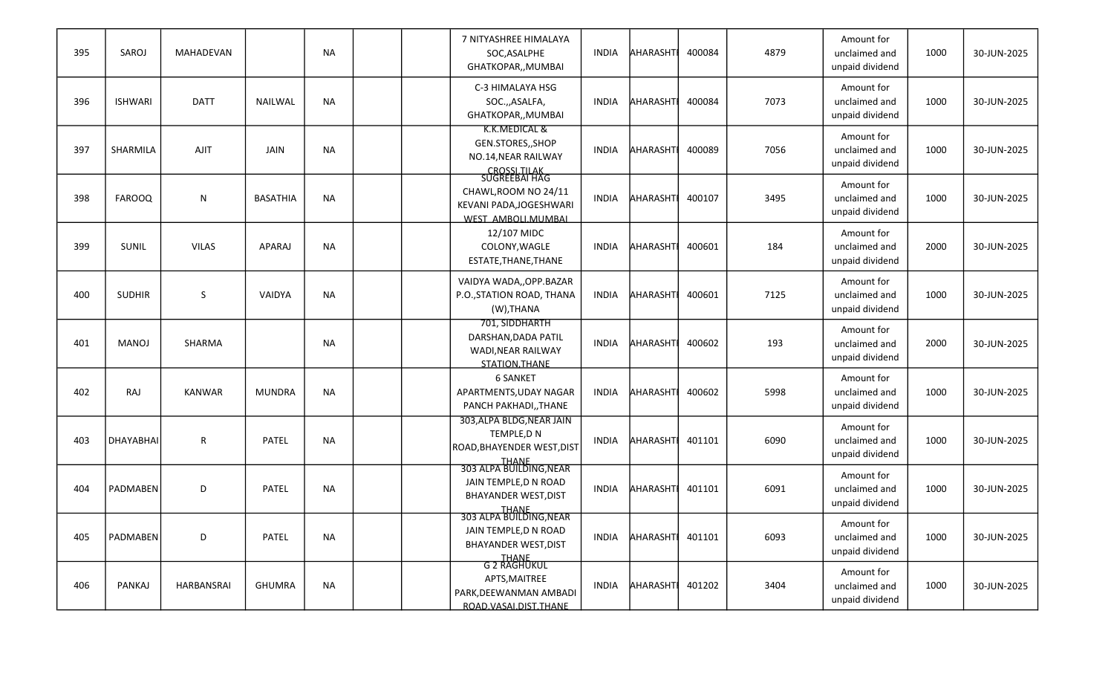| 395 | SAROJ            | MAHADEVAN     |                 | <b>NA</b> |  | 7 NITYASHREE HIMALAYA<br>SOC, ASALPHE<br>GHATKOPAR,, MUMBAI                               | <b>INDIA</b> | <b>AHARASHT</b> | 400084 | 4879 | Amount for<br>unclaimed and<br>unpaid dividend | 1000 | 30-JUN-2025 |
|-----|------------------|---------------|-----------------|-----------|--|-------------------------------------------------------------------------------------------|--------------|-----------------|--------|------|------------------------------------------------|------|-------------|
| 396 | <b>ISHWARI</b>   | <b>DATT</b>   | <b>NAILWAL</b>  | <b>NA</b> |  | C-3 HIMALAYA HSG<br>SOC.,,ASALFA,<br>GHATKOPAR,, MUMBAI                                   | <b>INDIA</b> | AHARASHTI       | 400084 | 7073 | Amount for<br>unclaimed and<br>unpaid dividend | 1000 | 30-JUN-2025 |
| 397 | SHARMILA         | AJIT          | JAIN            | <b>NA</b> |  | K.K.MEDICAL &<br>GEN.STORES,, SHOP<br>NO.14, NEAR RAILWAY<br>CROSSLTILAK<br>SUGREEBAI HAG | <b>INDIA</b> | AHARASHTI       | 400089 | 7056 | Amount for<br>unclaimed and<br>unpaid dividend | 1000 | 30-JUN-2025 |
| 398 | <b>FAROOQ</b>    | N             | <b>BASATHIA</b> | <b>NA</b> |  | CHAWL, ROOM NO 24/11<br>KEVANI PADA, JOGESHWARI<br>WEST AMBOLLMUMBAL                      | <b>INDIA</b> | AHARASHTI       | 400107 | 3495 | Amount for<br>unclaimed and<br>unpaid dividend | 1000 | 30-JUN-2025 |
| 399 | SUNIL            | <b>VILAS</b>  | APARAJ          | <b>NA</b> |  | 12/107 MIDC<br>COLONY, WAGLE<br>ESTATE, THANE, THANE                                      | INDIA        | AHARASHTI       | 400601 | 184  | Amount for<br>unclaimed and<br>unpaid dividend | 2000 | 30-JUN-2025 |
| 400 | <b>SUDHIR</b>    | S             | VAIDYA          | <b>NA</b> |  | VAIDYA WADA,, OPP.BAZAR<br>P.O., STATION ROAD, THANA<br>(W), THANA                        | <b>INDIA</b> | AHARASHTI       | 400601 | 7125 | Amount for<br>unclaimed and<br>unpaid dividend | 1000 | 30-JUN-2025 |
| 401 | MANOJ            | SHARMA        |                 | <b>NA</b> |  | 701, SIDDHARTH<br>DARSHAN, DADA PATIL<br>WADI, NEAR RAILWAY<br>STATION.THANE              | <b>INDIA</b> | <b>AHARASHT</b> | 400602 | 193  | Amount for<br>unclaimed and<br>unpaid dividend | 2000 | 30-JUN-2025 |
| 402 | <b>RAJ</b>       | <b>KANWAR</b> | <b>MUNDRA</b>   | <b>NA</b> |  | <b>6 SANKET</b><br>APARTMENTS, UDAY NAGAR<br>PANCH PAKHADI,, THANE                        | <b>INDIA</b> | AHARASHT        | 400602 | 5998 | Amount for<br>unclaimed and<br>unpaid dividend | 1000 | 30-JUN-2025 |
| 403 | <b>DHAYABHAI</b> | ${\sf R}$     | PATEL           | <b>NA</b> |  | 303, ALPA BLDG, NEAR JAIN<br>TEMPLE, DN<br>ROAD, BHAYENDER WEST, DIST                     | <b>INDIA</b> | AHARASHT        | 401101 | 6090 | Amount for<br>unclaimed and<br>unpaid dividend | 1000 | 30-JUN-2025 |
| 404 | <b>PADMABEN</b>  | D             | <b>PATEL</b>    | <b>NA</b> |  | THANE<br>303 ALPA BUILDING, NEAR<br>JAIN TEMPLE, DN ROAD<br><b>BHAYANDER WEST, DIST</b>   | INDIA        | AHARASHT        | 401101 | 6091 | Amount for<br>unclaimed and<br>unpaid dividend | 1000 | 30-JUN-2025 |
| 405 | PADMABEN         | D             | PATEL           | <b>NA</b> |  | THANE<br>303 ALPA BUILDING, NEAR<br>JAIN TEMPLE, DN ROAD<br><b>BHAYANDER WEST, DIST</b>   | INDIA        | AHARASHT        | 401101 | 6093 | Amount for<br>unclaimed and<br>unpaid dividend | 1000 | 30-JUN-2025 |
| 406 | PANKAJ           | HARBANSRAI    | <b>GHUMRA</b>   | <b>NA</b> |  | THANE<br>G 2 RAGHUKUL<br>APTS, MAITREE<br>PARK, DEEWANMAN AMBADI<br>ROAD.VASALDIST.THANE  | INDIA        | AHARASHT        | 401202 | 3404 | Amount for<br>unclaimed and<br>unpaid dividend | 1000 | 30-JUN-2025 |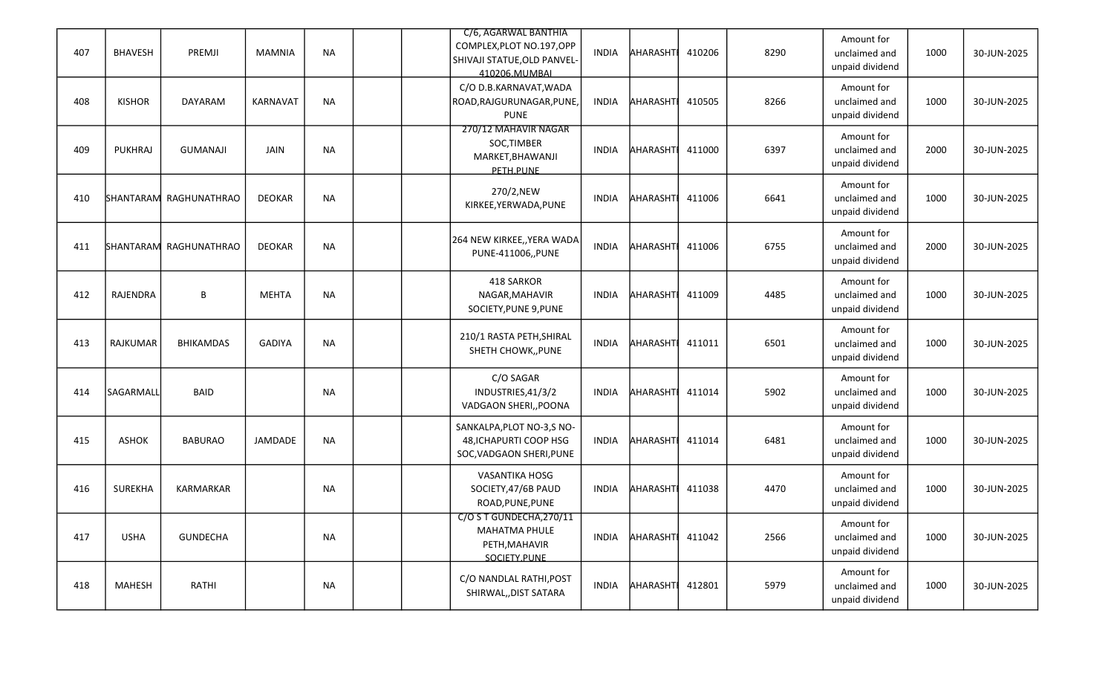| 407 | <b>BHAVESH</b> | PREMJI                 | <b>MAMNIA</b>   | <b>NA</b> |  | C/6, AGARWAL BANTHIA<br>COMPLEX, PLOT NO.197, OPP<br>SHIVAJI STATUE, OLD PANVEL-<br>410206.MUMBAL | <b>INDIA</b> | <b>AHARASHT</b> | 410206 | 8290 | Amount for<br>unclaimed and<br>unpaid dividend | 1000 | 30-JUN-2025 |
|-----|----------------|------------------------|-----------------|-----------|--|---------------------------------------------------------------------------------------------------|--------------|-----------------|--------|------|------------------------------------------------|------|-------------|
| 408 | <b>KISHOR</b>  | DAYARAM                | <b>KARNAVAT</b> | <b>NA</b> |  | C/O D.B.KARNAVAT, WADA<br>ROAD, RAJGURUNAGAR, PUNE,<br><b>PUNE</b>                                | <b>INDIA</b> | <b>AHARASHT</b> | 410505 | 8266 | Amount for<br>unclaimed and<br>unpaid dividend | 1000 | 30-JUN-2025 |
| 409 | <b>PUKHRAJ</b> | <b>GUMANAJI</b>        | JAIN            | <b>NA</b> |  | 270/12 MAHAVIR NAGAR<br>SOC, TIMBER<br>MARKET, BHAWANJI<br>PETH.PUNE                              | <b>INDIA</b> | AHARASHTI       | 411000 | 6397 | Amount for<br>unclaimed and<br>unpaid dividend | 2000 | 30-JUN-2025 |
| 410 |                | SHANTARAM RAGHUNATHRAO | <b>DEOKAR</b>   | <b>NA</b> |  | 270/2,NEW<br>KIRKEE, YERWADA, PUNE                                                                | <b>INDIA</b> | <b>AHARASHT</b> | 411006 | 6641 | Amount for<br>unclaimed and<br>unpaid dividend | 1000 | 30-JUN-2025 |
| 411 |                | SHANTARAM RAGHUNATHRAO | <b>DEOKAR</b>   | <b>NA</b> |  | 264 NEW KIRKEE,, YERA WADA<br>PUNE-411006,, PUNE                                                  | <b>INDIA</b> | AHARASHT        | 411006 | 6755 | Amount for<br>unclaimed and<br>unpaid dividend | 2000 | 30-JUN-2025 |
| 412 | RAJENDRA       | B                      | <b>MEHTA</b>    | <b>NA</b> |  | 418 SARKOR<br>NAGAR, MAHAVIR<br>SOCIETY, PUNE 9, PUNE                                             | <b>INDIA</b> | AHARASHTI       | 411009 | 4485 | Amount for<br>unclaimed and<br>unpaid dividend | 1000 | 30-JUN-2025 |
| 413 | RAJKUMAR       | <b>BHIKAMDAS</b>       | <b>GADIYA</b>   | <b>NA</b> |  | 210/1 RASTA PETH, SHIRAL<br>SHETH CHOWK,, PUNE                                                    | <b>INDIA</b> | AHARASHTI       | 411011 | 6501 | Amount for<br>unclaimed and<br>unpaid dividend | 1000 | 30-JUN-2025 |
| 414 | SAGARMALL      | <b>BAID</b>            |                 | <b>NA</b> |  | C/O SAGAR<br>INDUSTRIES, 41/3/2<br>VADGAON SHERI,, POONA                                          | <b>INDIA</b> | AHARASHT        | 411014 | 5902 | Amount for<br>unclaimed and<br>unpaid dividend | 1000 | 30-JUN-2025 |
| 415 | ASHOK          | <b>BABURAO</b>         | JAMDADE         | <b>NA</b> |  | SANKALPA, PLOT NO-3, S NO-<br>48, ICHAPURTI COOP HSG<br>SOC, VADGAON SHERI, PUNE                  | <b>INDIA</b> | AHARASHTI       | 411014 | 6481 | Amount for<br>unclaimed and<br>unpaid dividend | 1000 | 30-JUN-2025 |
| 416 | <b>SUREKHA</b> | KARMARKAR              |                 | <b>NA</b> |  | VASANTIKA HOSG<br>SOCIETY, 47/6B PAUD<br>ROAD, PUNE, PUNE                                         | INDIA        | AHARASHTI       | 411038 | 4470 | Amount for<br>unclaimed and<br>unpaid dividend | 1000 | 30-JUN-2025 |
| 417 | <b>USHA</b>    | <b>GUNDECHA</b>        |                 | <b>NA</b> |  | C/O S T GUNDECHA, 270/11<br><b>MAHATMA PHULE</b><br>PETH, MAHAVIR<br>SOCIETY.PUNE                 | INDIA        | AHARASHT 411042 |        | 2566 | Amount for<br>unclaimed and<br>unpaid dividend | 1000 | 30-JUN-2025 |
| 418 | <b>MAHESH</b>  | RATHI                  |                 | NA        |  | C/O NANDLAL RATHI, POST<br>SHIRWAL, DIST SATARA                                                   | INDIA        | AHARASHT        | 412801 | 5979 | Amount for<br>unclaimed and<br>unpaid dividend | 1000 | 30-JUN-2025 |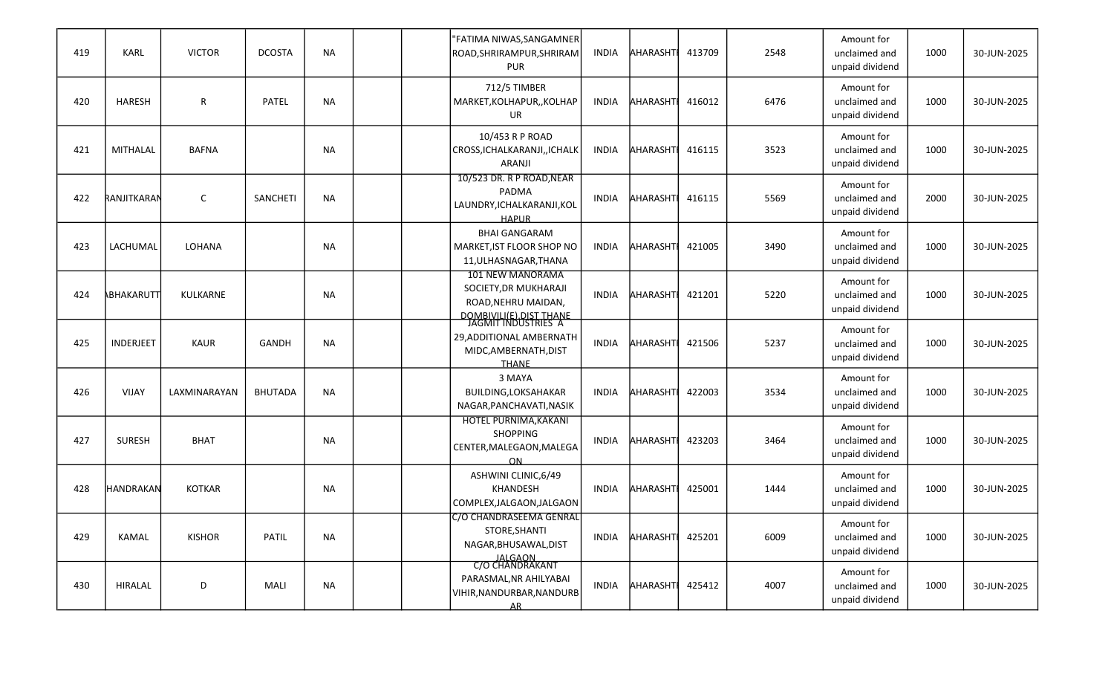| 419 | <b>KARL</b>      | <b>VICTOR</b>   | <b>DCOSTA</b>   | <b>NA</b> |  | "FATIMA NIWAS, SANGAMNER<br>ROAD, SHRIRAMPUR, SHRIRAM<br><b>PUR</b>                                                 | <b>INDIA</b> | AHARASHTI       | 413709 | 2548 | Amount for<br>unclaimed and<br>unpaid dividend | 1000 | 30-JUN-2025 |
|-----|------------------|-----------------|-----------------|-----------|--|---------------------------------------------------------------------------------------------------------------------|--------------|-----------------|--------|------|------------------------------------------------|------|-------------|
| 420 | <b>HARESH</b>    | R               | PATEL           | <b>NA</b> |  | 712/5 TIMBER<br>MARKET, KOLHAPUR, , KOLHAP<br><b>UR</b>                                                             | <b>INDIA</b> | AHARASHTI       | 416012 | 6476 | Amount for<br>unclaimed and<br>unpaid dividend | 1000 | 30-JUN-2025 |
| 421 | MITHALAL         | <b>BAFNA</b>    |                 | <b>NA</b> |  | 10/453 R P ROAD<br>CROSS, ICHALKARANJI, , ICHALK<br>ARANJI                                                          | <b>INDIA</b> | AHARASHTI       | 416115 | 3523 | Amount for<br>unclaimed and<br>unpaid dividend | 1000 | 30-JUN-2025 |
| 422 | RANJITKARAM      | C               | <b>SANCHETI</b> | <b>NA</b> |  | 10/523 DR. R P ROAD, NEAR<br>PADMA<br>LAUNDRY, ICHALKARANJI, KOL<br><b>HAPUR</b>                                    | <b>INDIA</b> | <b>AHARASHT</b> | 416115 | 5569 | Amount for<br>unclaimed and<br>unpaid dividend | 2000 | 30-JUN-2025 |
| 423 | LACHUMAL         | LOHANA          |                 | <b>NA</b> |  | <b>BHAI GANGARAM</b><br>MARKET, IST FLOOR SHOP NO<br>11, ULHASNAGAR, THANA                                          | INDIA        | <b>AHARASHT</b> | 421005 | 3490 | Amount for<br>unclaimed and<br>unpaid dividend | 1000 | 30-JUN-2025 |
| 424 | ABHAKARUTT       | <b>KULKARNE</b> |                 | <b>NA</b> |  | 101 NEW MANORAMA<br>SOCIETY, DR MUKHARAJI<br>ROAD, NEHRU MAIDAN,                                                    | <b>INDIA</b> | AHARASHTI       | 421201 | 5220 | Amount for<br>unclaimed and<br>unpaid dividend | 1000 | 30-JUN-2025 |
| 425 | INDERJEET        | KAUR            | <b>GANDH</b>    | <b>NA</b> |  | DOMBIVILI(E).DIST THANE<br>JAGMIT INDUSTRIES A<br>29, ADDITIONAL AMBERNATH<br>MIDC, AMBERNATH, DIST<br><b>THANE</b> | <b>INDIA</b> | AHARASHTI       | 421506 | 5237 | Amount for<br>unclaimed and<br>unpaid dividend | 1000 | 30-JUN-2025 |
| 426 | VIJAY            | LAXMINARAYAN    | <b>BHUTADA</b>  | <b>NA</b> |  | 3 MAYA<br><b>BUILDING, LOKSAHAKAR</b><br>NAGAR, PANCHAVATI, NASIK                                                   | INDIA        | <b>AHARASHT</b> | 422003 | 3534 | Amount for<br>unclaimed and<br>unpaid dividend | 1000 | 30-JUN-2025 |
| 427 | <b>SURESH</b>    | <b>BHAT</b>     |                 | <b>NA</b> |  | HOTEL PURNIMA, KAKANI<br><b>SHOPPING</b><br>CENTER, MALEGAON, MALEGA<br><b>ON</b>                                   | <b>INDIA</b> | <b>AHARASHT</b> | 423203 | 3464 | Amount for<br>unclaimed and<br>unpaid dividend | 1000 | 30-JUN-2025 |
| 428 | <b>HANDRAKAN</b> | <b>KOTKAR</b>   |                 | <b>NA</b> |  | ASHWINI CLINIC, 6/49<br><b>KHANDESH</b><br>COMPLEX, JALGAON, JALGAON                                                | <b>INDIA</b> | AHARASHTI       | 425001 | 1444 | Amount for<br>unclaimed and<br>unpaid dividend | 1000 | 30-JUN-2025 |
| 429 | <b>KAMAL</b>     | <b>KISHOR</b>   | PATIL           | <b>NA</b> |  | C/O CHANDRASEEMA GENRAL<br>STORE, SHANTI<br>NAGAR, BHUSAWAL, DIST                                                   | <b>INDIA</b> | AHARASHT        | 425201 | 6009 | Amount for<br>unclaimed and<br>unpaid dividend | 1000 | 30-JUN-2025 |
| 430 | HIRALAL          | D               | MALI            | <b>NA</b> |  | JALGAON<br>C/O CHANDRAKANT<br>PARASMAL, NR AHILYABAI<br>VIHIR, NANDURBAR, NANDURB<br>AR                             | INDIA        | AHARASHT        | 425412 | 4007 | Amount for<br>unclaimed and<br>unpaid dividend | 1000 | 30-JUN-2025 |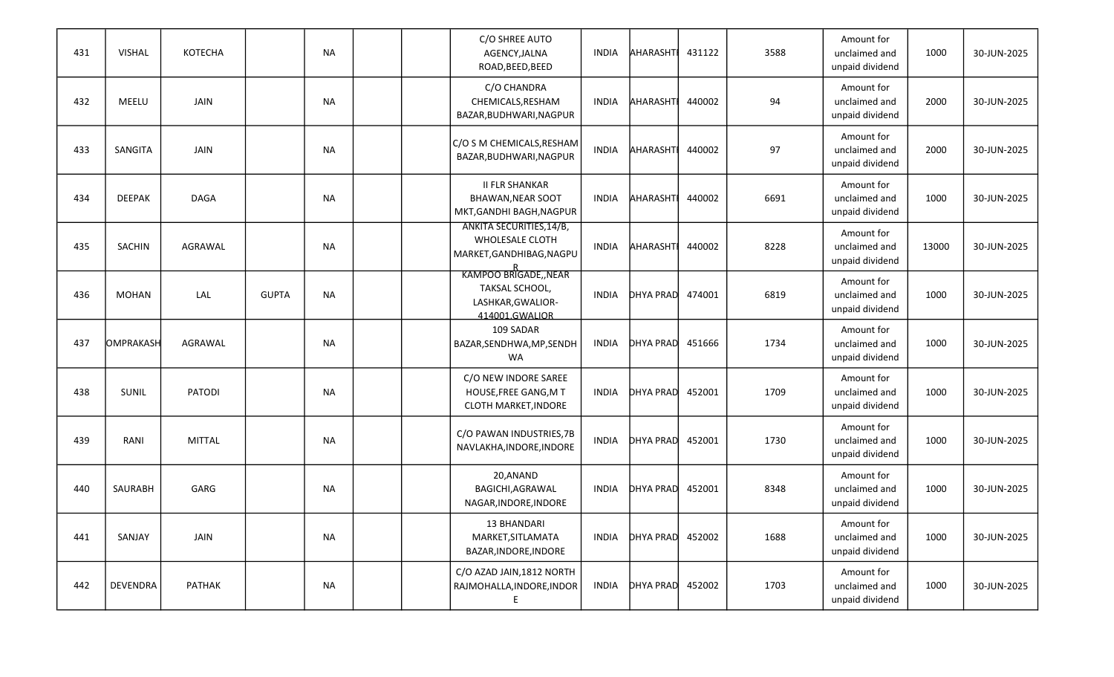| 431 | <b>VISHAL</b>    | <b>KOTECHA</b> |              | <b>NA</b> |  | C/O SHREE AUTO<br>AGENCY, JALNA<br>ROAD, BEED, BEED                                | INDIA        | <b>AHARASHT</b>  | 431122 | 3588 | Amount for<br>unclaimed and<br>unpaid dividend | 1000  | 30-JUN-2025 |
|-----|------------------|----------------|--------------|-----------|--|------------------------------------------------------------------------------------|--------------|------------------|--------|------|------------------------------------------------|-------|-------------|
| 432 | MEELU            | JAIN           |              | <b>NA</b> |  | C/O CHANDRA<br>CHEMICALS, RESHAM<br>BAZAR, BUDHWARI, NAGPUR                        | INDIA        | AHARASHT         | 440002 | 94   | Amount for<br>unclaimed and<br>unpaid dividend | 2000  | 30-JUN-2025 |
| 433 | SANGITA          | JAIN           |              | NA        |  | C/O S M CHEMICALS, RESHAM<br>BAZAR, BUDHWARI, NAGPUR                               | <b>INDIA</b> | AHARASHT         | 440002 | 97   | Amount for<br>unclaimed and<br>unpaid dividend | 2000  | 30-JUN-2025 |
| 434 | <b>DEEPAK</b>    | <b>DAGA</b>    |              | <b>NA</b> |  | <b>II FLR SHANKAR</b><br><b>BHAWAN, NEAR SOOT</b><br>MKT, GANDHI BAGH, NAGPUR      | <b>INDIA</b> | AHARASHTI        | 440002 | 6691 | Amount for<br>unclaimed and<br>unpaid dividend | 1000  | 30-JUN-2025 |
| 435 | SACHIN           | AGRAWAL        |              | <b>NA</b> |  | <b>ANKITA SECURITIES, 14/B,</b><br>WHOLESALE CLOTH<br>MARKET, GANDHIBAG, NAGPU     | INDIA        | AHARASHT         | 440002 | 8228 | Amount for<br>unclaimed and<br>unpaid dividend | 13000 | 30-JUN-2025 |
| 436 | <b>MOHAN</b>     | LAL            | <b>GUPTA</b> | <b>NA</b> |  | R<br>KAMPOO BRIGADE,,NEAR<br>TAKSAL SCHOOL,<br>LASHKAR, GWALIOR-<br>414001.GWALIOR | <b>INDIA</b> | <b>DHYA PRAD</b> | 474001 | 6819 | Amount for<br>unclaimed and<br>unpaid dividend | 1000  | 30-JUN-2025 |
| 437 | <b>OMPRAKASH</b> | AGRAWAL        |              | <b>NA</b> |  | 109 SADAR<br>BAZAR, SENDHWA, MP, SENDH<br>WA                                       | <b>INDIA</b> | <b>DHYA PRAD</b> | 451666 | 1734 | Amount for<br>unclaimed and<br>unpaid dividend | 1000  | 30-JUN-2025 |
| 438 | SUNIL            | PATODI         |              | <b>NA</b> |  | C/O NEW INDORE SAREE<br>HOUSE, FREE GANG, M T<br>CLOTH MARKET, INDORE              | <b>INDIA</b> | DHYA PRAD        | 452001 | 1709 | Amount for<br>unclaimed and<br>unpaid dividend | 1000  | 30-JUN-2025 |
| 439 | RANI             | <b>MITTAL</b>  |              | <b>NA</b> |  | C/O PAWAN INDUSTRIES, 7B<br>NAVLAKHA, INDORE, INDORE                               | <b>INDIA</b> | <b>DHYA PRAD</b> | 452001 | 1730 | Amount for<br>unclaimed and<br>unpaid dividend | 1000  | 30-JUN-2025 |
| 440 | SAURABH          | GARG           |              | NA        |  | 20,ANAND<br>BAGICHI, AGRAWAL<br>NAGAR, INDORE, INDORE                              | INDIA        | DHYA PRAD        | 452001 | 8348 | Amount for<br>unclaimed and<br>unpaid dividend | 1000  | 30-JUN-2025 |
| 441 | SANJAY           | JAIN           |              | NA        |  | <b>13 BHANDARI</b><br>MARKET, SITLAMATA<br>BAZAR, INDORE, INDORE                   | INDIA        | DHYA PRAD        | 452002 | 1688 | Amount for<br>unclaimed and<br>unpaid dividend | 1000  | 30-JUN-2025 |
| 442 | <b>DEVENDRA</b>  | PATHAK         |              | NA        |  | C/O AZAD JAIN, 1812 NORTH<br>RAJMOHALLA, INDORE, INDOR<br>E                        | INDIA        | DHYA PRAD 452002 |        | 1703 | Amount for<br>unclaimed and<br>unpaid dividend | 1000  | 30-JUN-2025 |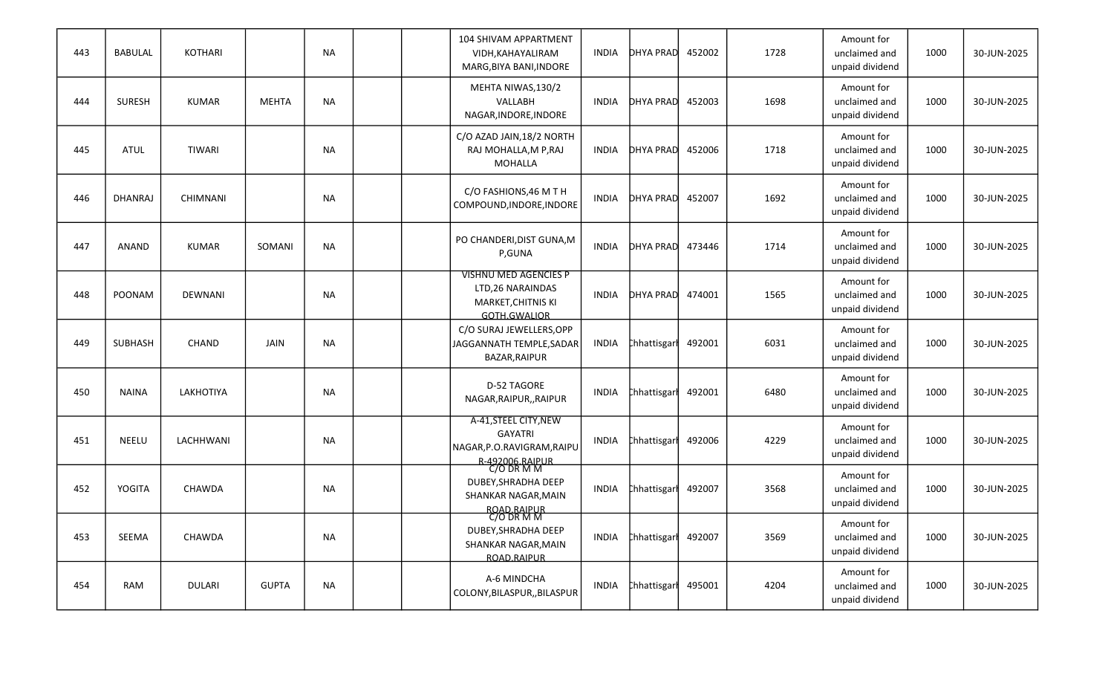| 443 | <b>BABULAL</b> | KOTHARI         |              | <b>NA</b> |  | 104 SHIVAM APPARTMENT<br>VIDH, KAHAYALIRAM<br>MARG, BIYA BANI, INDORE                   | <b>INDIA</b> | DHYA PRAD           | 452002 | 1728 | Amount for<br>unclaimed and<br>unpaid dividend | 1000 | 30-JUN-2025 |
|-----|----------------|-----------------|--------------|-----------|--|-----------------------------------------------------------------------------------------|--------------|---------------------|--------|------|------------------------------------------------|------|-------------|
| 444 | <b>SURESH</b>  | <b>KUMAR</b>    | <b>MEHTA</b> | <b>NA</b> |  | MEHTA NIWAS, 130/2<br>VALLABH<br>NAGAR, INDORE, INDORE                                  | INDIA        | DHYA PRAD 452003    |        | 1698 | Amount for<br>unclaimed and<br>unpaid dividend | 1000 | 30-JUN-2025 |
| 445 | <b>ATUL</b>    | <b>TIWARI</b>   |              | <b>NA</b> |  | C/O AZAD JAIN, 18/2 NORTH<br>RAJ MOHALLA, M P, RAJ<br>MOHALLA                           | <b>INDIA</b> | DHYA PRAD           | 452006 | 1718 | Amount for<br>unclaimed and<br>unpaid dividend | 1000 | 30-JUN-2025 |
| 446 | <b>DHANRAJ</b> | <b>CHIMNANI</b> |              | <b>NA</b> |  | C/O FASHIONS, 46 M T H<br>COMPOUND, INDORE, INDORE                                      | <b>INDIA</b> | DHYA PRAD           | 452007 | 1692 | Amount for<br>unclaimed and<br>unpaid dividend | 1000 | 30-JUN-2025 |
| 447 | ANAND          | <b>KUMAR</b>    | SOMANI       | <b>NA</b> |  | PO CHANDERI, DIST GUNA, M<br>P,GUNA                                                     | <b>INDIA</b> | DHYA PRAD           | 473446 | 1714 | Amount for<br>unclaimed and<br>unpaid dividend | 1000 | 30-JUN-2025 |
| 448 | POONAM         | <b>DEWNANI</b>  |              | <b>NA</b> |  | <b>VISHNU MED AGENCIES P</b><br>LTD, 26 NARAINDAS<br>MARKET, CHITNIS KI<br>GOTH.GWALIOR | <b>INDIA</b> | DHYA PRAD 474001    |        | 1565 | Amount for<br>unclaimed and<br>unpaid dividend | 1000 | 30-JUN-2025 |
| 449 | <b>SUBHASH</b> | <b>CHAND</b>    | JAIN         | <b>NA</b> |  | C/O SURAJ JEWELLERS, OPP<br>JAGGANNATH TEMPLE, SADAR<br>BAZAR, RAIPUR                   | INDIA        | <b>Chhattisgarl</b> | 492001 | 6031 | Amount for<br>unclaimed and<br>unpaid dividend | 1000 | 30-JUN-2025 |
| 450 | <b>NAINA</b>   | LAKHOTIYA       |              | <b>NA</b> |  | D-52 TAGORE<br>NAGAR, RAIPUR, , RAIPUR                                                  | <b>INDIA</b> | <b>Chhattisgarl</b> | 492001 | 6480 | Amount for<br>unclaimed and<br>unpaid dividend | 1000 | 30-JUN-2025 |
| 451 | NEELU          | LACHHWANI       |              | <b>NA</b> |  | A-41, STEEL CITY, NEW<br><b>GAYATRI</b><br>NAGAR, P.O.RAVIGRAM, RAIPU                   | INDIA        | <b>Chhattisgarl</b> | 492006 | 4229 | Amount for<br>unclaimed and<br>unpaid dividend | 1000 | 30-JUN-2025 |
| 452 | YOGITA         | CHAWDA          |              | NA        |  | R-492006.RAIPUR<br>C/O DR M M<br>DUBEY, SHRADHA DEEP<br>SHANKAR NAGAR, MAIN             | INDIA        | <b>Chhattisgark</b> | 492007 | 3568 | Amount for<br>unclaimed and<br>unpaid dividend | 1000 | 30-JUN-2025 |
| 453 | SEEMA          | CHAWDA          |              | <b>NA</b> |  | ROAD.RAIPUR<br>C/O DR M M<br>DUBEY, SHRADHA DEEP<br>SHANKAR NAGAR, MAIN<br>ROAD.RAIPUR  | INDIA        | Chhattisgart 492007 |        | 3569 | Amount for<br>unclaimed and<br>unpaid dividend | 1000 | 30-JUN-2025 |
| 454 | RAM            | <b>DULARI</b>   | <b>GUPTA</b> | <b>NA</b> |  | A-6 MINDCHA<br>COLONY, BILASPUR, , BILASPUR                                             | INDIA        | Chhattisgart 495001 |        | 4204 | Amount for<br>unclaimed and<br>unpaid dividend | 1000 | 30-JUN-2025 |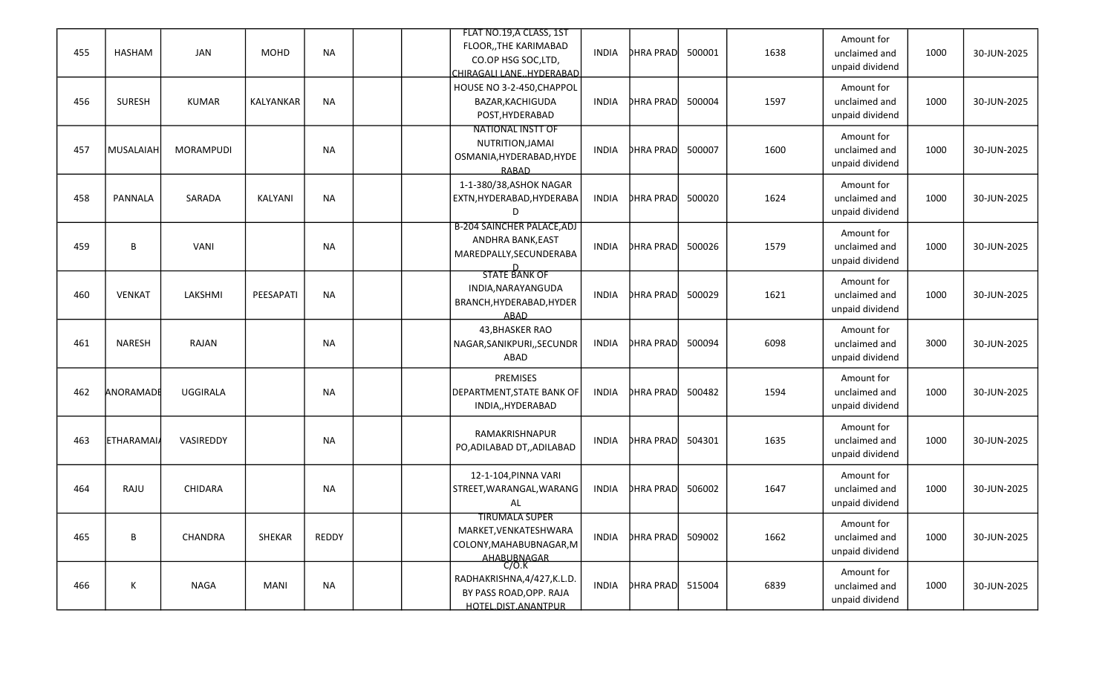|     |                  |                  |             |           |  | FLAT NO.19, A CLASS, 1ST          |              |                  |        |      | Amount for      |      |             |
|-----|------------------|------------------|-------------|-----------|--|-----------------------------------|--------------|------------------|--------|------|-----------------|------|-------------|
| 455 | <b>HASHAM</b>    | <b>JAN</b>       | <b>MOHD</b> | <b>NA</b> |  | FLOOR,, THE KARIMABAD             | <b>INDIA</b> | <b>DHRA PRAD</b> | 500001 | 1638 | unclaimed and   | 1000 | 30-JUN-2025 |
|     |                  |                  |             |           |  | CO.OP HSG SOC,LTD,                |              |                  |        |      | unpaid dividend |      |             |
|     |                  |                  |             |           |  | CHIRAGALI LANEHYDERABAD           |              |                  |        |      |                 |      |             |
|     |                  |                  |             |           |  | HOUSE NO 3-2-450, CHAPPOL         |              |                  |        |      | Amount for      |      |             |
| 456 | <b>SURESH</b>    | <b>KUMAR</b>     | KALYANKAR   | <b>NA</b> |  | BAZAR, KACHIGUDA                  | <b>INDIA</b> | <b>DHRA PRAD</b> | 500004 | 1597 | unclaimed and   | 1000 | 30-JUN-2025 |
|     |                  |                  |             |           |  | POST, HYDERABAD                   |              |                  |        |      | unpaid dividend |      |             |
|     |                  |                  |             |           |  | <b>NATIONAL INSTT OF</b>          |              |                  |        |      | Amount for      |      |             |
| 457 | MUSALAIAH        | <b>MORAMPUDI</b> |             | <b>NA</b> |  | NUTRITION, JAMAI                  | <b>INDIA</b> | <b>DHRA PRAD</b> | 500007 | 1600 | unclaimed and   | 1000 | 30-JUN-2025 |
|     |                  |                  |             |           |  | OSMANIA, HYDERABAD, HYDE          |              |                  |        |      | unpaid dividend |      |             |
|     |                  |                  |             |           |  | <b>RABAD</b>                      |              |                  |        |      |                 |      |             |
|     |                  |                  |             |           |  | 1-1-380/38, ASHOK NAGAR           |              |                  |        |      | Amount for      |      |             |
| 458 | PANNALA          | SARADA           | KALYANI     | <b>NA</b> |  | EXTN, HYDERABAD, HYDERABA         | <b>INDIA</b> | <b>DHRA PRAD</b> | 500020 | 1624 | unclaimed and   | 1000 | 30-JUN-2025 |
|     |                  |                  |             |           |  | D                                 |              |                  |        |      | unpaid dividend |      |             |
|     |                  |                  |             |           |  | <b>B-204 SAINCHER PALACE, ADJ</b> |              |                  |        |      | Amount for      |      |             |
| 459 | B                | <b>VANI</b>      |             | <b>NA</b> |  | ANDHRA BANK, EAST                 | <b>INDIA</b> | <b>DHRA PRAD</b> | 500026 | 1579 | unclaimed and   | 1000 | 30-JUN-2025 |
|     |                  |                  |             |           |  | MAREDPALLY, SECUNDERABA           |              |                  |        |      | unpaid dividend |      |             |
|     |                  |                  |             |           |  | <b>STATE BANK OF</b>              |              |                  |        |      |                 |      |             |
|     |                  |                  |             |           |  | INDIA, NARAYANGUDA                |              |                  |        |      | Amount for      |      |             |
| 460 | <b>VENKAT</b>    | LAKSHMI          | PEESAPATI   | <b>NA</b> |  | BRANCH, HYDERABAD, HYDER          | <b>INDIA</b> | <b>DHRA PRAD</b> | 500029 | 1621 | unclaimed and   | 1000 | 30-JUN-2025 |
|     |                  |                  |             |           |  | <b>ABAD</b>                       |              |                  |        |      | unpaid dividend |      |             |
|     |                  |                  |             |           |  | 43, BHASKER RAO                   |              |                  |        |      | Amount for      |      |             |
| 461 | <b>NARESH</b>    | RAJAN            |             | <b>NA</b> |  | NAGAR, SANIKPURI,, SECUNDR        | <b>INDIA</b> | <b>DHRA PRAD</b> | 500094 | 6098 | unclaimed and   | 3000 | 30-JUN-2025 |
|     |                  |                  |             |           |  | ABAD                              |              |                  |        |      | unpaid dividend |      |             |
|     |                  |                  |             |           |  |                                   |              |                  |        |      |                 |      |             |
|     |                  |                  |             |           |  | PREMISES                          |              |                  |        |      | Amount for      |      |             |
| 462 | ANORAMADE        | <b>UGGIRALA</b>  |             | <b>NA</b> |  | <b>DEPARTMENT, STATE BANK OF</b>  | <b>INDIA</b> | <b>DHRA PRAD</b> | 500482 | 1594 | unclaimed and   | 1000 | 30-JUN-2025 |
|     |                  |                  |             |           |  | INDIA,, HYDERABAD                 |              |                  |        |      | unpaid dividend |      |             |
|     |                  |                  |             |           |  |                                   |              |                  |        |      | Amount for      |      |             |
| 463 | <b>ETHARAMAI</b> | VASIREDDY        |             | <b>NA</b> |  | RAMAKRISHNAPUR                    | <b>INDIA</b> | <b>DHRA PRAD</b> | 504301 | 1635 | unclaimed and   | 1000 | 30-JUN-2025 |
|     |                  |                  |             |           |  | PO, ADILABAD DT, , ADILABAD       |              |                  |        |      | unpaid dividend |      |             |
|     |                  |                  |             |           |  |                                   |              |                  |        |      |                 |      |             |
|     |                  |                  |             |           |  | 12-1-104, PINNA VARI              |              |                  |        |      | Amount for      |      |             |
| 464 | RAJU             | CHIDARA          |             | <b>NA</b> |  | STREET, WARANGAL, WARANG          | <b>INDIA</b> | <b>DHRA PRAD</b> | 506002 | 1647 | unclaimed and   | 1000 | 30-JUN-2025 |
|     |                  |                  |             |           |  | AL                                |              |                  |        |      | unpaid dividend |      |             |
|     |                  |                  |             |           |  | <b>TIRUMALA SUPER</b>             |              |                  |        |      | Amount for      |      |             |
| 465 | B                | CHANDRA          | SHEKAR      | REDDY     |  | MARKET, VENKATESHWARA             | <b>INDIA</b> | <b>DHRA PRAD</b> | 509002 | 1662 | unclaimed and   | 1000 | 30-JUN-2025 |
|     |                  |                  |             |           |  | COLONY, MAHABUBNAGAR, M           |              |                  |        |      | unpaid dividend |      |             |
|     |                  |                  |             |           |  | AHABUBNAGAR                       |              |                  |        |      |                 |      |             |
|     |                  |                  |             |           |  | RADHAKRISHNA, 4/427, K.L.D.       |              |                  |        |      | Amount for      |      |             |
| 466 | К                | <b>NAGA</b>      | <b>MANI</b> | <b>NA</b> |  | BY PASS ROAD, OPP. RAJA           | <b>INDIA</b> | <b>DHRA PRAD</b> | 515004 | 6839 | unclaimed and   | 1000 | 30-JUN-2025 |
|     |                  |                  |             |           |  | HOTEL.DIST.ANANTPUR               |              |                  |        |      | unpaid dividend |      |             |
|     |                  |                  |             |           |  |                                   |              |                  |        |      |                 |      |             |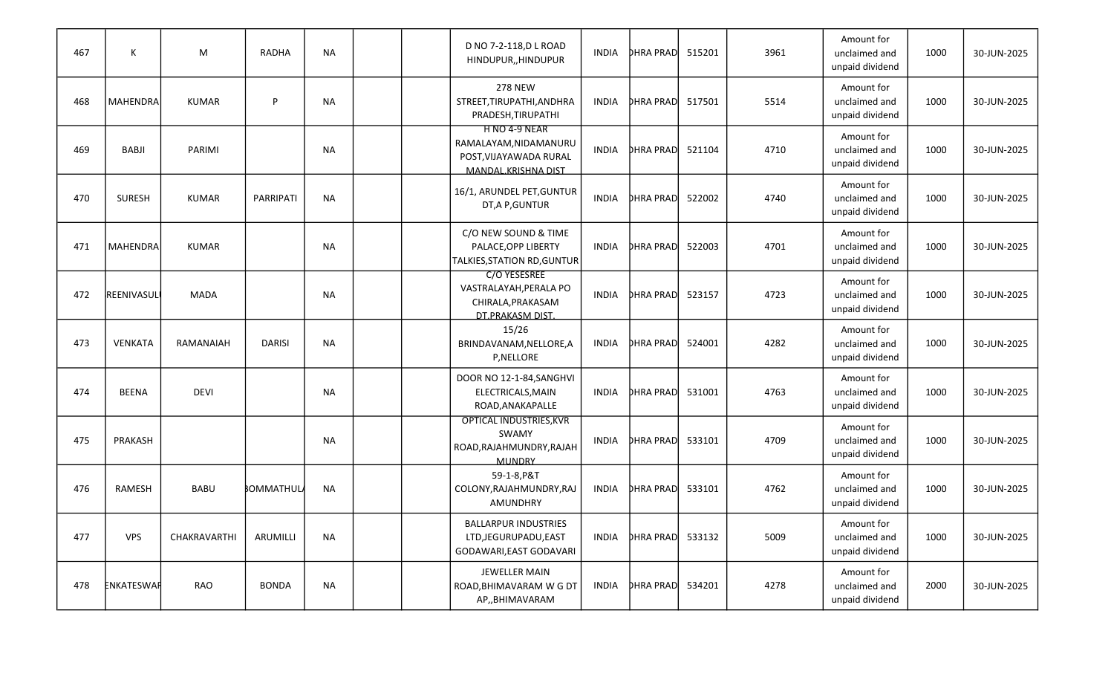| 467 | К               | M            | <b>RADHA</b>  | <b>NA</b> |  | D NO 7-2-118, D L ROAD<br>HINDUPUR,, HINDUPUR                                           | <b>INDIA</b> | <b>DHRA PRAD</b> | 515201 | 3961 | Amount for<br>unclaimed and<br>unpaid dividend | 1000 | 30-JUN-2025 |
|-----|-----------------|--------------|---------------|-----------|--|-----------------------------------------------------------------------------------------|--------------|------------------|--------|------|------------------------------------------------|------|-------------|
| 468 | <b>MAHENDRA</b> | <b>KUMAR</b> | P             | <b>NA</b> |  | <b>278 NEW</b><br>STREET, TIRUPATHI, ANDHRA<br>PRADESH, TIRUPATHI                       | <b>INDIA</b> | <b>DHRA PRAD</b> | 517501 | 5514 | Amount for<br>unclaimed and<br>unpaid dividend | 1000 | 30-JUN-2025 |
| 469 | <b>BABJI</b>    | PARIMI       |               | <b>NA</b> |  | H NO 4-9 NEAR<br>RAMALAYAM, NIDAMANURU<br>POST, VIJAYAWADA RURAL<br>MANDAL KRISHNA DIST | INDIA        | <b>DHRA PRAD</b> | 521104 | 4710 | Amount for<br>unclaimed and<br>unpaid dividend | 1000 | 30-JUN-2025 |
| 470 | <b>SURESH</b>   | <b>KUMAR</b> | PARRIPATI     | <b>NA</b> |  | 16/1, ARUNDEL PET, GUNTUR<br>DT, A P, GUNTUR                                            | <b>INDIA</b> | <b>DHRA PRAD</b> | 522002 | 4740 | Amount for<br>unclaimed and<br>unpaid dividend | 1000 | 30-JUN-2025 |
| 471 | <b>MAHENDRA</b> | <b>KUMAR</b> |               | <b>NA</b> |  | C/O NEW SOUND & TIME<br>PALACE, OPP LIBERTY<br><b>TALKIES, STATION RD, GUNTUR</b>       | <b>INDIA</b> | <b>DHRA PRAD</b> | 522003 | 4701 | Amount for<br>unclaimed and<br>unpaid dividend | 1000 | 30-JUN-2025 |
| 472 | REENIVASUL      | <b>MADA</b>  |               | <b>NA</b> |  | C/O YESESREE<br>VASTRALAYAH, PERALA PO<br>CHIRALA, PRAKASAM<br>DT.PRAKASM DIST.         | <b>INDIA</b> | <b>DHRA PRAD</b> | 523157 | 4723 | Amount for<br>unclaimed and<br>unpaid dividend | 1000 | 30-JUN-2025 |
| 473 | VENKATA         | RAMANAIAH    | <b>DARISI</b> | <b>NA</b> |  | 15/26<br>BRINDAVANAM, NELLORE, A<br>P, NELLORE                                          | <b>INDIA</b> | <b>DHRA PRAD</b> | 524001 | 4282 | Amount for<br>unclaimed and<br>unpaid dividend | 1000 | 30-JUN-2025 |
| 474 | <b>BEENA</b>    | <b>DEVI</b>  |               | <b>NA</b> |  | DOOR NO 12-1-84, SANGHVI<br>ELECTRICALS, MAIN<br>ROAD, ANAKAPALLE                       | <b>INDIA</b> | <b>DHRA PRAD</b> | 531001 | 4763 | Amount for<br>unclaimed and<br>unpaid dividend | 1000 | 30-JUN-2025 |
| 475 | PRAKASH         |              |               | <b>NA</b> |  | <b>OPTICAL INDUSTRIES, KVR</b><br>SWAMY<br>ROAD, RAJAHMUNDRY, RAJAH<br><b>MUNDRY</b>    | <b>INDIA</b> | <b>DHRA PRAD</b> | 533101 | 4709 | Amount for<br>unclaimed and<br>unpaid dividend | 1000 | 30-JUN-2025 |
| 476 | RAMESH          | <b>BABU</b>  | BOMMATHULA    | <b>NA</b> |  | 59-1-8, P&T<br>COLONY, RAJAHMUNDRY, RAJ<br><b>AMUNDHRY</b>                              | INDIA        | <b>DHRA PRAD</b> | 533101 | 4762 | Amount for<br>unclaimed and<br>unpaid dividend | 1000 | 30-JUN-2025 |
| 477 | <b>VPS</b>      | CHAKRAVARTHI | ARUMILLI      | <b>NA</b> |  | <b>BALLARPUR INDUSTRIES</b><br>LTD, JEGURUPADU, EAST<br>GODAWARI, EAST GODAVARI         | <b>INDIA</b> | <b>DHRA PRAD</b> | 533132 | 5009 | Amount for<br>unclaimed and<br>unpaid dividend | 1000 | 30-JUN-2025 |
| 478 | ENKATESWAR      | RAO          | <b>BONDA</b>  | <b>NA</b> |  | JEWELLER MAIN<br>ROAD, BHIMAVARAM W G DT<br>AP,, BHIMAVARAM                             | <b>INDIA</b> | <b>DHRA PRAD</b> | 534201 | 4278 | Amount for<br>unclaimed and<br>unpaid dividend | 2000 | 30-JUN-2025 |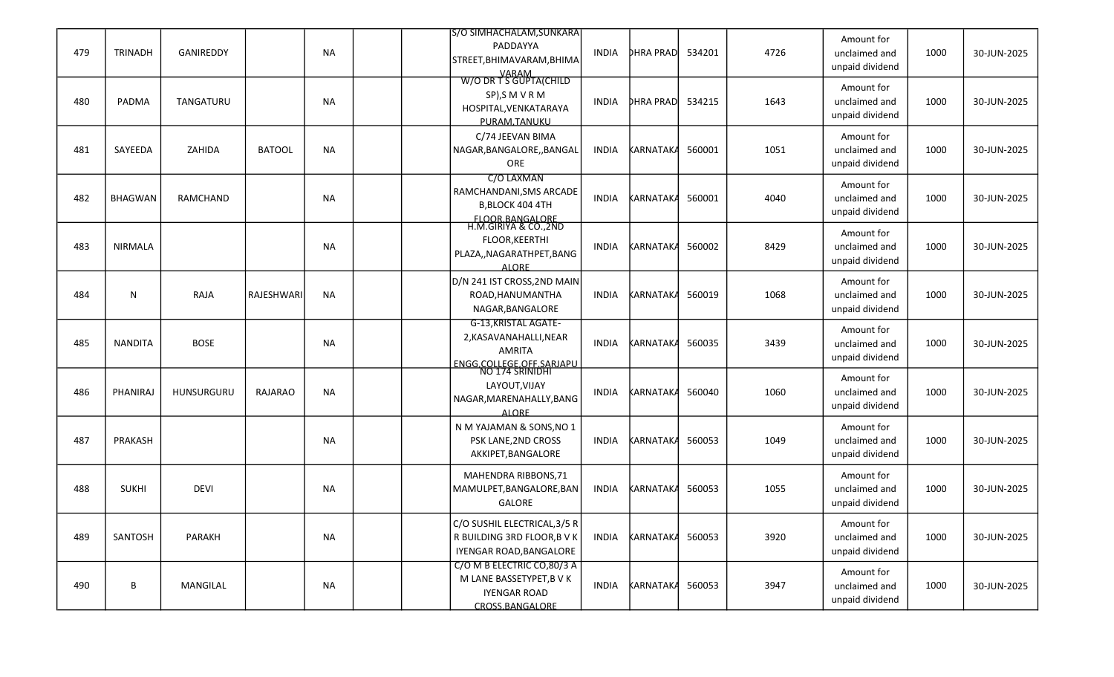| 479 | <b>TRINADH</b> | GANIREDDY       |               | <b>NA</b> | S/O SIMHACHALAM, SUNKARA<br>PADDAYYA<br>STREET, BHIMAVARAM, BHIMA                                        | <b>INDIA</b> | <b>DHRA PRAD</b> | 534201 | 4726 | Amount for<br>unclaimed and<br>unpaid dividend | 1000 | 30-JUN-2025 |
|-----|----------------|-----------------|---------------|-----------|----------------------------------------------------------------------------------------------------------|--------------|------------------|--------|------|------------------------------------------------|------|-------------|
| 480 | PADMA          | TANGATURU       |               | <b>NA</b> | VARAM<br>W/O DR T S GUPTA(CHILD<br>SP), SM VRM<br>HOSPITAL, VENKATARAYA<br>PURAM.TANUKU                  | INDIA        | <b>DHRA PRAD</b> | 534215 | 1643 | Amount for<br>unclaimed and<br>unpaid dividend | 1000 | 30-JUN-2025 |
| 481 | SAYEEDA        | ZAHIDA          | <b>BATOOL</b> | <b>NA</b> | C/74 JEEVAN BIMA<br>NAGAR, BANGALORE, , BANGAL<br>ORE                                                    | <b>INDIA</b> | <b>KARNATAKA</b> | 560001 | 1051 | Amount for<br>unclaimed and<br>unpaid dividend | 1000 | 30-JUN-2025 |
| 482 | <b>BHAGWAN</b> | <b>RAMCHAND</b> |               | <b>NA</b> | C/O LAXMAN<br>RAMCHANDANI, SMS ARCADE<br>B,BLOCK 404 4TH<br>FLOOR.BANGALORE<br>H.M.GIRIYA & CO.,2ND      | <b>INDIA</b> | <b>KARNATAKA</b> | 560001 | 4040 | Amount for<br>unclaimed and<br>unpaid dividend | 1000 | 30-JUN-2025 |
| 483 | <b>NIRMALA</b> |                 |               | <b>NA</b> | FLOOR, KEERTHI<br>PLAZA,, NAGARATHPET, BANG<br><b>ALORE</b>                                              | <b>INDIA</b> | KARNATAKA        | 560002 | 8429 | Amount for<br>unclaimed and<br>unpaid dividend | 1000 | 30-JUN-2025 |
| 484 | N              | RAJA            | RAJESHWARI    | <b>NA</b> | D/N 241 IST CROSS, 2ND MAIN<br>ROAD, HANUMANTHA<br>NAGAR, BANGALORE                                      | <b>INDIA</b> | KARNATAKA        | 560019 | 1068 | Amount for<br>unclaimed and<br>unpaid dividend | 1000 | 30-JUN-2025 |
| 485 | <b>NANDITA</b> | <b>BOSE</b>     |               | <b>NA</b> | <b>G-13, KRISTAL AGATE-</b><br>2, KASAVANAHALLI, NEAR<br><b>AMRITA</b>                                   | <b>INDIA</b> | <b>KARNATAKA</b> | 560035 | 3439 | Amount for<br>unclaimed and<br>unpaid dividend | 1000 | 30-JUN-2025 |
| 486 | PHANIRAJ       | HUNSURGURU      | RAJARAO       | <b>NA</b> | ENGG.COLLEGE.OFF.SARIAPU<br>NO 174 SRINIDHI<br>LAYOUT, VIJAY<br>NAGAR, MARENAHALLY, BANG<br><b>ALORE</b> | <b>INDIA</b> | KARNATAKA        | 560040 | 1060 | Amount for<br>unclaimed and<br>unpaid dividend | 1000 | 30-JUN-2025 |
| 487 | PRAKASH        |                 |               | <b>NA</b> | N M YAJAMAN & SONS, NO 1<br>PSK LANE, 2ND CROSS<br>AKKIPET, BANGALORE                                    | INDIA        | KARNATAKA        | 560053 | 1049 | Amount for<br>unclaimed and<br>unpaid dividend | 1000 | 30-JUN-2025 |
| 488 | <b>SUKHI</b>   | <b>DEVI</b>     |               | NA        | MAHENDRA RIBBONS, 71<br>MAMULPET, BANGALORE, BAN<br>GALORE                                               | <b>INDIA</b> | KARNATAKA        | 560053 | 1055 | Amount for<br>unclaimed and<br>unpaid dividend | 1000 | 30-JUN-2025 |
| 489 | SANTOSH        | PARAKH          |               | NA        | C/O SUSHIL ELECTRICAL, 3/5 R<br>R BUILDING 3RD FLOOR, B V K<br>IYENGAR ROAD, BANGALORE                   | <b>INDIA</b> | <b>KARNATAKA</b> | 560053 | 3920 | Amount for<br>unclaimed and<br>unpaid dividend | 1000 | 30-JUN-2025 |
| 490 | B              | MANGILAL        |               | NA        | C/O M B ELECTRIC CO,80/3 A<br>M LANE BASSETYPET, B V K<br><b>IYENGAR ROAD</b><br>CROSS.BANGALORE         | INDIA        | KARNATAK4 560053 |        | 3947 | Amount for<br>unclaimed and<br>unpaid dividend | 1000 | 30-JUN-2025 |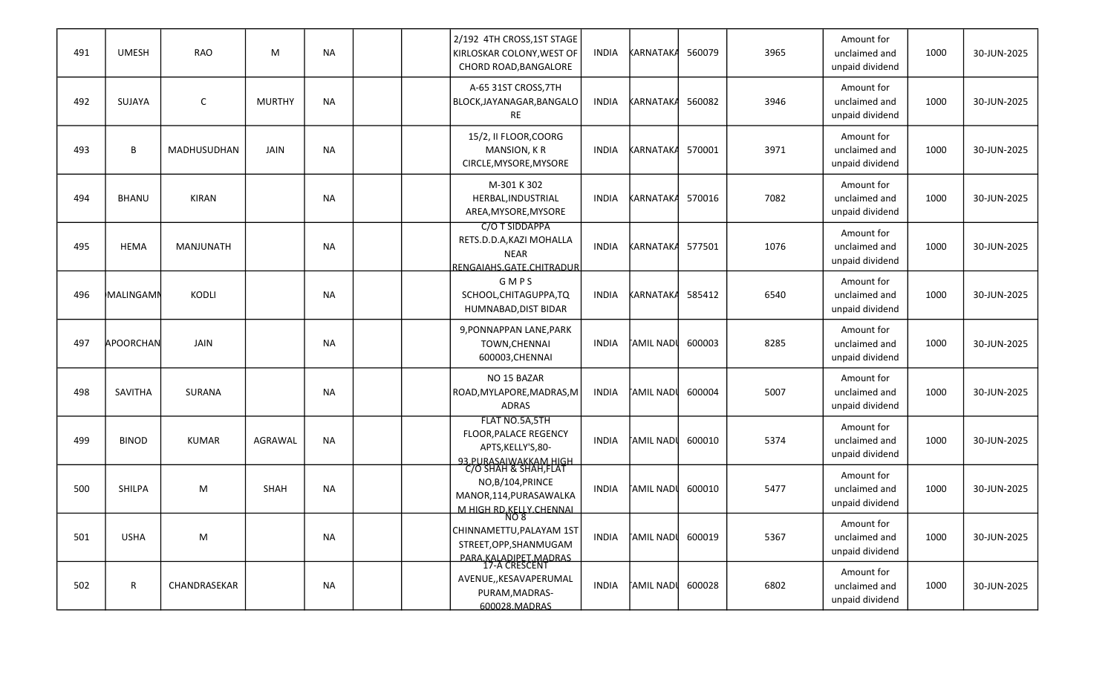| 491 | <b>UMESH</b>     | <b>RAO</b>       | M             | <b>NA</b> |  | 2/192 4TH CROSS, 1ST STAGE<br>KIRLOSKAR COLONY, WEST OF<br>CHORD ROAD, BANGALORE                           | <b>INDIA</b> | KARNATAKA         | 560079 | 3965 | Amount for<br>unclaimed and<br>unpaid dividend | 1000 | 30-JUN-2025 |
|-----|------------------|------------------|---------------|-----------|--|------------------------------------------------------------------------------------------------------------|--------------|-------------------|--------|------|------------------------------------------------|------|-------------|
| 492 | SUJAYA           | $\mathsf{C}$     | <b>MURTHY</b> | <b>NA</b> |  | A-65 31ST CROSS, 7TH<br>BLOCK, JAYANAGAR, BANGALO<br><b>RE</b>                                             | <b>INDIA</b> | KARNATAKA         | 560082 | 3946 | Amount for<br>unclaimed and<br>unpaid dividend | 1000 | 30-JUN-2025 |
| 493 | В                | MADHUSUDHAN      | JAIN          | <b>NA</b> |  | 15/2, II FLOOR, COORG<br>MANSION, KR<br>CIRCLE, MYSORE, MYSORE                                             | <b>INDIA</b> | <b>KARNATAKA</b>  | 570001 | 3971 | Amount for<br>unclaimed and<br>unpaid dividend | 1000 | 30-JUN-2025 |
| 494 | <b>BHANU</b>     | <b>KIRAN</b>     |               | <b>NA</b> |  | M-301 K 302<br>HERBAL, INDUSTRIAL<br>AREA, MYSORE, MYSORE                                                  | INDIA        | <b>KARNATAKA</b>  | 570016 | 7082 | Amount for<br>unclaimed and<br>unpaid dividend | 1000 | 30-JUN-2025 |
| 495 | <b>HEMA</b>      | <b>MANJUNATH</b> |               | <b>NA</b> |  | C/O T SIDDAPPA<br>RETS.D.D.A, KAZI MOHALLA<br><b>NEAR</b><br>RENGAIAHS.GATE.CHITRADUR                      | <b>INDIA</b> | <b>KARNATAKA</b>  | 577501 | 1076 | Amount for<br>unclaimed and<br>unpaid dividend | 1000 | 30-JUN-2025 |
| 496 | <b>MALINGAMM</b> | KODLI            |               | <b>NA</b> |  | GMPS<br>SCHOOL, CHITAGUPPA, TQ<br>HUMNABAD, DIST BIDAR                                                     | <b>INDIA</b> | KARNATAKA         | 585412 | 6540 | Amount for<br>unclaimed and<br>unpaid dividend | 1000 | 30-JUN-2025 |
| 497 | APOORCHAN        | JAIN             |               | <b>NA</b> |  | 9, PONNAPPAN LANE, PARK<br>TOWN, CHENNAI<br>600003, CHENNAI                                                | <b>INDIA</b> | FAMIL NADI        | 600003 | 8285 | Amount for<br>unclaimed and<br>unpaid dividend | 1000 | 30-JUN-2025 |
| 498 | SAVITHA          | <b>SURANA</b>    |               | <b>NA</b> |  | NO 15 BAZAR<br>ROAD, MYLAPORE, MADRAS, M<br><b>ADRAS</b>                                                   | <b>INDIA</b> | <b>TAMIL NADI</b> | 600004 | 5007 | Amount for<br>unclaimed and<br>unpaid dividend | 1000 | 30-JUN-2025 |
| 499 | <b>BINOD</b>     | <b>KUMAR</b>     | AGRAWAL       | <b>NA</b> |  | FLAT NO.5A,5TH<br>FLOOR, PALACE REGENCY<br>APTS, KELLY'S, 80-                                              | INDIA        | †AMIL NADI        | 600010 | 5374 | Amount for<br>unclaimed and<br>unpaid dividend | 1000 | 30-JUN-2025 |
| 500 | SHILPA           | M                | SHAH          | NA.       |  | <u>93.PURASAIWAKKAM HIGH</u><br>C/O SHAH & SHAH,FLAT<br>NO,B/104, PRINCE<br>MANOR,114, PURASAWALKA         | <b>INDIA</b> | <b>TAMIL NADI</b> | 600010 | 5477 | Amount for<br>unclaimed and<br>unpaid dividend | 1000 | 30-JUN-2025 |
| 501 | <b>USHA</b>      | M                |               | NA        |  | <u>M HIGH RD KELLY CHENNAL</u><br>NO 8<br>CHINNAMETTU, PALAYAM 1ST<br>STREET, OPP, SHANMUGAM               | <b>INDIA</b> | <b>AMIL NADI</b>  | 600019 | 5367 | Amount for<br>unclaimed and<br>unpaid dividend | 1000 | 30-JUN-2025 |
| 502 | R                | CHANDRASEKAR     |               | NA        |  | <u>PARA KALADIPET MADRAS</u><br>17-A CRESCENT<br>AVENUE,, KESAVAPERUMAL<br>PURAM, MADRAS-<br>600028.MADRAS | INDIA        | <b>AMIL NADI</b>  | 600028 | 6802 | Amount for<br>unclaimed and<br>unpaid dividend | 1000 | 30-JUN-2025 |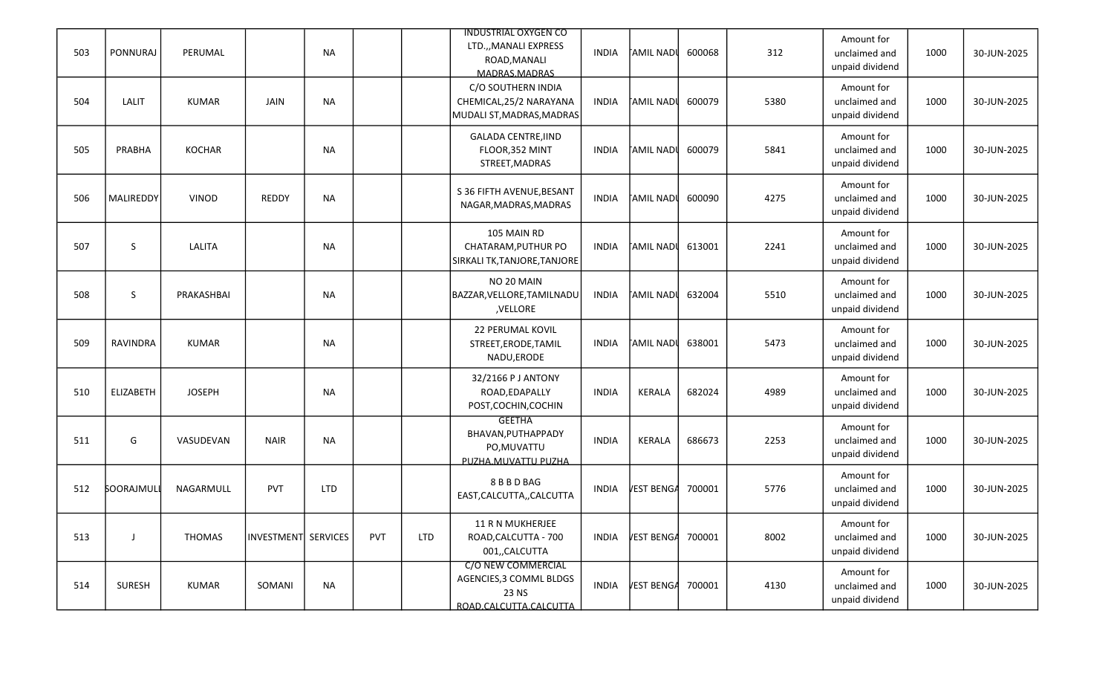| 503 | PONNURAJ         | PERUMAL       |                     | <b>NA</b>  |     |            | <b>INDUSTRIAL OXYGEN CO</b><br>LTD.,, MANALI EXPRESS<br>ROAD, MANALI<br>MADRAS.MADRAS | <b>INDIA</b> | <b>TAMIL NADU</b> | 600068 | 312  | Amount for<br>unclaimed and<br>unpaid dividend | 1000 | 30-JUN-2025 |
|-----|------------------|---------------|---------------------|------------|-----|------------|---------------------------------------------------------------------------------------|--------------|-------------------|--------|------|------------------------------------------------|------|-------------|
| 504 | LALIT            | <b>KUMAR</b>  | JAIN                | <b>NA</b>  |     |            | C/O SOUTHERN INDIA<br>CHEMICAL, 25/2 NARAYANA<br>MUDALI ST, MADRAS, MADRAS            | <b>INDIA</b> | †AMIL NAD≬        | 600079 | 5380 | Amount for<br>unclaimed and<br>unpaid dividend | 1000 | 30-JUN-2025 |
| 505 | PRABHA           | <b>KOCHAR</b> |                     | <b>NA</b>  |     |            | <b>GALADA CENTRE, IIND</b><br>FLOOR, 352 MINT<br>STREET, MADRAS                       | <b>INDIA</b> | <b>TAMIL NADU</b> | 600079 | 5841 | Amount for<br>unclaimed and<br>unpaid dividend | 1000 | 30-JUN-2025 |
| 506 | MALIREDDY        | <b>VINOD</b>  | <b>REDDY</b>        | <b>NA</b>  |     |            | S 36 FIFTH AVENUE, BESANT<br>NAGAR, MADRAS, MADRAS                                    | <b>INDIA</b> | <b>TAMIL NADI</b> | 600090 | 4275 | Amount for<br>unclaimed and<br>unpaid dividend | 1000 | 30-JUN-2025 |
| 507 | S                | LALITA        |                     | <b>NA</b>  |     |            | 105 MAIN RD<br>CHATARAM, PUTHUR PO<br>SIRKALI TK, TANJORE, TANJORE                    | <b>INDIA</b> | <b>TAMIL NADU</b> | 613001 | 2241 | Amount for<br>unclaimed and<br>unpaid dividend | 1000 | 30-JUN-2025 |
| 508 | S                | PRAKASHBAI    |                     | <b>NA</b>  |     |            | NO 20 MAIN<br>BAZZAR, VELLORE, TAMILNADU<br>,VELLORE                                  | <b>INDIA</b> | <b>TAMIL NADI</b> | 632004 | 5510 | Amount for<br>unclaimed and<br>unpaid dividend | 1000 | 30-JUN-2025 |
| 509 | <b>RAVINDRA</b>  | <b>KUMAR</b>  |                     | <b>NA</b>  |     |            | 22 PERUMAL KOVIL<br>STREET, ERODE, TAMIL<br>NADU, ERODE                               | <b>INDIA</b> | ∏AMIL NADI        | 638001 | 5473 | Amount for<br>unclaimed and<br>unpaid dividend | 1000 | 30-JUN-2025 |
| 510 | ELIZABETH        | <b>JOSEPH</b> |                     | <b>NA</b>  |     |            | 32/2166 P J ANTONY<br>ROAD, EDAPALLY<br>POST, COCHIN, COCHIN                          | <b>INDIA</b> | KERALA            | 682024 | 4989 | Amount for<br>unclaimed and<br>unpaid dividend | 1000 | 30-JUN-2025 |
| 511 | G                | VASUDEVAN     | <b>NAIR</b>         | <b>NA</b>  |     |            | <b>GEETHA</b><br>BHAVAN, PUTHAPPADY<br>PO, MUVATTU<br>PUZHA.MUVATTU PUZHA             | <b>INDIA</b> | KERALA            | 686673 | 2253 | Amount for<br>unclaimed and<br>unpaid dividend | 1000 | 30-JUN-2025 |
| 512 | <b>SOORAJMUL</b> | NAGARMULL     | <b>PVT</b>          | <b>LTD</b> |     |            | 8 B B D BAG<br>EAST, CALCUTTA, , CALCUTTA                                             | <b>INDIA</b> | VEST BENGA        | 700001 | 5776 | Amount for<br>unclaimed and<br>unpaid dividend | 1000 | 30-JUN-2025 |
| 513 |                  | <b>THOMAS</b> | INVESTMENT SERVICES |            | PVT | <b>LTD</b> | 11 R N MUKHERJEE<br>ROAD, CALCUTTA - 700<br>001,,CALCUTTA                             | <b>INDIA</b> | VEST BENGA        | 700001 | 8002 | Amount for<br>unclaimed and<br>unpaid dividend | 1000 | 30-JUN-2025 |
| 514 | SURESH           | <b>KUMAR</b>  | SOMANI              | <b>NA</b>  |     |            | C/O NEW COMMERCIAL<br>AGENCIES, 3 COMML BLDGS<br>23 NS<br>ROAD.CALCUTTA.CALCUTTA      | <b>INDIA</b> | VEST BENG4 700001 |        | 4130 | Amount for<br>unclaimed and<br>unpaid dividend | 1000 | 30-JUN-2025 |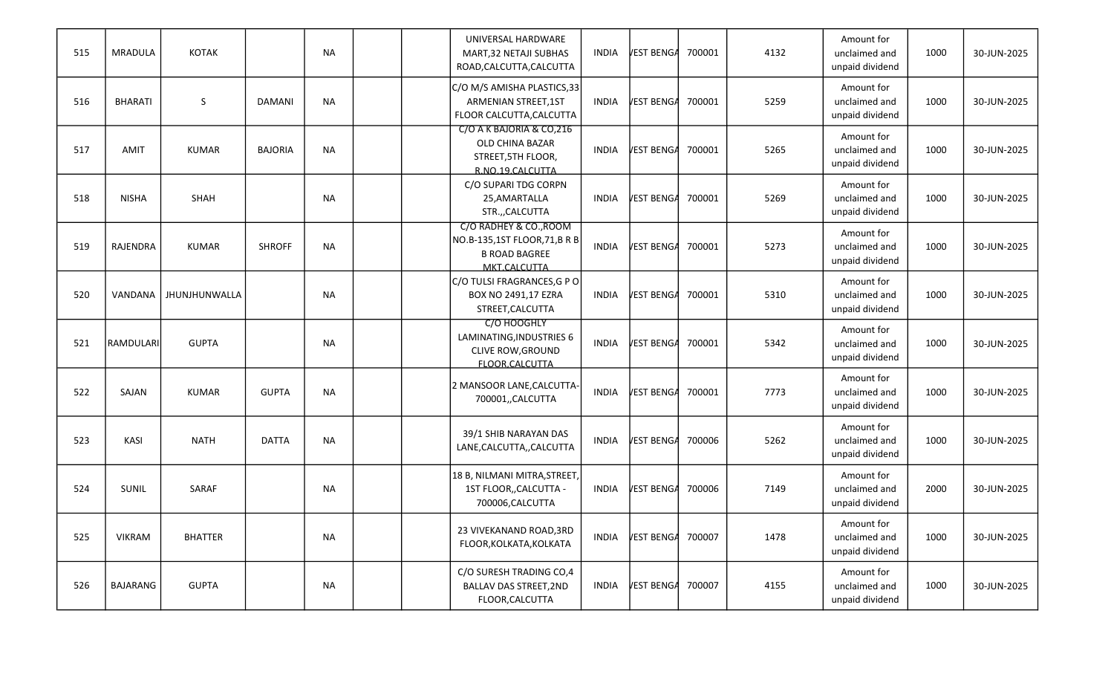| 515 | MRADULA        | <b>KOTAK</b>   |                | <b>NA</b> |  | UNIVERSAL HARDWARE<br>MART, 32 NETAJI SUBHAS<br>ROAD, CALCUTTA, CALCUTTA                      | <b>INDIA</b> | VEST BENGA        | 700001 | 4132 | Amount for<br>unclaimed and<br>unpaid dividend | 1000 | 30-JUN-2025 |
|-----|----------------|----------------|----------------|-----------|--|-----------------------------------------------------------------------------------------------|--------------|-------------------|--------|------|------------------------------------------------|------|-------------|
| 516 | <b>BHARATI</b> | $\sf S$        | <b>DAMANI</b>  | <b>NA</b> |  | C/O M/S AMISHA PLASTICS, 33<br>ARMENIAN STREET, 1ST<br>FLOOR CALCUTTA, CALCUTTA               | <b>INDIA</b> | VEST BENGA        | 700001 | 5259 | Amount for<br>unclaimed and<br>unpaid dividend | 1000 | 30-JUN-2025 |
| 517 | AMIT           | <b>KUMAR</b>   | <b>BAJORIA</b> | <b>NA</b> |  | C/O A K BAJORIA & CO, 216<br>OLD CHINA BAZAR<br>STREET, 5TH FLOOR,<br>R.NO.19.CALCUTTA        | <b>INDIA</b> | VEST BENGA        | 700001 | 5265 | Amount for<br>unclaimed and<br>unpaid dividend | 1000 | 30-JUN-2025 |
| 518 | <b>NISHA</b>   | SHAH           |                | <b>NA</b> |  | C/O SUPARI TDG CORPN<br>25,AMARTALLA<br>STR.,,CALCUTTA                                        | <b>INDIA</b> | VEST BENGA        | 700001 | 5269 | Amount for<br>unclaimed and<br>unpaid dividend | 1000 | 30-JUN-2025 |
| 519 | RAJENDRA       | <b>KUMAR</b>   | <b>SHROFF</b>  | <b>NA</b> |  | C/O RADHEY & CO., ROOM<br>NO.B-135,1ST FLOOR,71,B R B<br><b>B ROAD BAGREE</b><br>MKT.CALCUTTA | <b>INDIA</b> | VEST BENGA        | 700001 | 5273 | Amount for<br>unclaimed and<br>unpaid dividend | 1000 | 30-JUN-2025 |
| 520 | VANDANA        | JHUNJHUNWALLA  |                | <b>NA</b> |  | C/O TULSI FRAGRANCES, G P O<br>BOX NO 2491,17 EZRA<br>STREET, CALCUTTA                        | <b>INDIA</b> | VEST BENGA        | 700001 | 5310 | Amount for<br>unclaimed and<br>unpaid dividend | 1000 | 30-JUN-2025 |
| 521 | RAMDULARI      | <b>GUPTA</b>   |                | <b>NA</b> |  | C/O HOOGHLY<br>LAMINATING, INDUSTRIES 6<br><b>CLIVE ROW, GROUND</b><br>FLOOR.CALCUTTA         | <b>INDIA</b> | VEST BENGA        | 700001 | 5342 | Amount for<br>unclaimed and<br>unpaid dividend | 1000 | 30-JUN-2025 |
| 522 | SAJAN          | <b>KUMAR</b>   | <b>GUPTA</b>   | <b>NA</b> |  | 2 MANSOOR LANE, CALCUTTA-<br>700001,,CALCUTTA                                                 | <b>INDIA</b> | VEST BENGA        | 700001 | 7773 | Amount for<br>unclaimed and<br>unpaid dividend | 1000 | 30-JUN-2025 |
| 523 | KASI           | <b>NATH</b>    | <b>DATTA</b>   | <b>NA</b> |  | 39/1 SHIB NARAYAN DAS<br>LANE, CALCUTTA, , CALCUTTA                                           | <b>INDIA</b> | VEST BENGA        | 700006 | 5262 | Amount for<br>unclaimed and<br>unpaid dividend | 1000 | 30-JUN-2025 |
| 524 | <b>SUNIL</b>   | SARAF          |                | NA        |  | 18 B, NILMANI MITRA, STREET,<br>1ST FLOOR,, CALCUTTA -<br>700006, CALCUTTA                    | <b>INDIA</b> | <b>VEST BENGA</b> | 700006 | 7149 | Amount for<br>unclaimed and<br>unpaid dividend | 2000 | 30-JUN-2025 |
| 525 | <b>VIKRAM</b>  | <b>BHATTER</b> |                | NA        |  | 23 VIVEKANAND ROAD, 3RD<br>FLOOR, KOLKATA, KOLKATA                                            | <b>INDIA</b> | VEST BENGA        | 700007 | 1478 | Amount for<br>unclaimed and<br>unpaid dividend | 1000 | 30-JUN-2025 |
| 526 | BAJARANG       | <b>GUPTA</b>   |                | NA        |  | C/O SURESH TRADING CO,4<br><b>BALLAV DAS STREET, 2ND</b><br>FLOOR, CALCUTTA                   | <b>INDIA</b> | VEST BENGA        | 700007 | 4155 | Amount for<br>unclaimed and<br>unpaid dividend | 1000 | 30-JUN-2025 |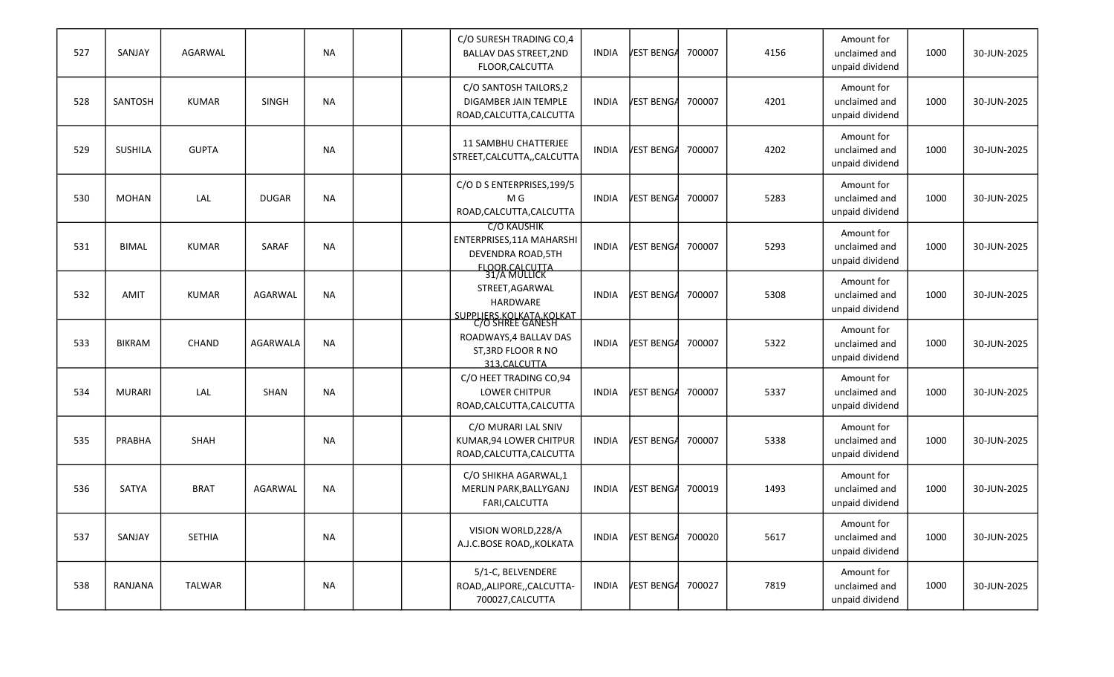| 527 | SANJAY         | AGARWAL       |              | <b>NA</b> |  | C/O SURESH TRADING CO,4<br><b>BALLAV DAS STREET, 2ND</b><br>FLOOR, CALCUTTA                                    | <b>INDIA</b> | VEST BENGA | 700007 | 4156 | Amount for<br>unclaimed and<br>unpaid dividend | 1000 | 30-JUN-2025 |
|-----|----------------|---------------|--------------|-----------|--|----------------------------------------------------------------------------------------------------------------|--------------|------------|--------|------|------------------------------------------------|------|-------------|
| 528 | SANTOSH        | <b>KUMAR</b>  | <b>SINGH</b> | <b>NA</b> |  | C/O SANTOSH TAILORS, 2<br>DIGAMBER JAIN TEMPLE<br>ROAD, CALCUTTA, CALCUTTA                                     | INDIA        | VEST BENGA | 700007 | 4201 | Amount for<br>unclaimed and<br>unpaid dividend | 1000 | 30-JUN-2025 |
| 529 | <b>SUSHILA</b> | <b>GUPTA</b>  |              | <b>NA</b> |  | <b>11 SAMBHU CHATTERJEE</b><br>STREET, CALCUTTA, , CALCUTTA                                                    | <b>INDIA</b> | VEST BENGA | 700007 | 4202 | Amount for<br>unclaimed and<br>unpaid dividend | 1000 | 30-JUN-2025 |
| 530 | <b>MOHAN</b>   | LAL           | <b>DUGAR</b> | <b>NA</b> |  | C/O D S ENTERPRISES, 199/5<br>M G<br>ROAD, CALCUTTA, CALCUTTA                                                  | <b>INDIA</b> | VEST BENGA | 700007 | 5283 | Amount for<br>unclaimed and<br>unpaid dividend | 1000 | 30-JUN-2025 |
| 531 | <b>BIMAL</b>   | <b>KUMAR</b>  | SARAF        | <b>NA</b> |  | <b>C/O KAUSHIK</b><br>ENTERPRISES, 11A MAHARSHI<br>DEVENDRA ROAD, 5TH<br><b>FLOOR CALCUTTA</b><br>31/A MULLICK | <b>INDIA</b> | VEST BENGA | 700007 | 5293 | Amount for<br>unclaimed and<br>unpaid dividend | 1000 | 30-JUN-2025 |
| 532 | <b>AMIT</b>    | <b>KUMAR</b>  | AGARWAL      | <b>NA</b> |  | STREET, AGARWAL<br>HARDWARE                                                                                    | <b>INDIA</b> | VEST BENGA | 700007 | 5308 | Amount for<br>unclaimed and<br>unpaid dividend | 1000 | 30-JUN-2025 |
| 533 | <b>BIKRAM</b>  | CHAND         | AGARWALA     | <b>NA</b> |  | SUPPLIERS.KOLKATA.KOLKAT<br>C/O SHREE GANESH<br>ROADWAYS, 4 BALLAV DAS<br>ST, 3RD FLOOR R NO<br>313.CALCUTTA   | <b>INDIA</b> | VEST BENGA | 700007 | 5322 | Amount for<br>unclaimed and<br>unpaid dividend | 1000 | 30-JUN-2025 |
| 534 | <b>MURARI</b>  | LAL           | SHAN         | <b>NA</b> |  | C/O HEET TRADING CO,94<br><b>LOWER CHITPUR</b><br>ROAD, CALCUTTA, CALCUTTA                                     | <b>INDIA</b> | VEST BENGA | 700007 | 5337 | Amount for<br>unclaimed and<br>unpaid dividend | 1000 | 30-JUN-2025 |
| 535 | PRABHA         | SHAH          |              | <b>NA</b> |  | C/O MURARI LAL SNIV<br>KUMAR, 94 LOWER CHITPUR<br>ROAD, CALCUTTA, CALCUTTA                                     | <b>INDIA</b> | VEST BENGA | 700007 | 5338 | Amount for<br>unclaimed and<br>unpaid dividend | 1000 | 30-JUN-2025 |
| 536 | SATYA          | <b>BRAT</b>   | AGARWAL      | <b>NA</b> |  | C/O SHIKHA AGARWAL,1<br>MERLIN PARK, BALLYGANJ<br>FARI, CALCUTTA                                               | <b>INDIA</b> | VEST BENGA | 700019 | 1493 | Amount for<br>unclaimed and<br>unpaid dividend | 1000 | 30-JUN-2025 |
| 537 | SANJAY         | <b>SETHIA</b> |              | NA        |  | VISION WORLD, 228/A<br>A.J.C.BOSE ROAD,, KOLKATA                                                               | <b>INDIA</b> | VEST BENGA | 700020 | 5617 | Amount for<br>unclaimed and<br>unpaid dividend | 1000 | 30-JUN-2025 |
| 538 | RANJANA        | TALWAR        |              | NA        |  | 5/1-C, BELVENDERE<br>ROAD,,ALIPORE,,CALCUTTA-<br>700027, CALCUTTA                                              | <b>INDIA</b> | VEST BENGA | 700027 | 7819 | Amount for<br>unclaimed and<br>unpaid dividend | 1000 | 30-JUN-2025 |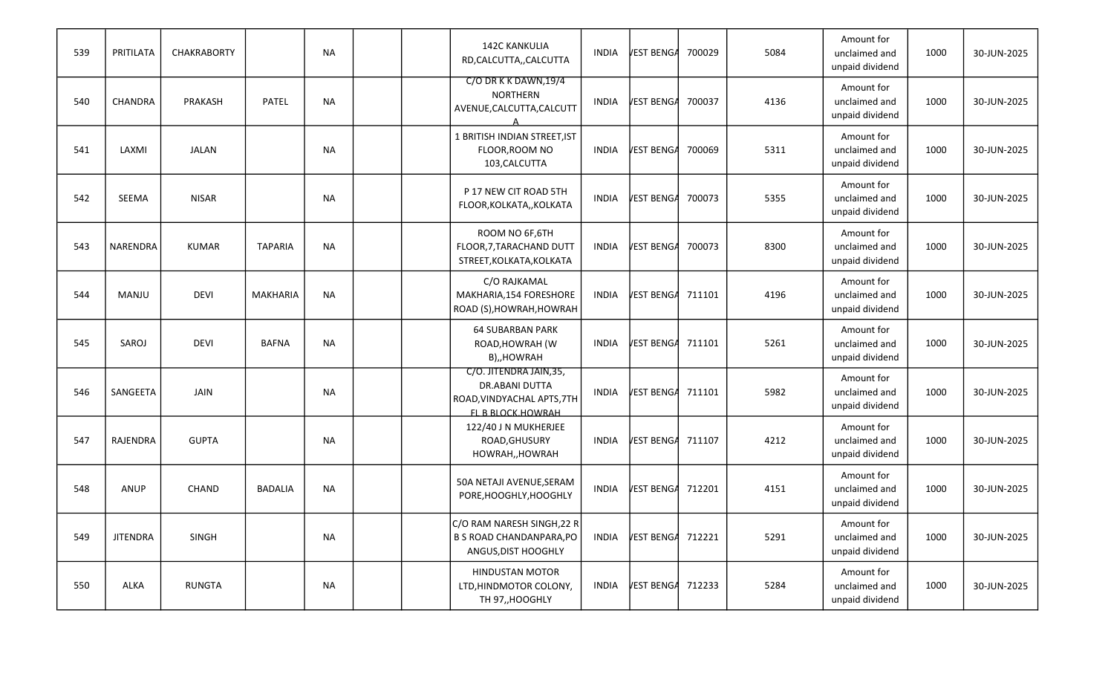| 539 | PRITILATA       | <b>CHAKRABORTY</b> |                 | <b>NA</b> |  | <b>142C KANKULIA</b><br>RD,CALCUTTA,,CALCUTTA                                                       | <b>INDIA</b> | VEST BENGA        | 700029 | 5084 | Amount for<br>unclaimed and<br>unpaid dividend | 1000 | 30-JUN-2025 |
|-----|-----------------|--------------------|-----------------|-----------|--|-----------------------------------------------------------------------------------------------------|--------------|-------------------|--------|------|------------------------------------------------|------|-------------|
| 540 | CHANDRA         | PRAKASH            | PATEL           | <b>NA</b> |  | C/O DR K K DAWN, 19/4<br>NORTHERN<br>AVENUE, CALCUTTA, CALCUTT                                      | <b>INDIA</b> | VEST BENGA        | 700037 | 4136 | Amount for<br>unclaimed and<br>unpaid dividend | 1000 | 30-JUN-2025 |
| 541 | LAXMI           | <b>JALAN</b>       |                 | <b>NA</b> |  | 1 BRITISH INDIAN STREET, IST<br>FLOOR, ROOM NO<br>103, CALCUTTA                                     | <b>INDIA</b> | VEST BENGA        | 700069 | 5311 | Amount for<br>unclaimed and<br>unpaid dividend | 1000 | 30-JUN-2025 |
| 542 | SEEMA           | <b>NISAR</b>       |                 | <b>NA</b> |  | P 17 NEW CIT ROAD 5TH<br>FLOOR, KOLKATA,, KOLKATA                                                   | <b>INDIA</b> | VEST BENGA        | 700073 | 5355 | Amount for<br>unclaimed and<br>unpaid dividend | 1000 | 30-JUN-2025 |
| 543 | NARENDRA        | <b>KUMAR</b>       | <b>TAPARIA</b>  | <b>NA</b> |  | ROOM NO 6F,6TH<br>FLOOR, 7, TARACHAND DUTT<br>STREET, KOLKATA, KOLKATA                              | <b>INDIA</b> | VEST BENGA        | 700073 | 8300 | Amount for<br>unclaimed and<br>unpaid dividend | 1000 | 30-JUN-2025 |
| 544 | MANJU           | <b>DEVI</b>        | <b>MAKHARIA</b> | <b>NA</b> |  | C/O RAJKAMAL<br>MAKHARIA, 154 FORESHORE<br>ROAD (S), HOWRAH, HOWRAH                                 | <b>INDIA</b> | VEST BENGA        | 711101 | 4196 | Amount for<br>unclaimed and<br>unpaid dividend | 1000 | 30-JUN-2025 |
| 545 | SAROJ           | <b>DEVI</b>        | <b>BAFNA</b>    | <b>NA</b> |  | <b>64 SUBARBAN PARK</b><br>ROAD, HOWRAH (W<br>B),,HOWRAH                                            | <b>INDIA</b> | VEST BENGA        | 711101 | 5261 | Amount for<br>unclaimed and<br>unpaid dividend | 1000 | 30-JUN-2025 |
| 546 | SANGEETA        | <b>JAIN</b>        |                 | <b>NA</b> |  | C/O. JITENDRA JAIN, 35,<br><b>DR.ABANI DUTTA</b><br>ROAD, VINDYACHAL APTS, 7TH<br>FL B BLOCK.HOWRAH | <b>INDIA</b> | VEST BENGA        | 711101 | 5982 | Amount for<br>unclaimed and<br>unpaid dividend | 1000 | 30-JUN-2025 |
| 547 | RAJENDRA        | <b>GUPTA</b>       |                 | <b>NA</b> |  | 122/40 J N MUKHERJEE<br>ROAD, GHUSURY<br>HOWRAH,, HOWRAH                                            | INDIA        | VEST BENGA        | 711107 | 4212 | Amount for<br>unclaimed and<br>unpaid dividend | 1000 | 30-JUN-2025 |
| 548 | ANUP            | CHAND              | BADALIA         | <b>NA</b> |  | 50A NETAJI AVENUE, SERAM<br>PORE, HOOGHLY, HOOGHLY                                                  | <b>INDIA</b> | VEST BENGA        | 712201 | 4151 | Amount for<br>unclaimed and<br>unpaid dividend | 1000 | 30-JUN-2025 |
| 549 | <b>JITENDRA</b> | SINGH              |                 | NA        |  | C/O RAM NARESH SINGH, 22 R<br><b>B S ROAD CHANDANPARA, PO</b><br>ANGUS, DIST HOOGHLY                | <b>INDIA</b> | VEST BENGA        | 712221 | 5291 | Amount for<br>unclaimed and<br>unpaid dividend | 1000 | 30-JUN-2025 |
| 550 | ALKA            | RUNGTA             |                 | NA        |  | <b>HINDUSTAN MOTOR</b><br>LTD, HINDMOTOR COLONY,<br>TH 97,, HOOGHLY                                 | INDIA        | VEST BENGA 712233 |        | 5284 | Amount for<br>unclaimed and<br>unpaid dividend | 1000 | 30-JUN-2025 |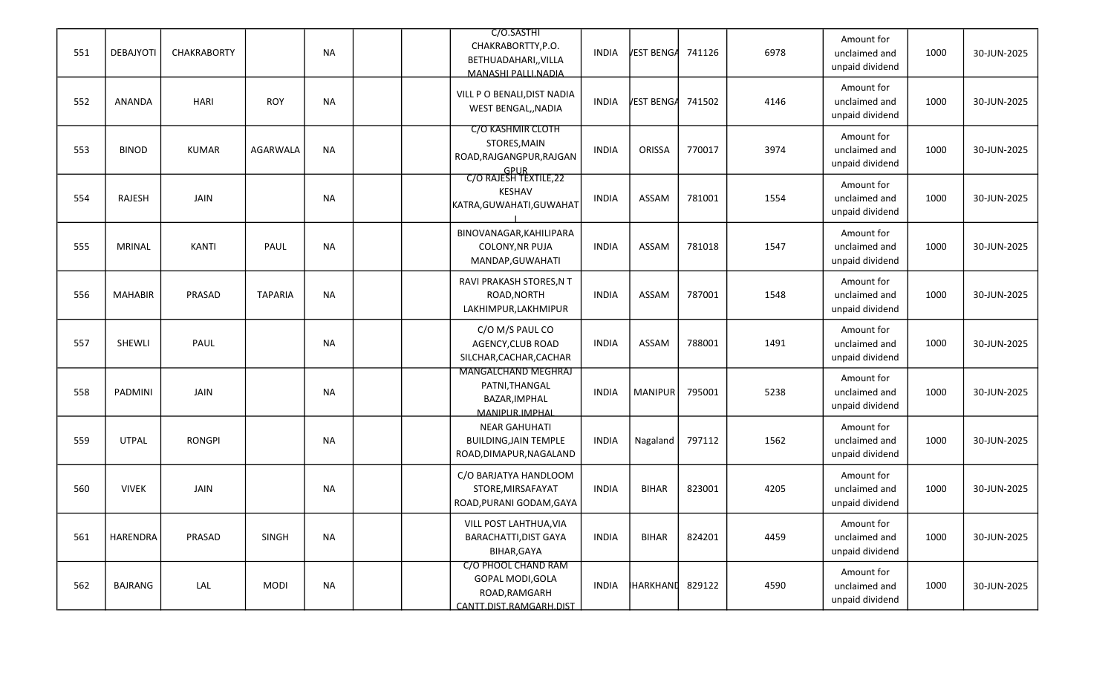| 551 | DEBAJYOTI      | <b>CHAKRABORTY</b> |                | <b>NA</b> |  | C/O.SASTHI<br>CHAKRABORTTY, P.O.<br>BETHUADAHARI,, VILLA<br>MANASHI PALLI.NADIA     | <b>INDIA</b> | VEST BENGA      | 741126 | 6978 | Amount for<br>unclaimed and<br>unpaid dividend | 1000 | 30-JUN-2025 |
|-----|----------------|--------------------|----------------|-----------|--|-------------------------------------------------------------------------------------|--------------|-----------------|--------|------|------------------------------------------------|------|-------------|
| 552 | <b>ANANDA</b>  | <b>HARI</b>        | <b>ROY</b>     | <b>NA</b> |  | VILL P O BENALI, DIST NADIA<br>WEST BENGAL,, NADIA                                  | <b>INDIA</b> | VEST BENGA      | 741502 | 4146 | Amount for<br>unclaimed and<br>unpaid dividend | 1000 | 30-JUN-2025 |
| 553 | <b>BINOD</b>   | <b>KUMAR</b>       | AGARWALA       | <b>NA</b> |  | C/O KASHMIR CLOTH<br>STORES, MAIN<br>ROAD, RAJGANGPUR, RAJGAN                       | <b>INDIA</b> | ORISSA          | 770017 | 3974 | Amount for<br>unclaimed and<br>unpaid dividend | 1000 | 30-JUN-2025 |
| 554 | RAJESH         | JAIN               |                | <b>NA</b> |  | GPUR<br>C/O RAJESH TEXTILE,22<br>KESHAV<br>KATRA, GUWAHATI, GUWAHAT                 | <b>INDIA</b> | ASSAM           | 781001 | 1554 | Amount for<br>unclaimed and<br>unpaid dividend | 1000 | 30-JUN-2025 |
| 555 | <b>MRINAL</b>  | KANTI              | PAUL           | <b>NA</b> |  | BINOVANAGAR, KAHILIPARA<br>COLONY, NR PUJA<br>MANDAP, GUWAHATI                      | <b>INDIA</b> | ASSAM           | 781018 | 1547 | Amount for<br>unclaimed and<br>unpaid dividend | 1000 | 30-JUN-2025 |
| 556 | <b>MAHABIR</b> | PRASAD             | <b>TAPARIA</b> | <b>NA</b> |  | RAVI PRAKASH STORES, N T<br>ROAD, NORTH<br>LAKHIMPUR, LAKHMIPUR                     | <b>INDIA</b> | ASSAM           | 787001 | 1548 | Amount for<br>unclaimed and<br>unpaid dividend | 1000 | 30-JUN-2025 |
| 557 | SHEWLI         | PAUL               |                | <b>NA</b> |  | C/O M/S PAUL CO<br>AGENCY, CLUB ROAD<br>SILCHAR, CACHAR, CACHAR                     | <b>INDIA</b> | ASSAM           | 788001 | 1491 | Amount for<br>unclaimed and<br>unpaid dividend | 1000 | 30-JUN-2025 |
| 558 | PADMINI        | <b>JAIN</b>        |                | <b>NA</b> |  | <b>MANGALCHAND MEGHRAJ</b><br>PATNI, THANGAL<br>BAZAR, IMPHAL<br>MANIPUR.IMPHAI     | <b>INDIA</b> | MANIPUR         | 795001 | 5238 | Amount for<br>unclaimed and<br>unpaid dividend | 1000 | 30-JUN-2025 |
| 559 | <b>UTPAL</b>   | <b>RONGPI</b>      |                | <b>NA</b> |  | <b>NEAR GAHUHATI</b><br><b>BUILDING, JAIN TEMPLE</b><br>ROAD, DIMAPUR, NAGALAND     | <b>INDIA</b> | Nagaland        | 797112 | 1562 | Amount for<br>unclaimed and<br>unpaid dividend | 1000 | 30-JUN-2025 |
| 560 | <b>VIVEK</b>   | JAIN               |                | NA        |  | C/O BARJATYA HANDLOOM<br>STORE, MIRSAFAYAT<br>ROAD, PURANI GODAM, GAYA              | <b>INDIA</b> | <b>BIHAR</b>    | 823001 | 4205 | Amount for<br>unclaimed and<br>unpaid dividend | 1000 | 30-JUN-2025 |
| 561 | HARENDRA       | PRASAD             | <b>SINGH</b>   | <b>NA</b> |  | VILL POST LAHTHUA, VIA<br><b>BARACHATTI, DIST GAYA</b><br>BIHAR, GAYA               | <b>INDIA</b> | <b>BIHAR</b>    | 824201 | 4459 | Amount for<br>unclaimed and<br>unpaid dividend | 1000 | 30-JUN-2025 |
| 562 | <b>BAJRANG</b> | LAL                | <b>MODI</b>    | <b>NA</b> |  | C/O PHOOL CHAND RAM<br>GOPAL MODI, GOLA<br>ROAD, RAMGARH<br>CANTT.DIST.RAMGARH.DIST | <b>INDIA</b> | HARKHAND 829122 |        | 4590 | Amount for<br>unclaimed and<br>unpaid dividend | 1000 | 30-JUN-2025 |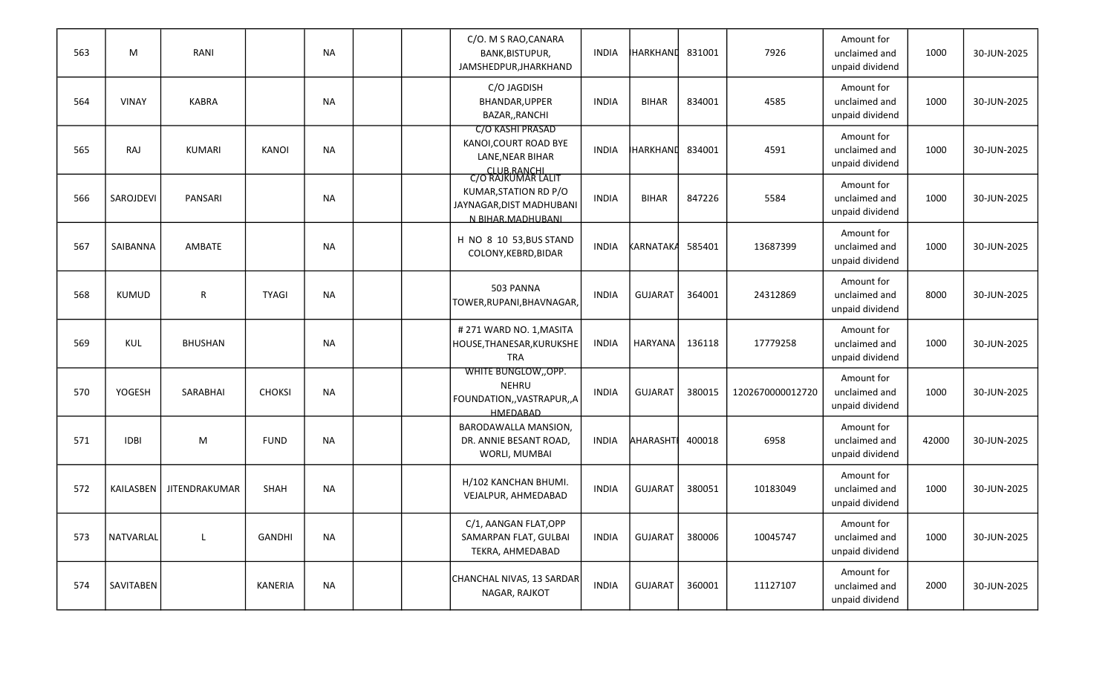| 563 | M            | RANI                 |               | <b>NA</b> |  | C/O. M S RAO, CANARA<br>BANK, BISTUPUR,<br>JAMSHEDPUR, JHARKHAND                                   | <b>INDIA</b> | <b>HARKHAND</b> | 831001 | 7926             | Amount for<br>unclaimed and<br>unpaid dividend | 1000  | 30-JUN-2025 |
|-----|--------------|----------------------|---------------|-----------|--|----------------------------------------------------------------------------------------------------|--------------|-----------------|--------|------------------|------------------------------------------------|-------|-------------|
| 564 | <b>VINAY</b> | <b>KABRA</b>         |               | <b>NA</b> |  | C/O JAGDISH<br>BHANDAR, UPPER<br>BAZAR,, RANCHI                                                    | <b>INDIA</b> | <b>BIHAR</b>    | 834001 | 4585             | Amount for<br>unclaimed and<br>unpaid dividend | 1000  | 30-JUN-2025 |
| 565 | RAJ          | KUMARI               | <b>KANOI</b>  | <b>NA</b> |  | C/O KASHI PRASAD<br>KANOI, COURT ROAD BYE<br>LANE, NEAR BIHAR<br>CLUB RANCHI<br>C/O RAJKUMAR LALIT | INDIA        | <b>HARKHAND</b> | 834001 | 4591             | Amount for<br>unclaimed and<br>unpaid dividend | 1000  | 30-JUN-2025 |
| 566 | SAROJDEVI    | PANSARI              |               | <b>NA</b> |  | KUMAR, STATION RD P/O<br>JAYNAGAR, DIST MADHUBANI<br>N BIHAR.MADHUBANI                             | <b>INDIA</b> | <b>BIHAR</b>    | 847226 | 5584             | Amount for<br>unclaimed and<br>unpaid dividend | 1000  | 30-JUN-2025 |
| 567 | SAIBANNA     | AMBATE               |               | <b>NA</b> |  | H NO 8 10 53, BUS STAND<br>COLONY, KEBRD, BIDAR                                                    | <b>INDIA</b> | KARNATAKA       | 585401 | 13687399         | Amount for<br>unclaimed and<br>unpaid dividend | 1000  | 30-JUN-2025 |
| 568 | KUMUD        | $\mathsf R$          | <b>TYAGI</b>  | <b>NA</b> |  | 503 PANNA<br>TOWER, RUPANI, BHAVNAGAR,                                                             | <b>INDIA</b> | <b>GUJARAT</b>  | 364001 | 24312869         | Amount for<br>unclaimed and<br>unpaid dividend | 8000  | 30-JUN-2025 |
| 569 | KUL          | <b>BHUSHAN</b>       |               | <b>NA</b> |  | #271 WARD NO. 1, MASITA<br>HOUSE, THANESAR, KURUKSHE<br><b>TRA</b>                                 | <b>INDIA</b> | HARYANA         | 136118 | 17779258         | Amount for<br>unclaimed and<br>unpaid dividend | 1000  | 30-JUN-2025 |
| 570 | YOGESH       | SARABHAI             | <b>CHOKSI</b> | <b>NA</b> |  | WHITE BUNGLOW, OPP.<br><b>NEHRU</b><br>FOUNDATION,, VASTRAPUR,, A<br>HMEDABAD                      | <b>INDIA</b> | <b>GUJARAT</b>  | 380015 | 1202670000012720 | Amount for<br>unclaimed and<br>unpaid dividend | 1000  | 30-JUN-2025 |
| 571 | <b>IDBI</b>  | M                    | <b>FUND</b>   | <b>NA</b> |  | BARODAWALLA MANSION,<br>DR. ANNIE BESANT ROAD,<br>WORLI, MUMBAI                                    | <b>INDIA</b> | <b>AHARASHT</b> | 400018 | 6958             | Amount for<br>unclaimed and<br>unpaid dividend | 42000 | 30-JUN-2025 |
| 572 | KAILASBEN    | <b>JITENDRAKUMAR</b> | SHAH          | NA        |  | H/102 KANCHAN BHUMI.<br>VEJALPUR, AHMEDABAD                                                        | <b>INDIA</b> | <b>GUJARAT</b>  | 380051 | 10183049         | Amount for<br>unclaimed and<br>unpaid dividend | 1000  | 30-JUN-2025 |
| 573 | NATVARLAL    | L                    | GANDHI        | <b>NA</b> |  | C/1, AANGAN FLAT, OPP<br>SAMARPAN FLAT, GULBAI<br>TEKRA, AHMEDABAD                                 | <b>INDIA</b> | <b>GUJARAT</b>  | 380006 | 10045747         | Amount for<br>unclaimed and<br>unpaid dividend | 1000  | 30-JUN-2025 |
| 574 | SAVITABEN    |                      | KANERIA       | <b>NA</b> |  | CHANCHAL NIVAS, 13 SARDAR<br>NAGAR, RAJKOT                                                         | <b>INDIA</b> | GUJARAT         | 360001 | 11127107         | Amount for<br>unclaimed and<br>unpaid dividend | 2000  | 30-JUN-2025 |